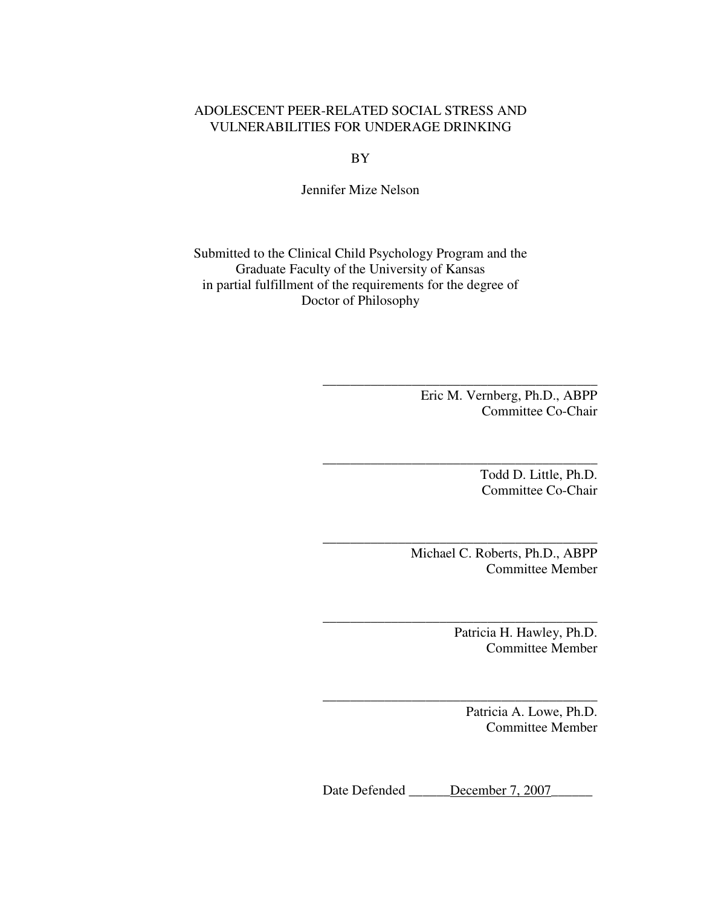# ADOLESCENT PEER-RELATED SOCIAL STRESS AND VULNERABILITIES FOR UNDERAGE DRINKING

BY

Jennifer Mize Nelson

Submitted to the Clinical Child Psychology Program and the Graduate Faculty of the University of Kansas in partial fulfillment of the requirements for the degree of Doctor of Philosophy

> Eric M. Vernberg, Ph.D., ABPP Committee Co-Chair

\_\_\_\_\_\_\_\_\_\_\_\_\_\_\_\_\_\_\_\_\_\_\_\_\_\_\_\_\_\_\_\_\_\_\_\_\_\_\_\_

\_\_\_\_\_\_\_\_\_\_\_\_\_\_\_\_\_\_\_\_\_\_\_\_\_\_\_\_\_\_\_\_\_\_\_\_\_\_\_\_

\_\_\_\_\_\_\_\_\_\_\_\_\_\_\_\_\_\_\_\_\_\_\_\_\_\_\_\_\_\_\_\_\_\_\_\_\_\_\_\_

\_\_\_\_\_\_\_\_\_\_\_\_\_\_\_\_\_\_\_\_\_\_\_\_\_\_\_\_\_\_\_\_\_\_\_\_\_\_\_\_

\_\_\_\_\_\_\_\_\_\_\_\_\_\_\_\_\_\_\_\_\_\_\_\_\_\_\_\_\_\_\_\_\_\_\_\_\_\_\_\_

Todd D. Little, Ph.D. Committee Co-Chair

Michael C. Roberts, Ph.D., ABPP Committee Member

> Patricia H. Hawley, Ph.D. Committee Member

Patricia A. Lowe, Ph.D. Committee Member

Date Defended \_\_\_\_\_\_December 7, 2007\_\_\_\_\_\_\_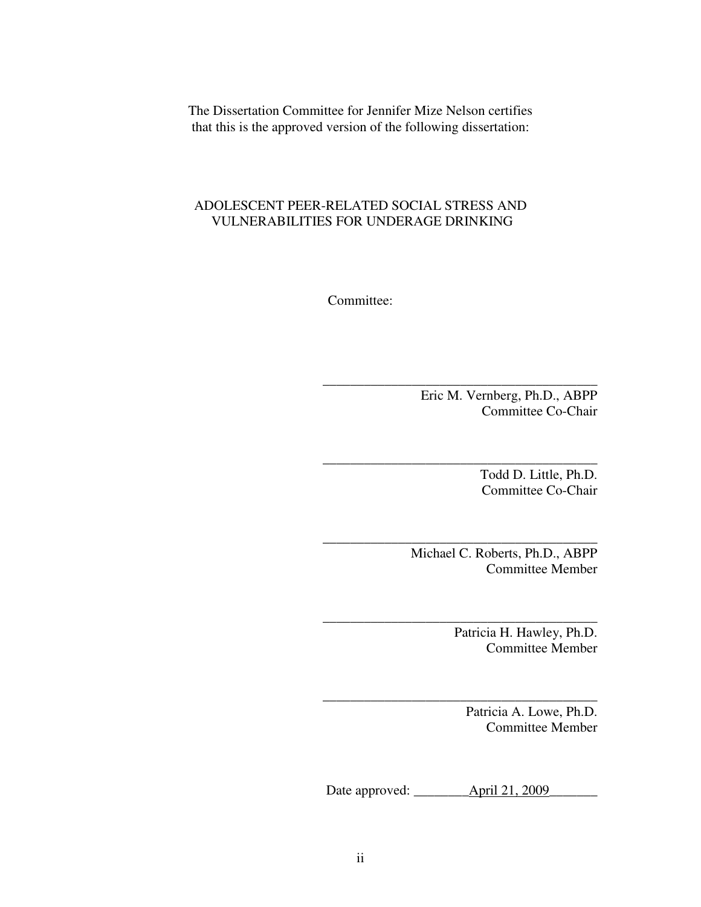The Dissertation Committee for Jennifer Mize Nelson certifies that this is the approved version of the following dissertation:

## ADOLESCENT PEER-RELATED SOCIAL STRESS AND VULNERABILITIES FOR UNDERAGE DRINKING

Committee:

Eric M. Vernberg, Ph.D., ABPP Committee Co-Chair

\_\_\_\_\_\_\_\_\_\_\_\_\_\_\_\_\_\_\_\_\_\_\_\_\_\_\_\_\_\_\_\_\_\_\_\_\_\_\_\_

\_\_\_\_\_\_\_\_\_\_\_\_\_\_\_\_\_\_\_\_\_\_\_\_\_\_\_\_\_\_\_\_\_\_\_\_\_\_\_\_

\_\_\_\_\_\_\_\_\_\_\_\_\_\_\_\_\_\_\_\_\_\_\_\_\_\_\_\_\_\_\_\_\_\_\_\_\_\_\_\_

\_\_\_\_\_\_\_\_\_\_\_\_\_\_\_\_\_\_\_\_\_\_\_\_\_\_\_\_\_\_\_\_\_\_\_\_\_\_\_\_

\_\_\_\_\_\_\_\_\_\_\_\_\_\_\_\_\_\_\_\_\_\_\_\_\_\_\_\_\_\_\_\_\_\_\_\_\_\_\_\_

Todd D. Little, Ph.D. Committee Co-Chair

Michael C. Roberts, Ph.D., ABPP Committee Member

> Patricia H. Hawley, Ph.D. Committee Member

Patricia A. Lowe, Ph.D. Committee Member

Date approved: \_\_\_\_\_\_\_\_April 21, 2009\_\_\_\_\_\_\_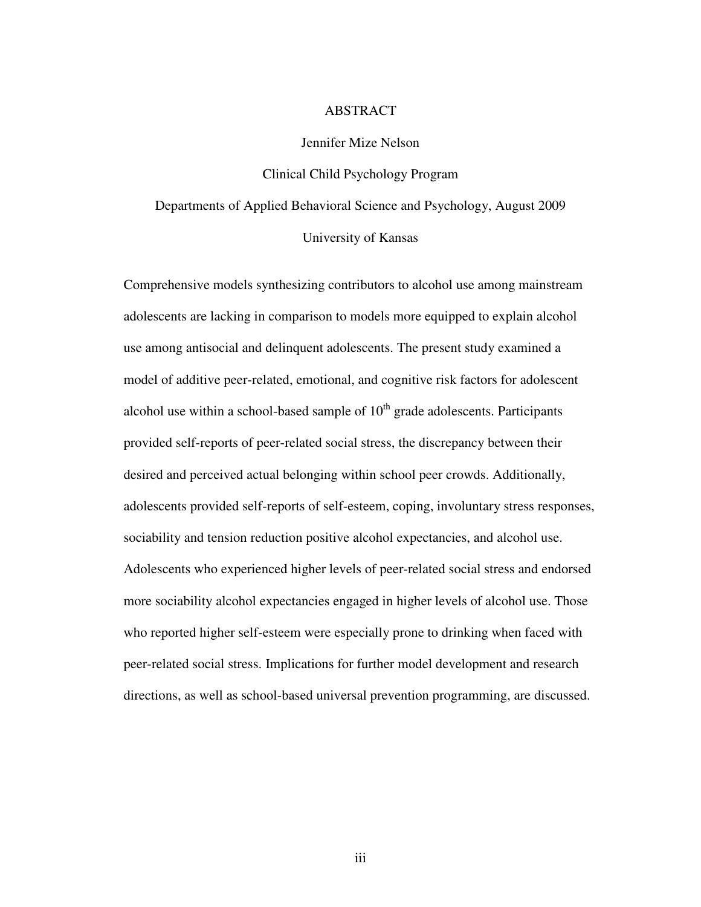#### ABSTRACT

#### Jennifer Mize Nelson

#### Clinical Child Psychology Program

Departments of Applied Behavioral Science and Psychology, August 2009

#### University of Kansas

Comprehensive models synthesizing contributors to alcohol use among mainstream adolescents are lacking in comparison to models more equipped to explain alcohol use among antisocial and delinquent adolescents. The present study examined a model of additive peer-related, emotional, and cognitive risk factors for adolescent alcohol use within a school-based sample of  $10<sup>th</sup>$  grade adolescents. Participants provided self-reports of peer-related social stress, the discrepancy between their desired and perceived actual belonging within school peer crowds. Additionally, adolescents provided self-reports of self-esteem, coping, involuntary stress responses, sociability and tension reduction positive alcohol expectancies, and alcohol use. Adolescents who experienced higher levels of peer-related social stress and endorsed more sociability alcohol expectancies engaged in higher levels of alcohol use. Those who reported higher self-esteem were especially prone to drinking when faced with peer-related social stress. Implications for further model development and research directions, as well as school-based universal prevention programming, are discussed.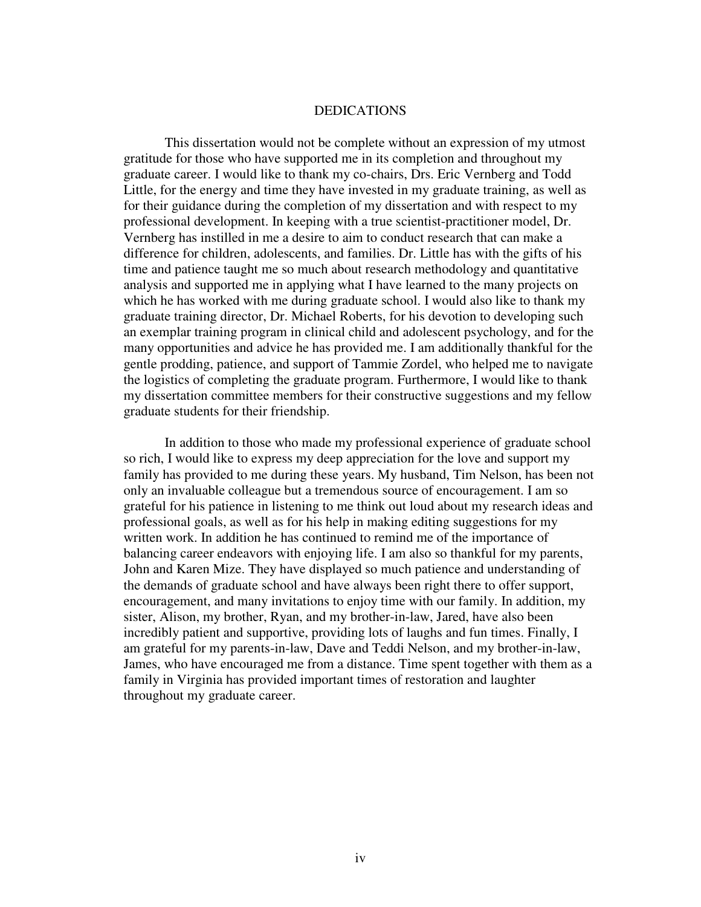#### DEDICATIONS

 This dissertation would not be complete without an expression of my utmost gratitude for those who have supported me in its completion and throughout my graduate career. I would like to thank my co-chairs, Drs. Eric Vernberg and Todd Little, for the energy and time they have invested in my graduate training, as well as for their guidance during the completion of my dissertation and with respect to my professional development. In keeping with a true scientist-practitioner model, Dr. Vernberg has instilled in me a desire to aim to conduct research that can make a difference for children, adolescents, and families. Dr. Little has with the gifts of his time and patience taught me so much about research methodology and quantitative analysis and supported me in applying what I have learned to the many projects on which he has worked with me during graduate school. I would also like to thank my graduate training director, Dr. Michael Roberts, for his devotion to developing such an exemplar training program in clinical child and adolescent psychology, and for the many opportunities and advice he has provided me. I am additionally thankful for the gentle prodding, patience, and support of Tammie Zordel, who helped me to navigate the logistics of completing the graduate program. Furthermore, I would like to thank my dissertation committee members for their constructive suggestions and my fellow graduate students for their friendship.

 In addition to those who made my professional experience of graduate school so rich, I would like to express my deep appreciation for the love and support my family has provided to me during these years. My husband, Tim Nelson, has been not only an invaluable colleague but a tremendous source of encouragement. I am so grateful for his patience in listening to me think out loud about my research ideas and professional goals, as well as for his help in making editing suggestions for my written work. In addition he has continued to remind me of the importance of balancing career endeavors with enjoying life. I am also so thankful for my parents, John and Karen Mize. They have displayed so much patience and understanding of the demands of graduate school and have always been right there to offer support, encouragement, and many invitations to enjoy time with our family. In addition, my sister, Alison, my brother, Ryan, and my brother-in-law, Jared, have also been incredibly patient and supportive, providing lots of laughs and fun times. Finally, I am grateful for my parents-in-law, Dave and Teddi Nelson, and my brother-in-law, James, who have encouraged me from a distance. Time spent together with them as a family in Virginia has provided important times of restoration and laughter throughout my graduate career.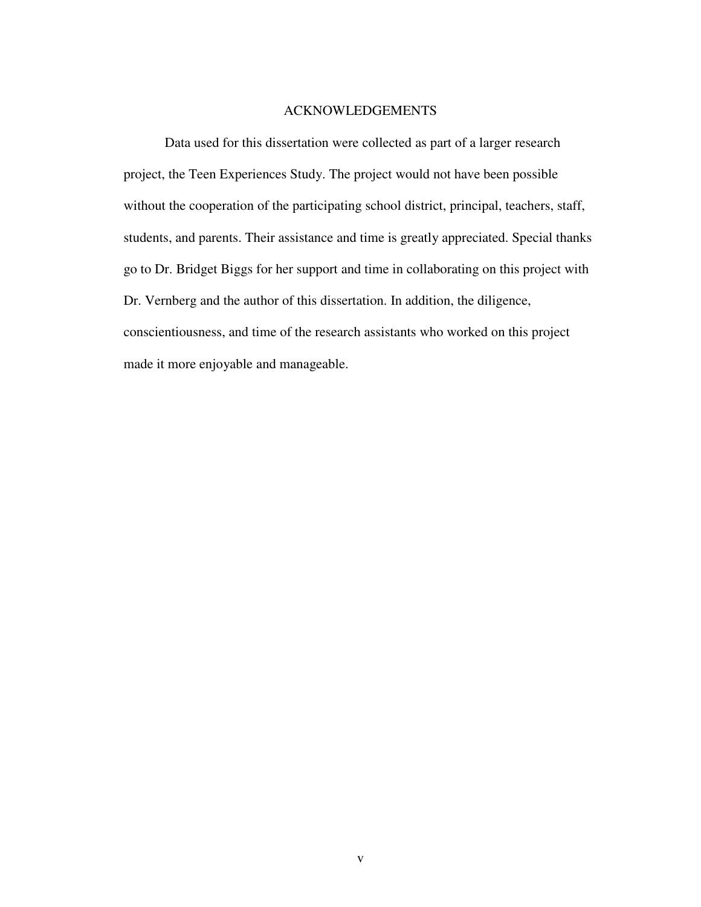## ACKNOWLEDGEMENTS

 Data used for this dissertation were collected as part of a larger research project, the Teen Experiences Study. The project would not have been possible without the cooperation of the participating school district, principal, teachers, staff, students, and parents. Their assistance and time is greatly appreciated. Special thanks go to Dr. Bridget Biggs for her support and time in collaborating on this project with Dr. Vernberg and the author of this dissertation. In addition, the diligence, conscientiousness, and time of the research assistants who worked on this project made it more enjoyable and manageable.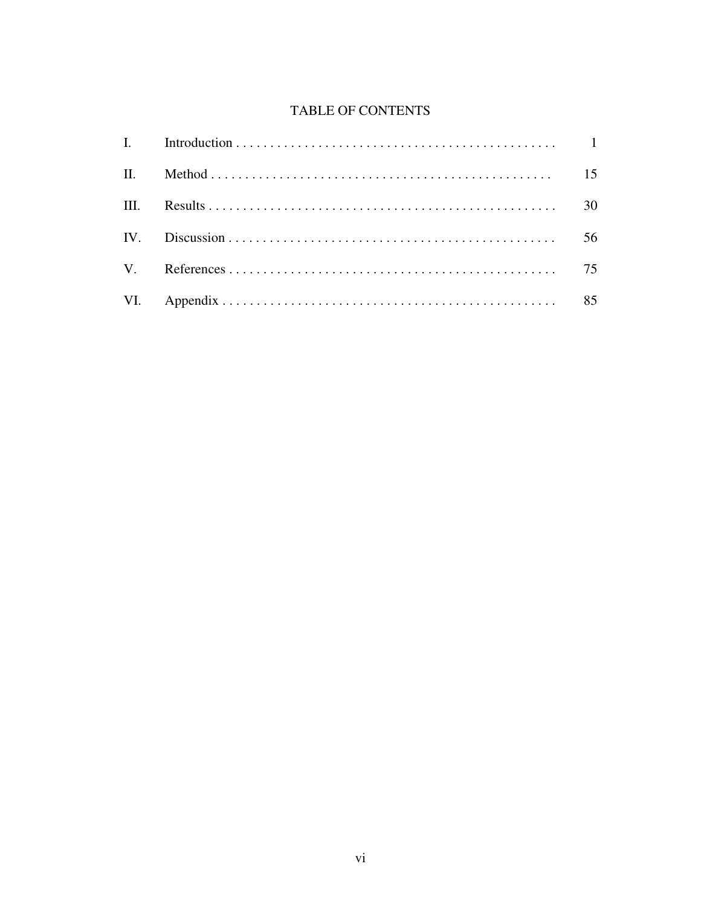# TABLE OF CONTENTS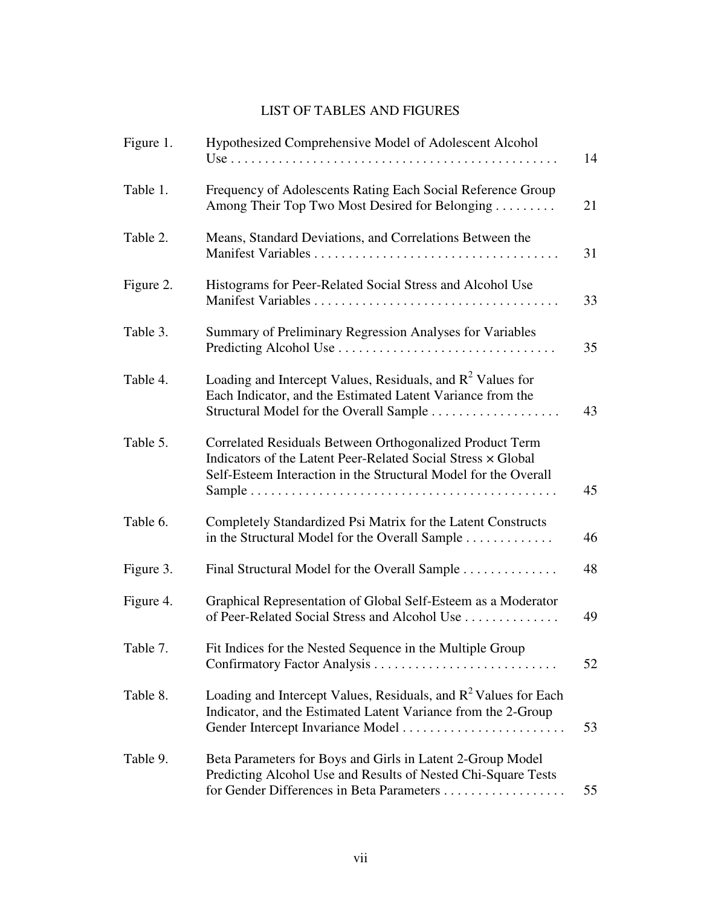# LIST OF TABLES AND FIGURES

| Figure 1. | Hypothesized Comprehensive Model of Adolescent Alcohol                                                                                                                                      | 14 |
|-----------|---------------------------------------------------------------------------------------------------------------------------------------------------------------------------------------------|----|
| Table 1.  | Frequency of Adolescents Rating Each Social Reference Group<br>Among Their Top Two Most Desired for Belonging                                                                               | 21 |
| Table 2.  | Means, Standard Deviations, and Correlations Between the                                                                                                                                    | 31 |
| Figure 2. | Histograms for Peer-Related Social Stress and Alcohol Use                                                                                                                                   | 33 |
| Table 3.  | Summary of Preliminary Regression Analyses for Variables                                                                                                                                    | 35 |
| Table 4.  | Loading and Intercept Values, Residuals, and $R^2$ Values for<br>Each Indicator, and the Estimated Latent Variance from the<br>Structural Model for the Overall Sample                      | 43 |
| Table 5.  | Correlated Residuals Between Orthogonalized Product Term<br>Indicators of the Latent Peer-Related Social Stress × Global<br>Self-Esteem Interaction in the Structural Model for the Overall | 45 |
| Table 6.  | Completely Standardized Psi Matrix for the Latent Constructs<br>in the Structural Model for the Overall Sample                                                                              | 46 |
| Figure 3. | Final Structural Model for the Overall Sample                                                                                                                                               | 48 |
| Figure 4. | Graphical Representation of Global Self-Esteem as a Moderator<br>of Peer-Related Social Stress and Alcohol Use                                                                              | 49 |
| Table 7.  | Fit Indices for the Nested Sequence in the Multiple Group                                                                                                                                   | 52 |
| Table 8.  | Loading and Intercept Values, Residuals, and $R^2$ Values for Each<br>Indicator, and the Estimated Latent Variance from the 2-Group<br>Gender Intercept Invariance Model                    | 53 |
| Table 9.  | Beta Parameters for Boys and Girls in Latent 2-Group Model<br>Predicting Alcohol Use and Results of Nested Chi-Square Tests                                                                 | 55 |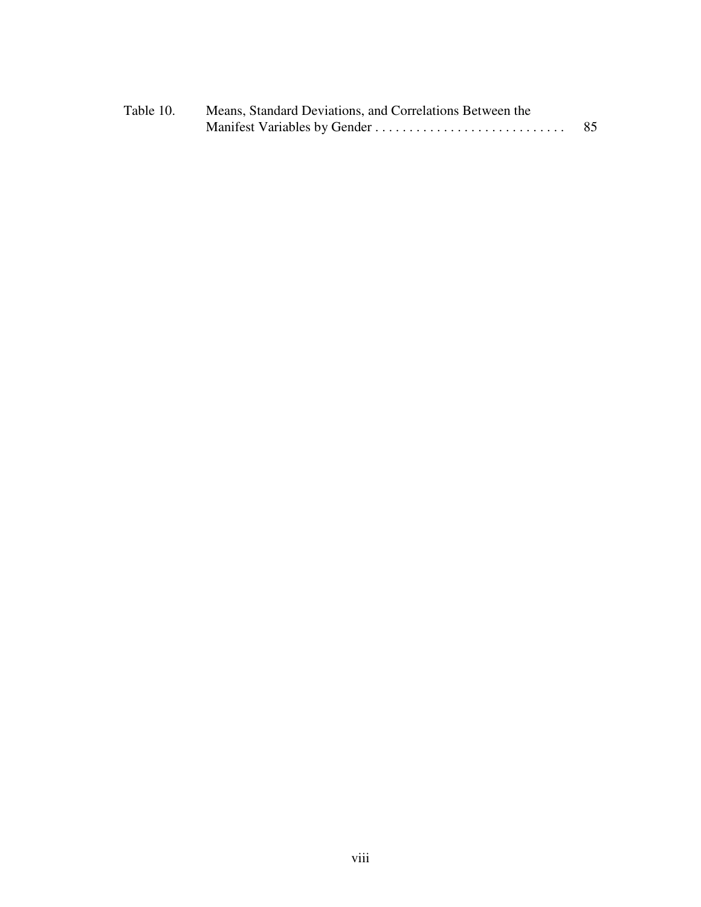| Table 10. | Means, Standard Deviations, and Correlations Between the |    |
|-----------|----------------------------------------------------------|----|
|           |                                                          | 85 |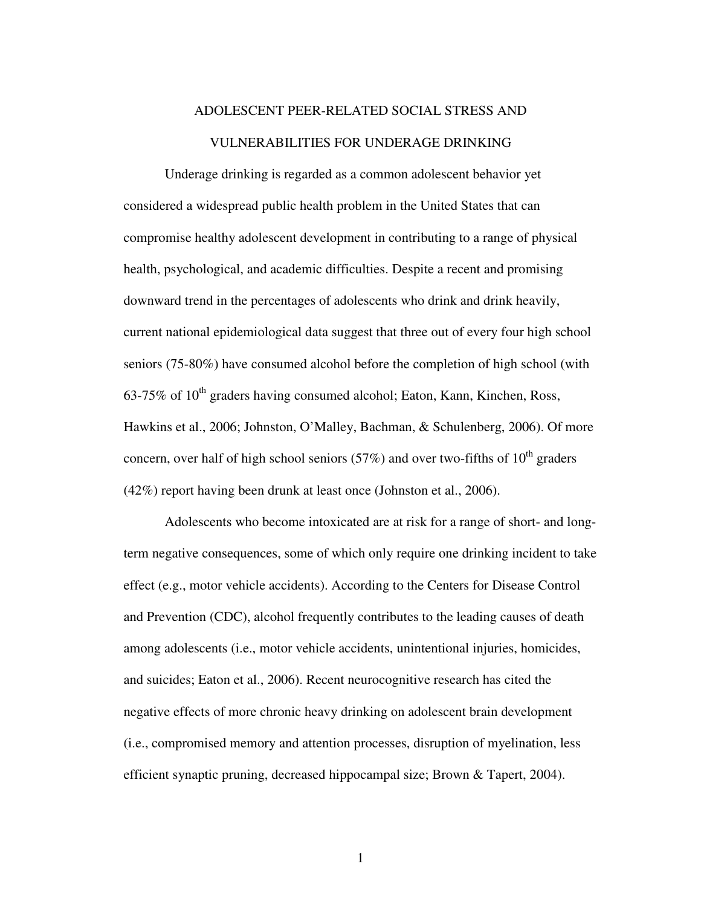# ADOLESCENT PEER-RELATED SOCIAL STRESS AND VULNERABILITIES FOR UNDERAGE DRINKING

 Underage drinking is regarded as a common adolescent behavior yet considered a widespread public health problem in the United States that can compromise healthy adolescent development in contributing to a range of physical health, psychological, and academic difficulties. Despite a recent and promising downward trend in the percentages of adolescents who drink and drink heavily, current national epidemiological data suggest that three out of every four high school seniors (75-80%) have consumed alcohol before the completion of high school (with 63-75% of  $10^{th}$  graders having consumed alcohol; Eaton, Kann, Kinchen, Ross, Hawkins et al., 2006; Johnston, O'Malley, Bachman, & Schulenberg, 2006). Of more concern, over half of high school seniors  $(57%)$  and over two-fifths of  $10<sup>th</sup>$  graders (42%) report having been drunk at least once (Johnston et al., 2006).

Adolescents who become intoxicated are at risk for a range of short- and longterm negative consequences, some of which only require one drinking incident to take effect (e.g., motor vehicle accidents). According to the Centers for Disease Control and Prevention (CDC), alcohol frequently contributes to the leading causes of death among adolescents (i.e., motor vehicle accidents, unintentional injuries, homicides, and suicides; Eaton et al., 2006). Recent neurocognitive research has cited the negative effects of more chronic heavy drinking on adolescent brain development (i.e., compromised memory and attention processes, disruption of myelination, less efficient synaptic pruning, decreased hippocampal size; Brown & Tapert, 2004).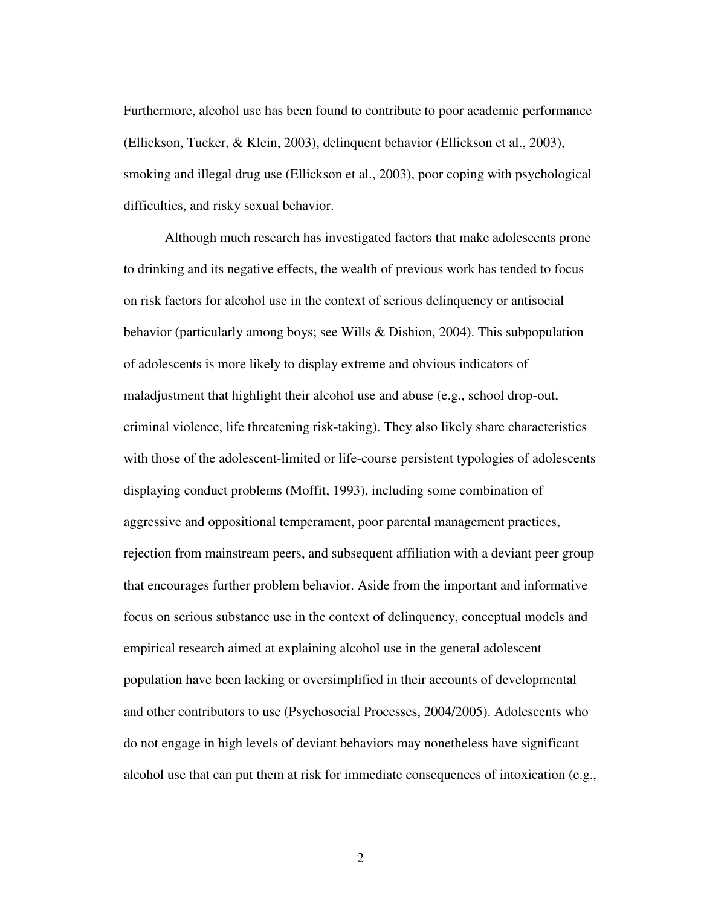Furthermore, alcohol use has been found to contribute to poor academic performance (Ellickson, Tucker, & Klein, 2003), delinquent behavior (Ellickson et al., 2003), smoking and illegal drug use (Ellickson et al., 2003), poor coping with psychological difficulties, and risky sexual behavior.

Although much research has investigated factors that make adolescents prone to drinking and its negative effects, the wealth of previous work has tended to focus on risk factors for alcohol use in the context of serious delinquency or antisocial behavior (particularly among boys; see Wills & Dishion, 2004). This subpopulation of adolescents is more likely to display extreme and obvious indicators of maladjustment that highlight their alcohol use and abuse (e.g., school drop-out, criminal violence, life threatening risk-taking). They also likely share characteristics with those of the adolescent-limited or life-course persistent typologies of adolescents displaying conduct problems (Moffit, 1993), including some combination of aggressive and oppositional temperament, poor parental management practices, rejection from mainstream peers, and subsequent affiliation with a deviant peer group that encourages further problem behavior. Aside from the important and informative focus on serious substance use in the context of delinquency, conceptual models and empirical research aimed at explaining alcohol use in the general adolescent population have been lacking or oversimplified in their accounts of developmental and other contributors to use (Psychosocial Processes, 2004/2005). Adolescents who do not engage in high levels of deviant behaviors may nonetheless have significant alcohol use that can put them at risk for immediate consequences of intoxication (e.g.,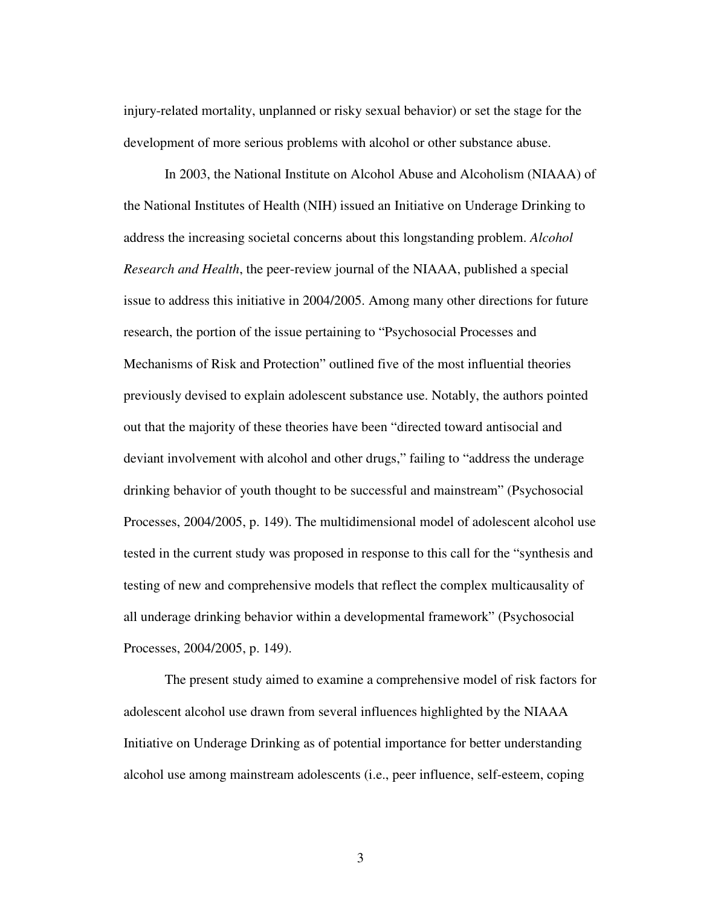injury-related mortality, unplanned or risky sexual behavior) or set the stage for the development of more serious problems with alcohol or other substance abuse.

In 2003, the National Institute on Alcohol Abuse and Alcoholism (NIAAA) of the National Institutes of Health (NIH) issued an Initiative on Underage Drinking to address the increasing societal concerns about this longstanding problem. *Alcohol Research and Health*, the peer-review journal of the NIAAA, published a special issue to address this initiative in 2004/2005. Among many other directions for future research, the portion of the issue pertaining to "Psychosocial Processes and Mechanisms of Risk and Protection" outlined five of the most influential theories previously devised to explain adolescent substance use. Notably, the authors pointed out that the majority of these theories have been "directed toward antisocial and deviant involvement with alcohol and other drugs," failing to "address the underage drinking behavior of youth thought to be successful and mainstream" (Psychosocial Processes, 2004/2005, p. 149). The multidimensional model of adolescent alcohol use tested in the current study was proposed in response to this call for the "synthesis and testing of new and comprehensive models that reflect the complex multicausality of all underage drinking behavior within a developmental framework" (Psychosocial Processes, 2004/2005, p. 149).

The present study aimed to examine a comprehensive model of risk factors for adolescent alcohol use drawn from several influences highlighted by the NIAAA Initiative on Underage Drinking as of potential importance for better understanding alcohol use among mainstream adolescents (i.e., peer influence, self-esteem, coping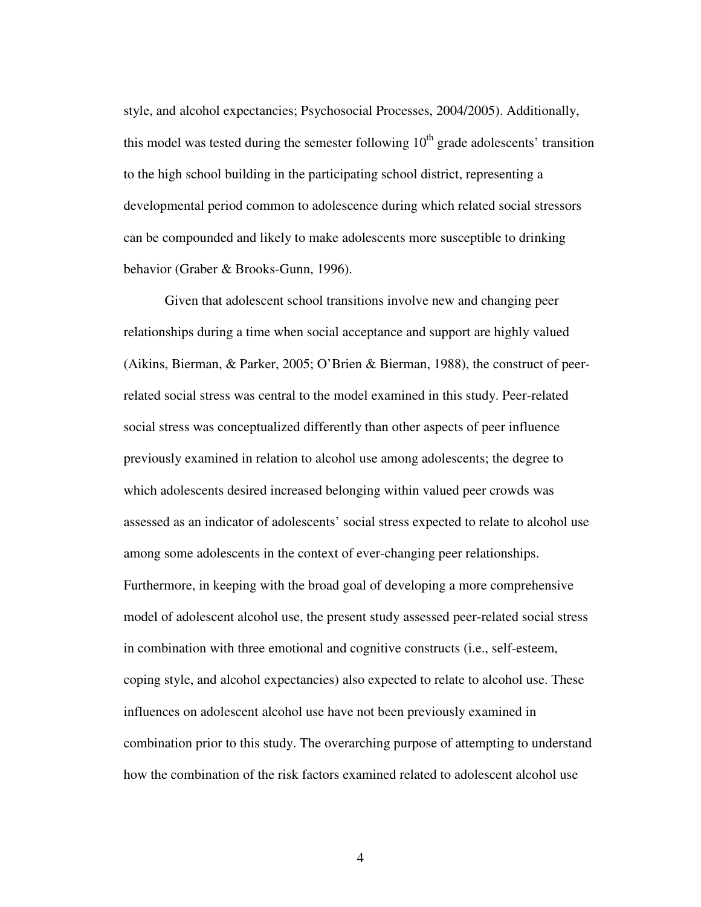style, and alcohol expectancies; Psychosocial Processes, 2004/2005). Additionally, this model was tested during the semester following  $10<sup>th</sup>$  grade adolescents' transition to the high school building in the participating school district, representing a developmental period common to adolescence during which related social stressors can be compounded and likely to make adolescents more susceptible to drinking behavior (Graber & Brooks-Gunn, 1996).

Given that adolescent school transitions involve new and changing peer relationships during a time when social acceptance and support are highly valued (Aikins, Bierman, & Parker, 2005; O'Brien & Bierman, 1988), the construct of peerrelated social stress was central to the model examined in this study. Peer-related social stress was conceptualized differently than other aspects of peer influence previously examined in relation to alcohol use among adolescents; the degree to which adolescents desired increased belonging within valued peer crowds was assessed as an indicator of adolescents' social stress expected to relate to alcohol use among some adolescents in the context of ever-changing peer relationships. Furthermore, in keeping with the broad goal of developing a more comprehensive model of adolescent alcohol use, the present study assessed peer-related social stress in combination with three emotional and cognitive constructs (i.e., self-esteem, coping style, and alcohol expectancies) also expected to relate to alcohol use. These influences on adolescent alcohol use have not been previously examined in combination prior to this study. The overarching purpose of attempting to understand how the combination of the risk factors examined related to adolescent alcohol use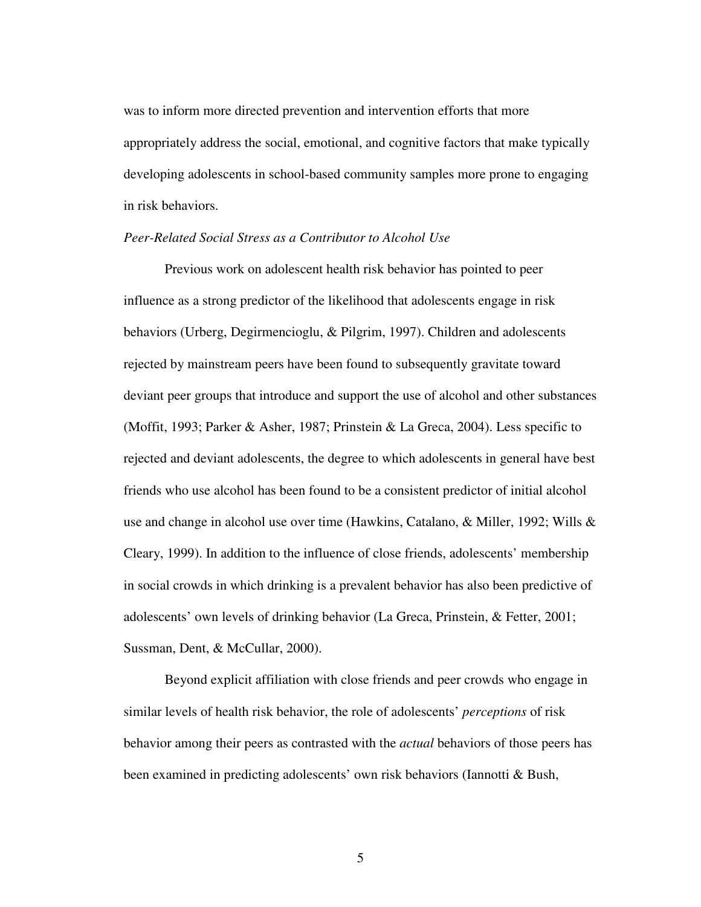was to inform more directed prevention and intervention efforts that more appropriately address the social, emotional, and cognitive factors that make typically developing adolescents in school-based community samples more prone to engaging in risk behaviors.

#### *Peer-Related Social Stress as a Contributor to Alcohol Use*

Previous work on adolescent health risk behavior has pointed to peer influence as a strong predictor of the likelihood that adolescents engage in risk behaviors (Urberg, Degirmencioglu, & Pilgrim, 1997). Children and adolescents rejected by mainstream peers have been found to subsequently gravitate toward deviant peer groups that introduce and support the use of alcohol and other substances (Moffit, 1993; Parker & Asher, 1987; Prinstein & La Greca, 2004). Less specific to rejected and deviant adolescents, the degree to which adolescents in general have best friends who use alcohol has been found to be a consistent predictor of initial alcohol use and change in alcohol use over time (Hawkins, Catalano, & Miller, 1992; Wills & Cleary, 1999). In addition to the influence of close friends, adolescents' membership in social crowds in which drinking is a prevalent behavior has also been predictive of adolescents' own levels of drinking behavior (La Greca, Prinstein, & Fetter, 2001; Sussman, Dent, & McCullar, 2000).

Beyond explicit affiliation with close friends and peer crowds who engage in similar levels of health risk behavior, the role of adolescents' *perceptions* of risk behavior among their peers as contrasted with the *actual* behaviors of those peers has been examined in predicting adolescents' own risk behaviors (Iannotti & Bush,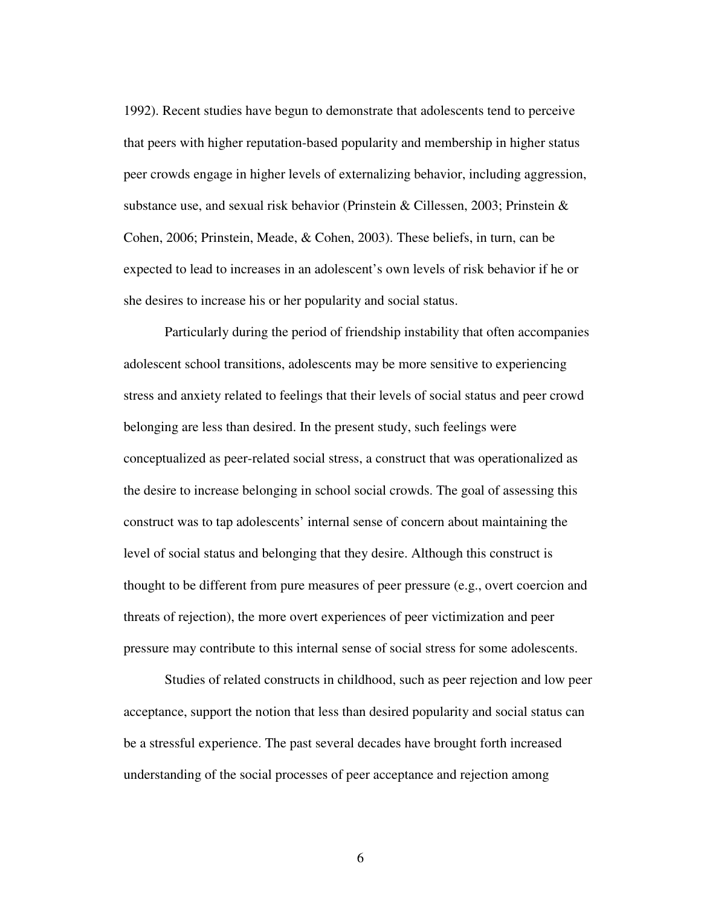1992). Recent studies have begun to demonstrate that adolescents tend to perceive that peers with higher reputation-based popularity and membership in higher status peer crowds engage in higher levels of externalizing behavior, including aggression, substance use, and sexual risk behavior (Prinstein & Cillessen, 2003; Prinstein & Cohen, 2006; Prinstein, Meade, & Cohen, 2003). These beliefs, in turn, can be expected to lead to increases in an adolescent's own levels of risk behavior if he or she desires to increase his or her popularity and social status.

Particularly during the period of friendship instability that often accompanies adolescent school transitions, adolescents may be more sensitive to experiencing stress and anxiety related to feelings that their levels of social status and peer crowd belonging are less than desired. In the present study, such feelings were conceptualized as peer-related social stress, a construct that was operationalized as the desire to increase belonging in school social crowds. The goal of assessing this construct was to tap adolescents' internal sense of concern about maintaining the level of social status and belonging that they desire. Although this construct is thought to be different from pure measures of peer pressure (e.g., overt coercion and threats of rejection), the more overt experiences of peer victimization and peer pressure may contribute to this internal sense of social stress for some adolescents.

Studies of related constructs in childhood, such as peer rejection and low peer acceptance, support the notion that less than desired popularity and social status can be a stressful experience. The past several decades have brought forth increased understanding of the social processes of peer acceptance and rejection among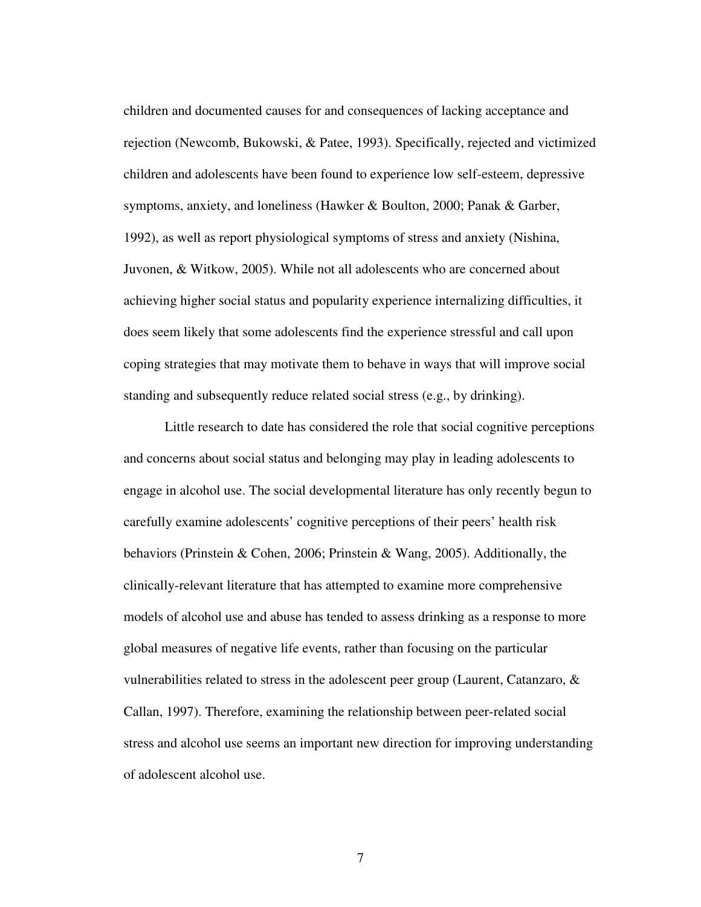children and documented causes for and consequences of lacking acceptance and rejection (Newcomb, Bukowski, & Patee, 1993). Specifically, rejected and victimized children and adolescents have been found to experience low self-esteem, depressive symptoms, anxiety, and loneliness (Hawker & Boulton, 2000; Panak & Garber, 1992), as well as report physiological symptoms of stress and anxiety (Nishina, Juvonen, & Witkow, 2005). While not all adolescents who are concerned about achieving higher social status and popularity experience internalizing difficulties, it does seem likely that some adolescents find the experience stressful and call upon coping strategies that may motivate them to behave in ways that will improve social standing and subsequently reduce related social stress (e.g., by drinking).

Little research to date has considered the role that social cognitive perceptions and concerns about social status and belonging may play in leading adolescents to engage in alcohol use. The social developmental literature has only recently begun to carefully examine adolescents' cognitive perceptions of their peers' health risk behaviors (Prinstein & Cohen, 2006; Prinstein & Wang, 2005). Additionally, the clinically-relevant literature that has attempted to examine more comprehensive models of alcohol use and abuse has tended to assess drinking as a response to more global measures of negative life events, rather than focusing on the particular vulnerabilities related to stress in the adolescent peer group (Laurent, Catanzaro, & Callan, 1997). Therefore, examining the relationship between peer-related social stress and alcohol use seems an important new direction for improving understanding of adolescent alcohol use.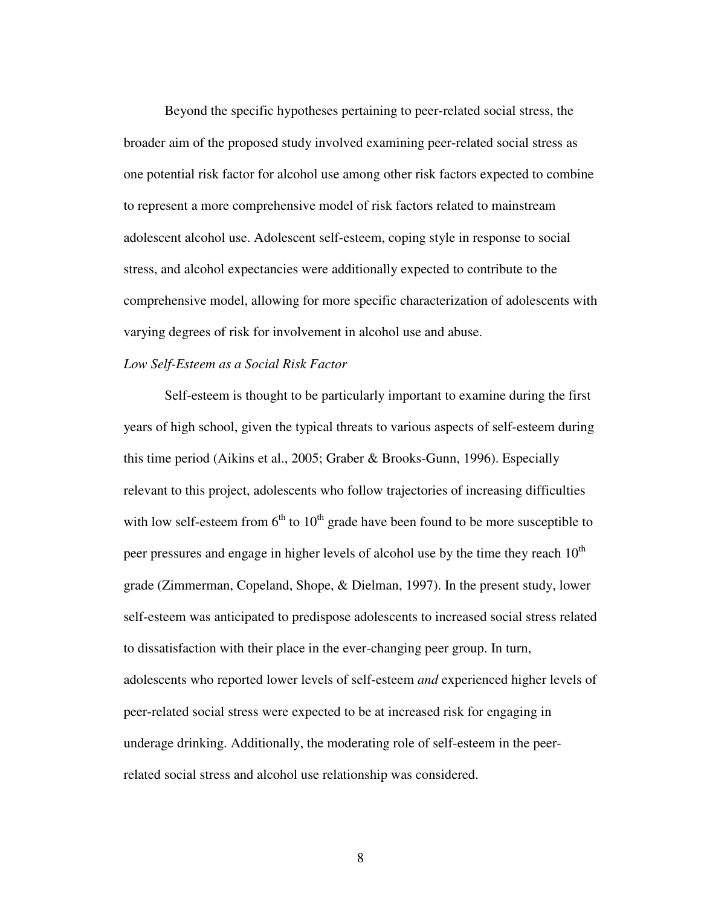Beyond the specific hypotheses pertaining to peer-related social stress, the broader aim of the proposed study involved examining peer-related social stress as one potential risk factor for alcohol use among other risk factors expected to combine to represent a more comprehensive model of risk factors related to mainstream adolescent alcohol use. Adolescent self-esteem, coping style in response to social stress, and alcohol expectancies were additionally expected to contribute to the comprehensive model, allowing for more specific characterization of adolescents with varying degrees of risk for involvement in alcohol use and abuse.

#### *Low Self-Esteem as a Social Risk Factor*

Self-esteem is thought to be particularly important to examine during the first years of high school, given the typical threats to various aspects of self-esteem during this time period (Aikins et al., 2005; Graber & Brooks-Gunn, 1996). Especially relevant to this project, adolescents who follow trajectories of increasing difficulties with low self-esteem from  $6<sup>th</sup>$  to  $10<sup>th</sup>$  grade have been found to be more susceptible to peer pressures and engage in higher levels of alcohol use by the time they reach  $10<sup>th</sup>$ grade (Zimmerman, Copeland, Shope, & Dielman, 1997). In the present study, lower self-esteem was anticipated to predispose adolescents to increased social stress related to dissatisfaction with their place in the ever-changing peer group. In turn, adolescents who reported lower levels of self-esteem *and* experienced higher levels of peer-related social stress were expected to be at increased risk for engaging in underage drinking. Additionally, the moderating role of self-esteem in the peerrelated social stress and alcohol use relationship was considered.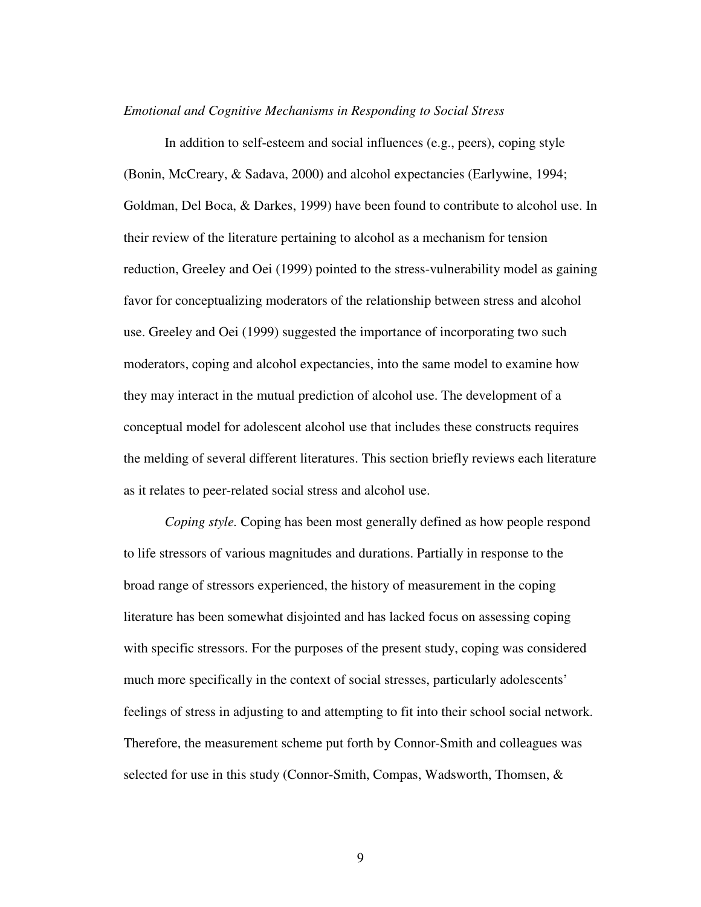#### *Emotional and Cognitive Mechanisms in Responding to Social Stress*

In addition to self-esteem and social influences (e.g., peers), coping style (Bonin, McCreary, & Sadava, 2000) and alcohol expectancies (Earlywine, 1994; Goldman, Del Boca, & Darkes, 1999) have been found to contribute to alcohol use. In their review of the literature pertaining to alcohol as a mechanism for tension reduction, Greeley and Oei (1999) pointed to the stress-vulnerability model as gaining favor for conceptualizing moderators of the relationship between stress and alcohol use. Greeley and Oei (1999) suggested the importance of incorporating two such moderators, coping and alcohol expectancies, into the same model to examine how they may interact in the mutual prediction of alcohol use. The development of a conceptual model for adolescent alcohol use that includes these constructs requires the melding of several different literatures. This section briefly reviews each literature as it relates to peer-related social stress and alcohol use.

*Coping style.* Coping has been most generally defined as how people respond to life stressors of various magnitudes and durations. Partially in response to the broad range of stressors experienced, the history of measurement in the coping literature has been somewhat disjointed and has lacked focus on assessing coping with specific stressors. For the purposes of the present study, coping was considered much more specifically in the context of social stresses, particularly adolescents' feelings of stress in adjusting to and attempting to fit into their school social network. Therefore, the measurement scheme put forth by Connor-Smith and colleagues was selected for use in this study (Connor-Smith, Compas, Wadsworth, Thomsen, &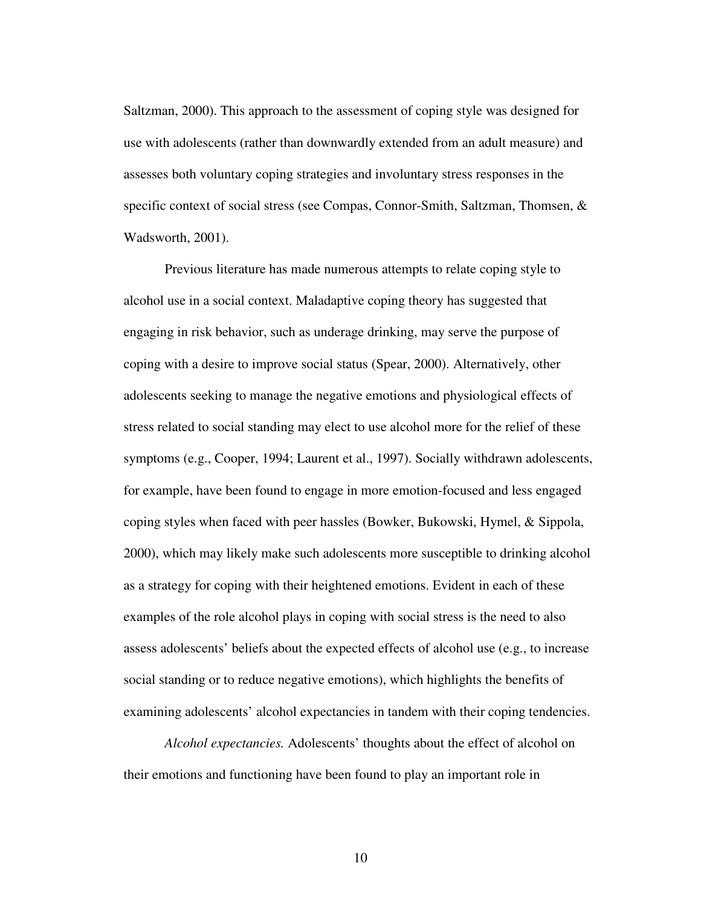Saltzman, 2000). This approach to the assessment of coping style was designed for use with adolescents (rather than downwardly extended from an adult measure) and assesses both voluntary coping strategies and involuntary stress responses in the specific context of social stress (see Compas, Connor-Smith, Saltzman, Thomsen, & Wadsworth, 2001).

Previous literature has made numerous attempts to relate coping style to alcohol use in a social context. Maladaptive coping theory has suggested that engaging in risk behavior, such as underage drinking, may serve the purpose of coping with a desire to improve social status (Spear, 2000). Alternatively, other adolescents seeking to manage the negative emotions and physiological effects of stress related to social standing may elect to use alcohol more for the relief of these symptoms (e.g., Cooper, 1994; Laurent et al., 1997). Socially withdrawn adolescents, for example, have been found to engage in more emotion-focused and less engaged coping styles when faced with peer hassles (Bowker, Bukowski, Hymel, & Sippola, 2000), which may likely make such adolescents more susceptible to drinking alcohol as a strategy for coping with their heightened emotions. Evident in each of these examples of the role alcohol plays in coping with social stress is the need to also assess adolescents' beliefs about the expected effects of alcohol use (e.g., to increase social standing or to reduce negative emotions), which highlights the benefits of examining adolescents' alcohol expectancies in tandem with their coping tendencies.

*Alcohol expectancies.* Adolescents' thoughts about the effect of alcohol on their emotions and functioning have been found to play an important role in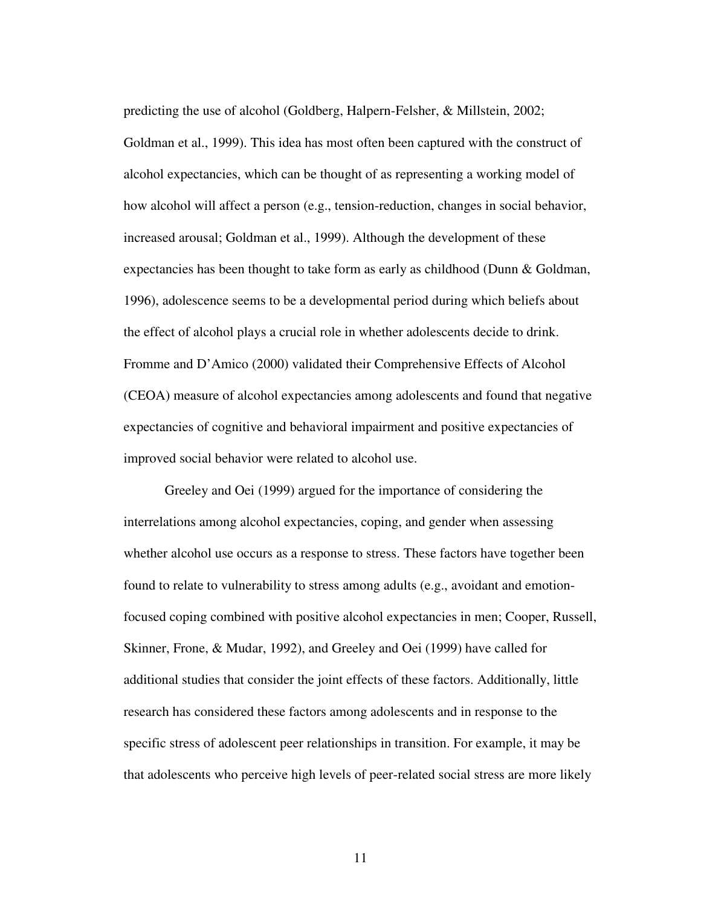predicting the use of alcohol (Goldberg, Halpern-Felsher, & Millstein, 2002; Goldman et al., 1999). This idea has most often been captured with the construct of alcohol expectancies, which can be thought of as representing a working model of how alcohol will affect a person (e.g., tension-reduction, changes in social behavior, increased arousal; Goldman et al., 1999). Although the development of these expectancies has been thought to take form as early as childhood (Dunn & Goldman, 1996), adolescence seems to be a developmental period during which beliefs about the effect of alcohol plays a crucial role in whether adolescents decide to drink. Fromme and D'Amico (2000) validated their Comprehensive Effects of Alcohol (CEOA) measure of alcohol expectancies among adolescents and found that negative expectancies of cognitive and behavioral impairment and positive expectancies of improved social behavior were related to alcohol use.

Greeley and Oei (1999) argued for the importance of considering the interrelations among alcohol expectancies, coping, and gender when assessing whether alcohol use occurs as a response to stress. These factors have together been found to relate to vulnerability to stress among adults (e.g., avoidant and emotionfocused coping combined with positive alcohol expectancies in men; Cooper, Russell, Skinner, Frone, & Mudar, 1992), and Greeley and Oei (1999) have called for additional studies that consider the joint effects of these factors. Additionally, little research has considered these factors among adolescents and in response to the specific stress of adolescent peer relationships in transition. For example, it may be that adolescents who perceive high levels of peer-related social stress are more likely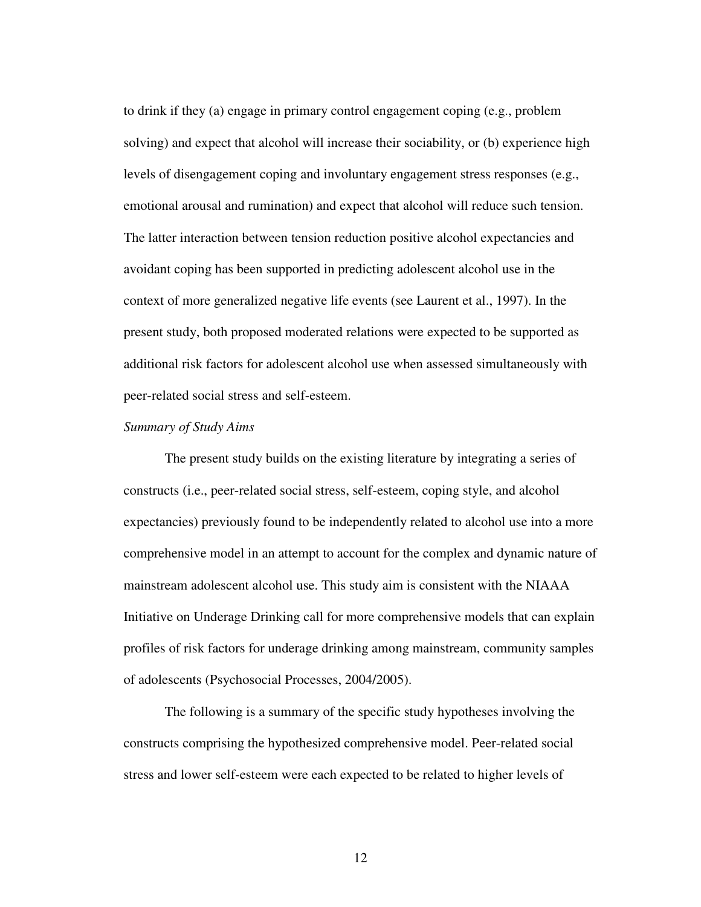to drink if they (a) engage in primary control engagement coping (e.g., problem solving) and expect that alcohol will increase their sociability, or (b) experience high levels of disengagement coping and involuntary engagement stress responses (e.g., emotional arousal and rumination) and expect that alcohol will reduce such tension. The latter interaction between tension reduction positive alcohol expectancies and avoidant coping has been supported in predicting adolescent alcohol use in the context of more generalized negative life events (see Laurent et al., 1997). In the present study, both proposed moderated relations were expected to be supported as additional risk factors for adolescent alcohol use when assessed simultaneously with peer-related social stress and self-esteem.

#### *Summary of Study Aims*

The present study builds on the existing literature by integrating a series of constructs (i.e., peer-related social stress, self-esteem, coping style, and alcohol expectancies) previously found to be independently related to alcohol use into a more comprehensive model in an attempt to account for the complex and dynamic nature of mainstream adolescent alcohol use. This study aim is consistent with the NIAAA Initiative on Underage Drinking call for more comprehensive models that can explain profiles of risk factors for underage drinking among mainstream, community samples of adolescents (Psychosocial Processes, 2004/2005).

The following is a summary of the specific study hypotheses involving the constructs comprising the hypothesized comprehensive model. Peer-related social stress and lower self-esteem were each expected to be related to higher levels of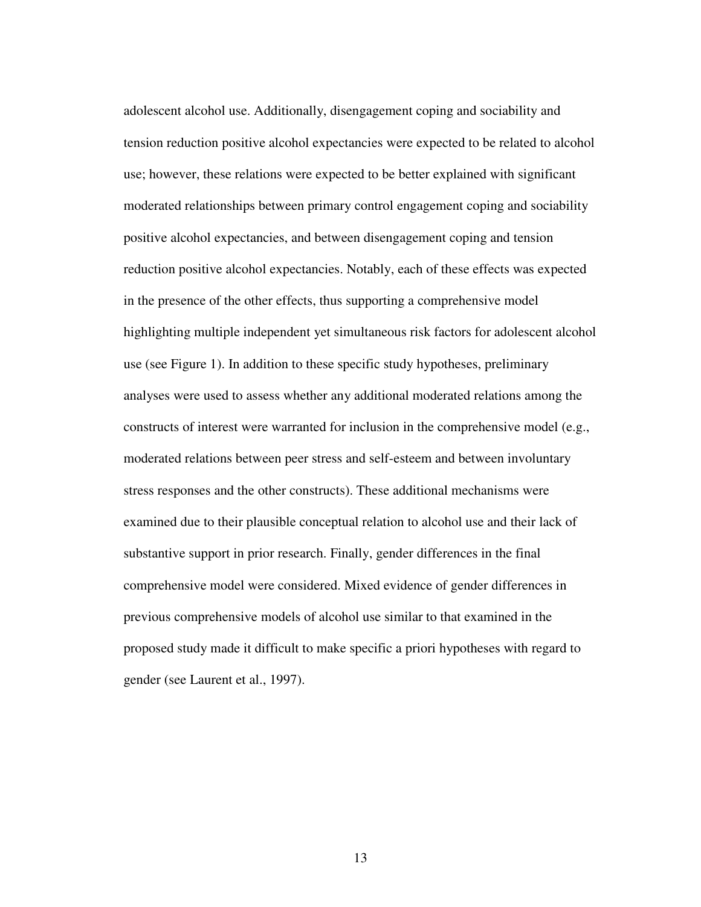adolescent alcohol use. Additionally, disengagement coping and sociability and tension reduction positive alcohol expectancies were expected to be related to alcohol use; however, these relations were expected to be better explained with significant moderated relationships between primary control engagement coping and sociability positive alcohol expectancies, and between disengagement coping and tension reduction positive alcohol expectancies. Notably, each of these effects was expected in the presence of the other effects, thus supporting a comprehensive model highlighting multiple independent yet simultaneous risk factors for adolescent alcohol use (see Figure 1). In addition to these specific study hypotheses, preliminary analyses were used to assess whether any additional moderated relations among the constructs of interest were warranted for inclusion in the comprehensive model (e.g., moderated relations between peer stress and self-esteem and between involuntary stress responses and the other constructs). These additional mechanisms were examined due to their plausible conceptual relation to alcohol use and their lack of substantive support in prior research. Finally, gender differences in the final comprehensive model were considered. Mixed evidence of gender differences in previous comprehensive models of alcohol use similar to that examined in the proposed study made it difficult to make specific a priori hypotheses with regard to gender (see Laurent et al., 1997).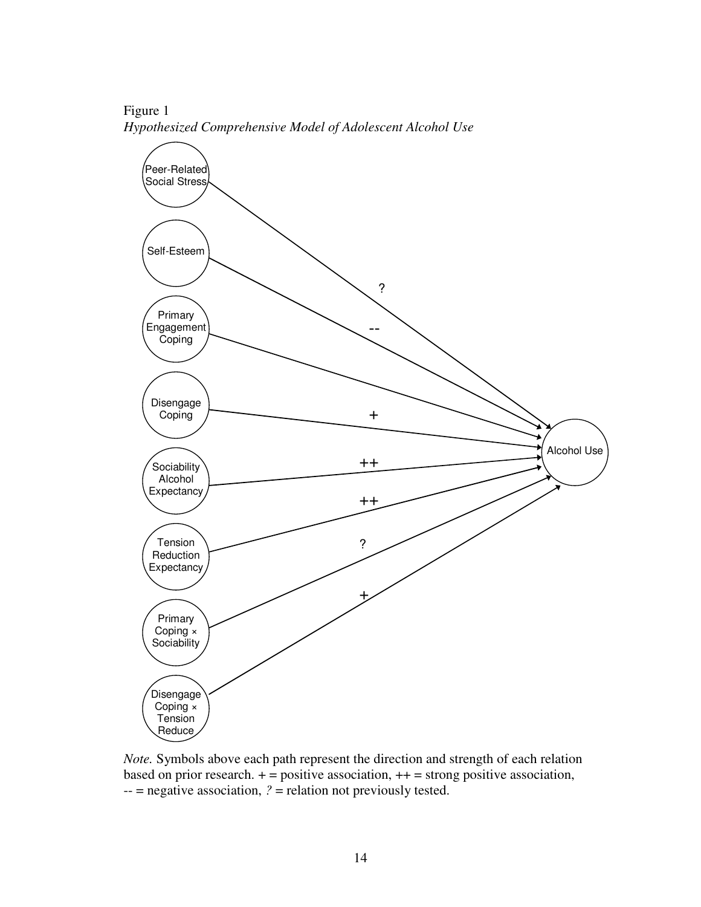Self-Esteem Primary **Engagement** Coping **Sociability** Alcohol Expectancy Alcohol Use Disengage Coping Tension Reduction Expectancy Primary Coping × **Sociability** Disengage Coping × **Tension Reduce** ? -- + ++ ++  $\overline{t}$ ? Peer-Related Social Stress

Figure 1 *Hypothesized Comprehensive Model of Adolescent Alcohol Use* 

*Note.* Symbols above each path represent the direction and strength of each relation based on prior research.  $+$  = positive association,  $++$  = strong positive association, -- = negative association, *?* = relation not previously tested.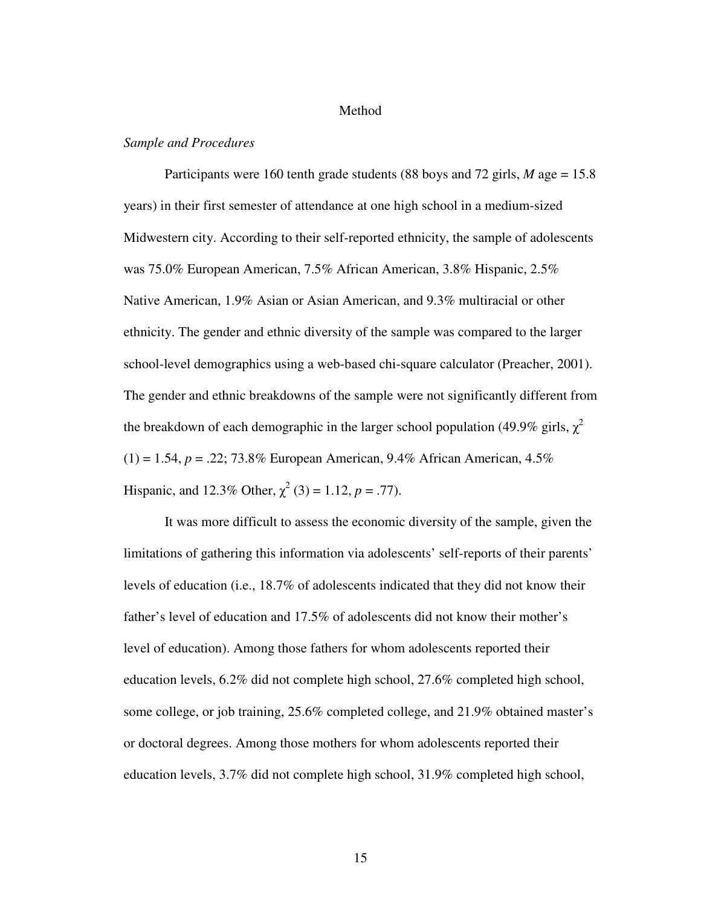#### Method

#### *Sample and Procedures*

Participants were 160 tenth grade students (88 boys and 72 girls, *M* age = 15.8 years) in their first semester of attendance at one high school in a medium-sized Midwestern city. According to their self-reported ethnicity, the sample of adolescents was 75.0% European American, 7.5% African American, 3.8% Hispanic, 2.5% Native American, 1.9% Asian or Asian American, and 9.3% multiracial or other ethnicity. The gender and ethnic diversity of the sample was compared to the larger school-level demographics using a web-based chi-square calculator (Preacher, 2001). The gender and ethnic breakdowns of the sample were not significantly different from the breakdown of each demographic in the larger school population (49.9% girls,  $\chi^2$ (1) = 1.54, *p* = .22; 73.8% European American, 9.4% African American, 4.5% Hispanic, and 12.3% Other,  $\chi^2$  (3) = 1.12, *p* = .77).

It was more difficult to assess the economic diversity of the sample, given the limitations of gathering this information via adolescents' self-reports of their parents' levels of education (i.e., 18.7% of adolescents indicated that they did not know their father's level of education and 17.5% of adolescents did not know their mother's level of education). Among those fathers for whom adolescents reported their education levels, 6.2% did not complete high school, 27.6% completed high school, some college, or job training, 25.6% completed college, and 21.9% obtained master's or doctoral degrees. Among those mothers for whom adolescents reported their education levels, 3.7% did not complete high school, 31.9% completed high school,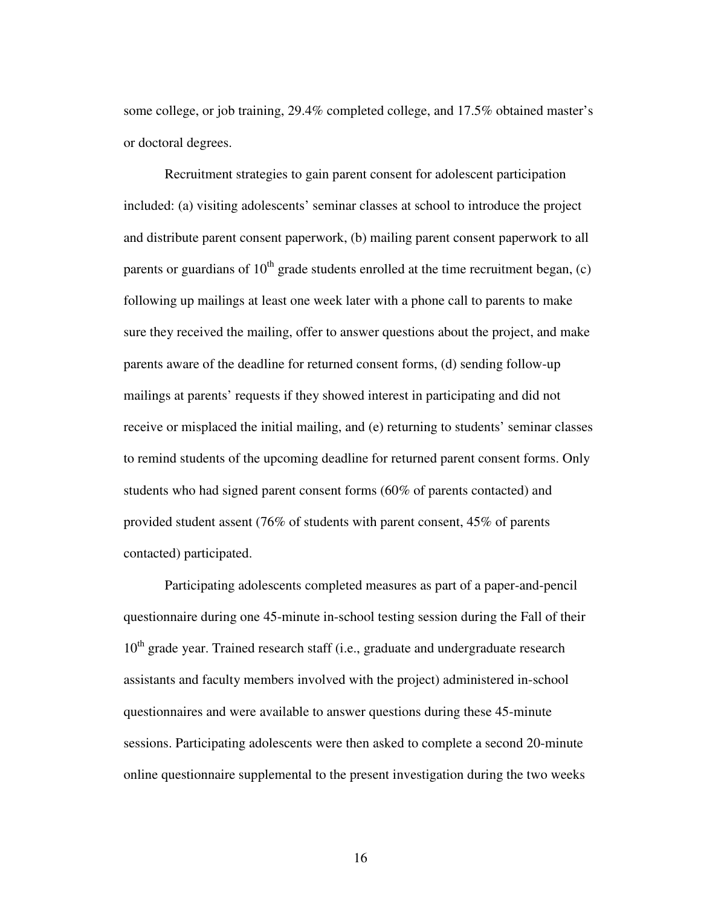some college, or job training, 29.4% completed college, and 17.5% obtained master's or doctoral degrees.

Recruitment strategies to gain parent consent for adolescent participation included: (a) visiting adolescents' seminar classes at school to introduce the project and distribute parent consent paperwork, (b) mailing parent consent paperwork to all parents or guardians of  $10<sup>th</sup>$  grade students enrolled at the time recruitment began, (c) following up mailings at least one week later with a phone call to parents to make sure they received the mailing, offer to answer questions about the project, and make parents aware of the deadline for returned consent forms, (d) sending follow-up mailings at parents' requests if they showed interest in participating and did not receive or misplaced the initial mailing, and (e) returning to students' seminar classes to remind students of the upcoming deadline for returned parent consent forms. Only students who had signed parent consent forms (60% of parents contacted) and provided student assent (76% of students with parent consent, 45% of parents contacted) participated.

Participating adolescents completed measures as part of a paper-and-pencil questionnaire during one 45-minute in-school testing session during the Fall of their  $10<sup>th</sup>$  grade year. Trained research staff (i.e., graduate and undergraduate research assistants and faculty members involved with the project) administered in-school questionnaires and were available to answer questions during these 45-minute sessions. Participating adolescents were then asked to complete a second 20-minute online questionnaire supplemental to the present investigation during the two weeks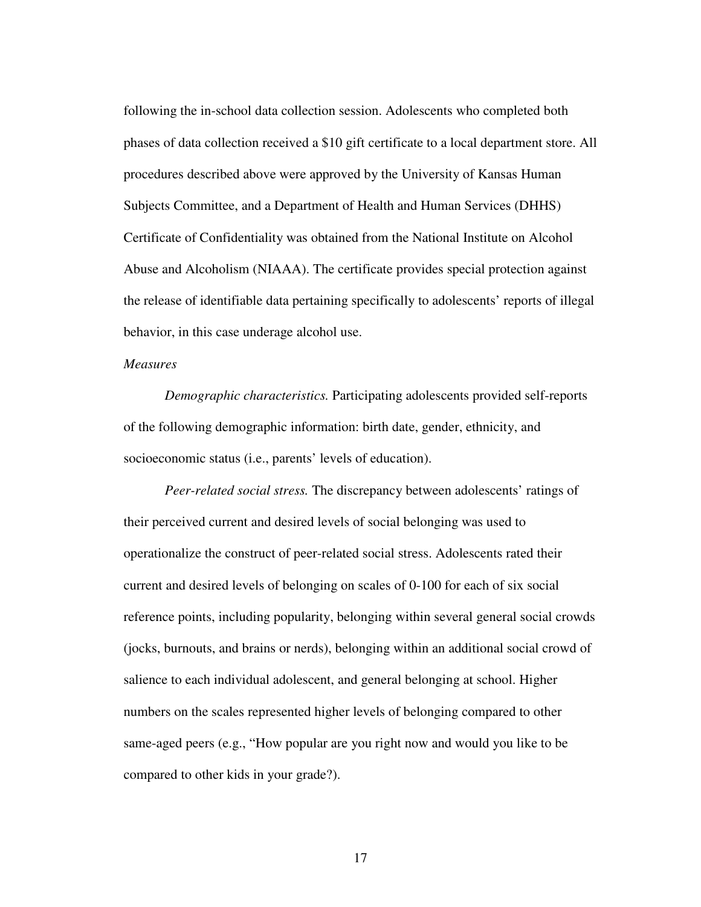following the in-school data collection session. Adolescents who completed both phases of data collection received a \$10 gift certificate to a local department store. All procedures described above were approved by the University of Kansas Human Subjects Committee, and a Department of Health and Human Services (DHHS) Certificate of Confidentiality was obtained from the National Institute on Alcohol Abuse and Alcoholism (NIAAA). The certificate provides special protection against the release of identifiable data pertaining specifically to adolescents' reports of illegal behavior, in this case underage alcohol use.

### *Measures*

*Demographic characteristics.* Participating adolescents provided self-reports of the following demographic information: birth date, gender, ethnicity, and socioeconomic status (i.e., parents' levels of education).

*Peer-related social stress.* The discrepancy between adolescents' ratings of their perceived current and desired levels of social belonging was used to operationalize the construct of peer-related social stress. Adolescents rated their current and desired levels of belonging on scales of 0-100 for each of six social reference points, including popularity, belonging within several general social crowds (jocks, burnouts, and brains or nerds), belonging within an additional social crowd of salience to each individual adolescent, and general belonging at school. Higher numbers on the scales represented higher levels of belonging compared to other same-aged peers (e.g., "How popular are you right now and would you like to be compared to other kids in your grade?).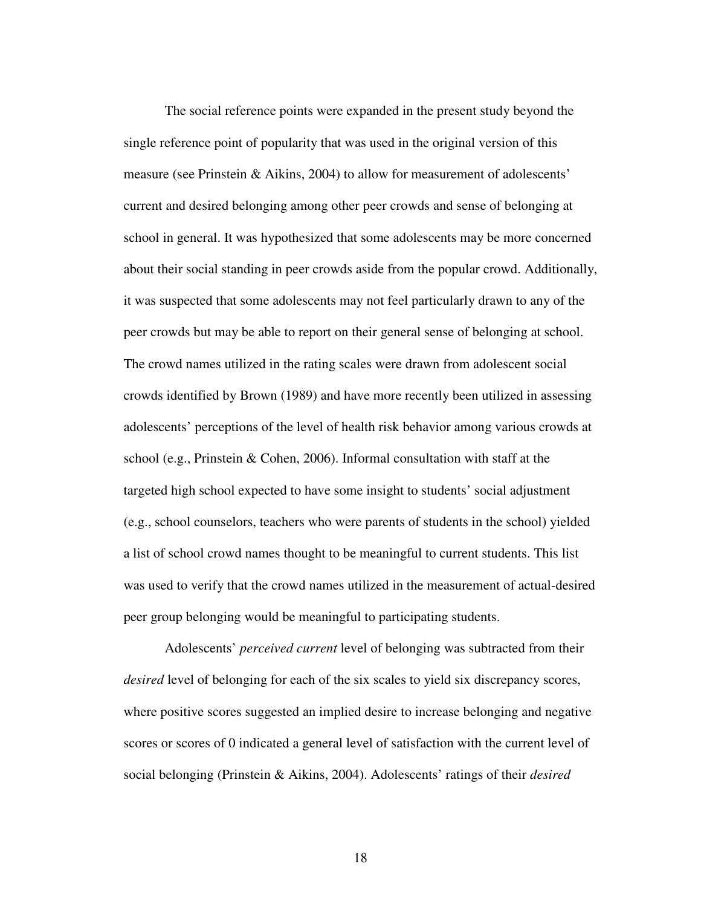The social reference points were expanded in the present study beyond the single reference point of popularity that was used in the original version of this measure (see Prinstein & Aikins, 2004) to allow for measurement of adolescents' current and desired belonging among other peer crowds and sense of belonging at school in general. It was hypothesized that some adolescents may be more concerned about their social standing in peer crowds aside from the popular crowd. Additionally, it was suspected that some adolescents may not feel particularly drawn to any of the peer crowds but may be able to report on their general sense of belonging at school. The crowd names utilized in the rating scales were drawn from adolescent social crowds identified by Brown (1989) and have more recently been utilized in assessing adolescents' perceptions of the level of health risk behavior among various crowds at school (e.g., Prinstein & Cohen, 2006). Informal consultation with staff at the targeted high school expected to have some insight to students' social adjustment (e.g., school counselors, teachers who were parents of students in the school) yielded a list of school crowd names thought to be meaningful to current students. This list was used to verify that the crowd names utilized in the measurement of actual-desired peer group belonging would be meaningful to participating students.

Adolescents' *perceived current* level of belonging was subtracted from their *desired* level of belonging for each of the six scales to yield six discrepancy scores, where positive scores suggested an implied desire to increase belonging and negative scores or scores of 0 indicated a general level of satisfaction with the current level of social belonging (Prinstein & Aikins, 2004). Adolescents' ratings of their *desired*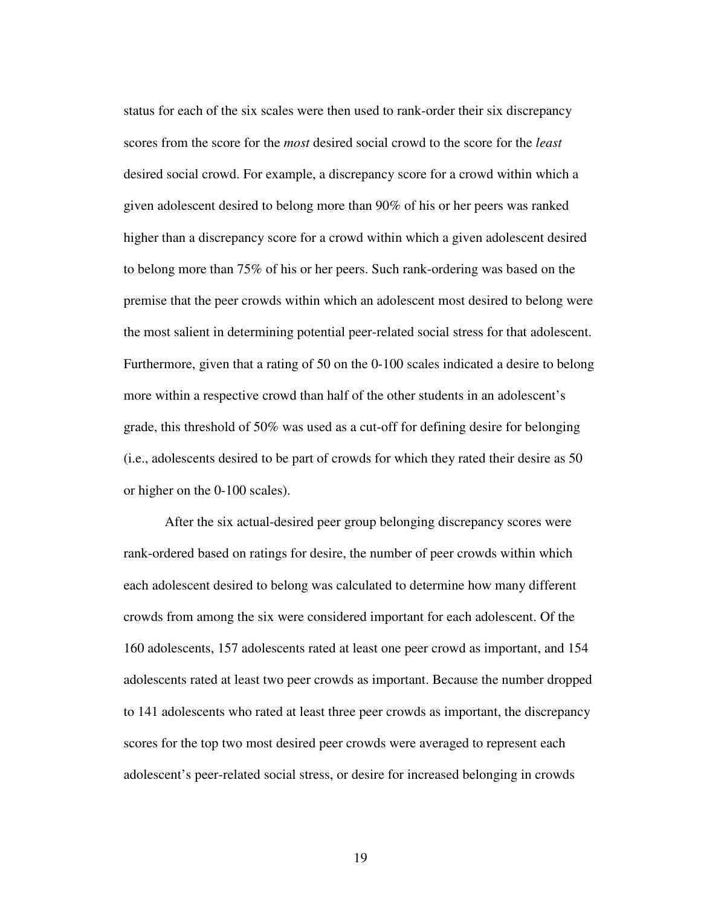status for each of the six scales were then used to rank-order their six discrepancy scores from the score for the *most* desired social crowd to the score for the *least* desired social crowd. For example, a discrepancy score for a crowd within which a given adolescent desired to belong more than 90% of his or her peers was ranked higher than a discrepancy score for a crowd within which a given adolescent desired to belong more than 75% of his or her peers. Such rank-ordering was based on the premise that the peer crowds within which an adolescent most desired to belong were the most salient in determining potential peer-related social stress for that adolescent. Furthermore, given that a rating of 50 on the 0-100 scales indicated a desire to belong more within a respective crowd than half of the other students in an adolescent's grade, this threshold of 50% was used as a cut-off for defining desire for belonging (i.e., adolescents desired to be part of crowds for which they rated their desire as 50 or higher on the 0-100 scales).

After the six actual-desired peer group belonging discrepancy scores were rank-ordered based on ratings for desire, the number of peer crowds within which each adolescent desired to belong was calculated to determine how many different crowds from among the six were considered important for each adolescent. Of the 160 adolescents, 157 adolescents rated at least one peer crowd as important, and 154 adolescents rated at least two peer crowds as important. Because the number dropped to 141 adolescents who rated at least three peer crowds as important, the discrepancy scores for the top two most desired peer crowds were averaged to represent each adolescent's peer-related social stress, or desire for increased belonging in crowds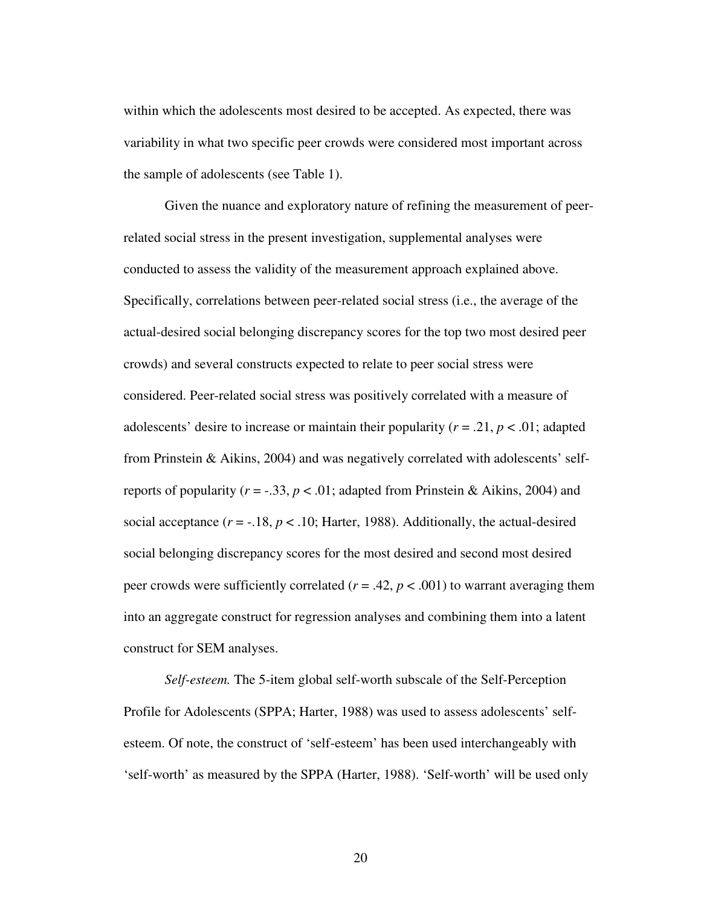within which the adolescents most desired to be accepted. As expected, there was variability in what two specific peer crowds were considered most important across the sample of adolescents (see Table 1).

 Given the nuance and exploratory nature of refining the measurement of peerrelated social stress in the present investigation, supplemental analyses were conducted to assess the validity of the measurement approach explained above. Specifically, correlations between peer-related social stress (i.e., the average of the actual-desired social belonging discrepancy scores for the top two most desired peer crowds) and several constructs expected to relate to peer social stress were considered. Peer-related social stress was positively correlated with a measure of adolescents' desire to increase or maintain their popularity ( $r = .21$ ,  $p < .01$ ; adapted from Prinstein & Aikins, 2004) and was negatively correlated with adolescents' selfreports of popularity ( $r = -.33$ ,  $p < .01$ ; adapted from Prinstein & Aikins, 2004) and social acceptance  $(r = -18, p < 0.10;$  Harter, 1988). Additionally, the actual-desired social belonging discrepancy scores for the most desired and second most desired peer crowds were sufficiently correlated ( $r = .42$ ,  $p < .001$ ) to warrant averaging them into an aggregate construct for regression analyses and combining them into a latent construct for SEM analyses.

*Self-esteem.* The 5-item global self-worth subscale of the Self-Perception Profile for Adolescents (SPPA; Harter, 1988) was used to assess adolescents' selfesteem. Of note, the construct of 'self-esteem' has been used interchangeably with 'self-worth' as measured by the SPPA (Harter, 1988). 'Self-worth' will be used only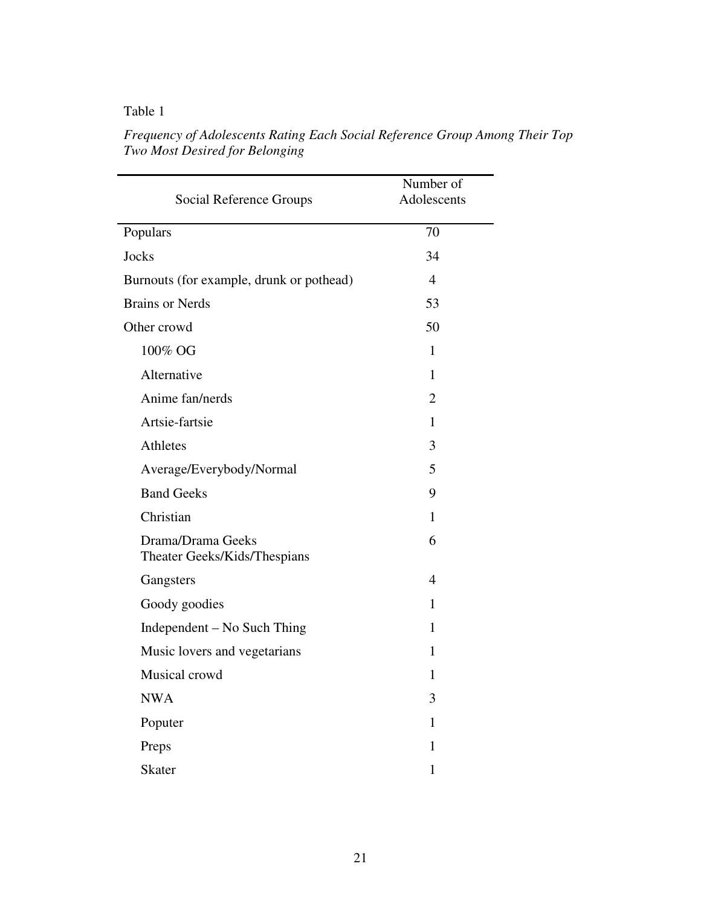# Table 1

| Social Reference Groups                           | Number of<br>Adolescents |
|---------------------------------------------------|--------------------------|
| Populars                                          | 70                       |
| <b>Jocks</b>                                      | 34                       |
| Burnouts (for example, drunk or pothead)          | $\overline{4}$           |
| <b>Brains or Nerds</b>                            | 53                       |
| Other crowd                                       | 50                       |
| 100% OG                                           | 1                        |
| Alternative                                       | $\mathbf{1}$             |
| Anime fan/nerds                                   | $\overline{2}$           |
| Artsie-fartsie                                    | 1                        |
| Athletes                                          | 3                        |
| Average/Everybody/Normal                          | 5                        |
| <b>Band Geeks</b>                                 | 9                        |
| Christian                                         | 1                        |
| Drama/Drama Geeks<br>Theater Geeks/Kids/Thespians | 6                        |
| Gangsters                                         | 4                        |
| Goody goodies                                     | $\mathbf{1}$             |
| Independent - No Such Thing                       | 1                        |
| Music lovers and vegetarians                      | 1                        |
| Musical crowd                                     | 1                        |
| <b>NWA</b>                                        | 3                        |
| Poputer                                           | $\mathbf{1}$             |
| Preps                                             | 1                        |
| <b>Skater</b>                                     | $\mathbf{1}$             |

*Frequency of Adolescents Rating Each Social Reference Group Among Their Top Two Most Desired for Belonging*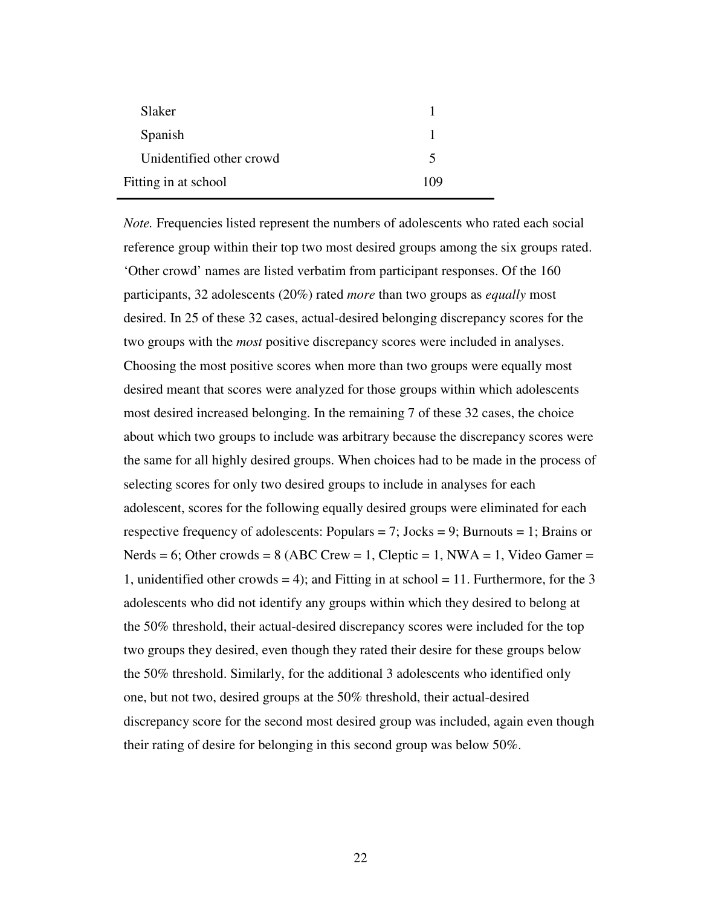| <b>Slaker</b>            |     |
|--------------------------|-----|
| Spanish                  |     |
| Unidentified other crowd | 5   |
| Fitting in at school     | 109 |
|                          |     |

*Note.* Frequencies listed represent the numbers of adolescents who rated each social reference group within their top two most desired groups among the six groups rated. 'Other crowd' names are listed verbatim from participant responses. Of the 160 participants, 32 adolescents (20%) rated *more* than two groups as *equally* most desired. In 25 of these 32 cases, actual-desired belonging discrepancy scores for the two groups with the *most* positive discrepancy scores were included in analyses. Choosing the most positive scores when more than two groups were equally most desired meant that scores were analyzed for those groups within which adolescents most desired increased belonging. In the remaining 7 of these 32 cases, the choice about which two groups to include was arbitrary because the discrepancy scores were the same for all highly desired groups. When choices had to be made in the process of selecting scores for only two desired groups to include in analyses for each adolescent, scores for the following equally desired groups were eliminated for each respective frequency of adolescents: Populars = 7; Jocks = 9; Burnouts = 1; Brains or Nerds = 6; Other crowds = 8 (ABC Crew = 1, Cleptic = 1, NWA = 1, Video Gamer = 1, unidentified other crowds = 4); and Fitting in at school = 11. Furthermore, for the 3 adolescents who did not identify any groups within which they desired to belong at the 50% threshold, their actual-desired discrepancy scores were included for the top two groups they desired, even though they rated their desire for these groups below the 50% threshold. Similarly, for the additional 3 adolescents who identified only one, but not two, desired groups at the 50% threshold, their actual-desired discrepancy score for the second most desired group was included, again even though their rating of desire for belonging in this second group was below 50%.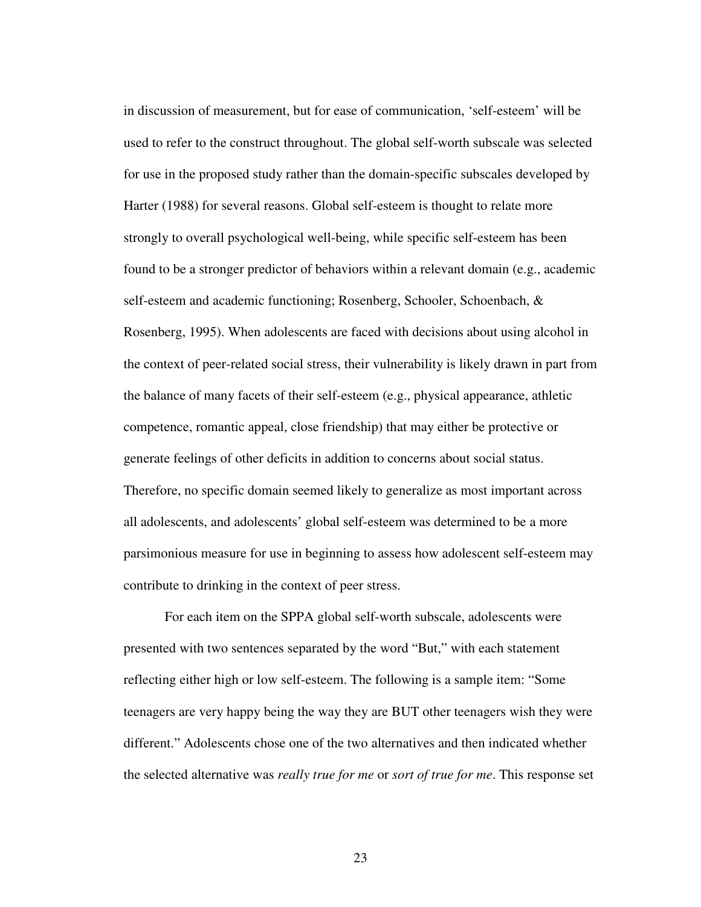in discussion of measurement, but for ease of communication, 'self-esteem' will be used to refer to the construct throughout. The global self-worth subscale was selected for use in the proposed study rather than the domain-specific subscales developed by Harter (1988) for several reasons. Global self-esteem is thought to relate more strongly to overall psychological well-being, while specific self-esteem has been found to be a stronger predictor of behaviors within a relevant domain (e.g., academic self-esteem and academic functioning; Rosenberg, Schooler, Schoenbach, & Rosenberg, 1995). When adolescents are faced with decisions about using alcohol in the context of peer-related social stress, their vulnerability is likely drawn in part from the balance of many facets of their self-esteem (e.g., physical appearance, athletic competence, romantic appeal, close friendship) that may either be protective or generate feelings of other deficits in addition to concerns about social status. Therefore, no specific domain seemed likely to generalize as most important across all adolescents, and adolescents' global self-esteem was determined to be a more parsimonious measure for use in beginning to assess how adolescent self-esteem may contribute to drinking in the context of peer stress.

For each item on the SPPA global self-worth subscale, adolescents were presented with two sentences separated by the word "But," with each statement reflecting either high or low self-esteem. The following is a sample item: "Some teenagers are very happy being the way they are BUT other teenagers wish they were different." Adolescents chose one of the two alternatives and then indicated whether the selected alternative was *really true for me* or *sort of true for me*. This response set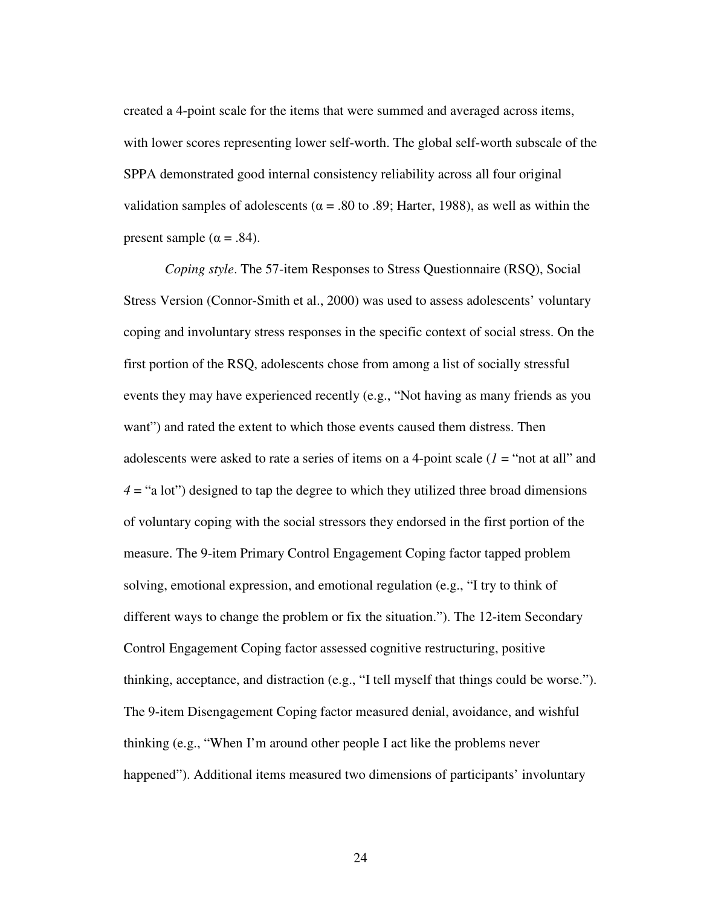created a 4-point scale for the items that were summed and averaged across items, with lower scores representing lower self-worth. The global self-worth subscale of the SPPA demonstrated good internal consistency reliability across all four original validation samples of adolescents ( $\alpha$  = .80 to .89; Harter, 1988), as well as within the present sample ( $\alpha$  = .84).

*Coping style*. The 57-item Responses to Stress Questionnaire (RSQ), Social Stress Version (Connor-Smith et al., 2000) was used to assess adolescents' voluntary coping and involuntary stress responses in the specific context of social stress. On the first portion of the RSQ, adolescents chose from among a list of socially stressful events they may have experienced recently (e.g., "Not having as many friends as you want") and rated the extent to which those events caused them distress. Then adolescents were asked to rate a series of items on a 4-point scale  $(I = "not at all" and$ *4* = "a lot") designed to tap the degree to which they utilized three broad dimensions of voluntary coping with the social stressors they endorsed in the first portion of the measure. The 9-item Primary Control Engagement Coping factor tapped problem solving, emotional expression, and emotional regulation (e.g., "I try to think of different ways to change the problem or fix the situation."). The 12-item Secondary Control Engagement Coping factor assessed cognitive restructuring, positive thinking, acceptance, and distraction (e.g., "I tell myself that things could be worse."). The 9-item Disengagement Coping factor measured denial, avoidance, and wishful thinking (e.g., "When I'm around other people I act like the problems never happened"). Additional items measured two dimensions of participants' involuntary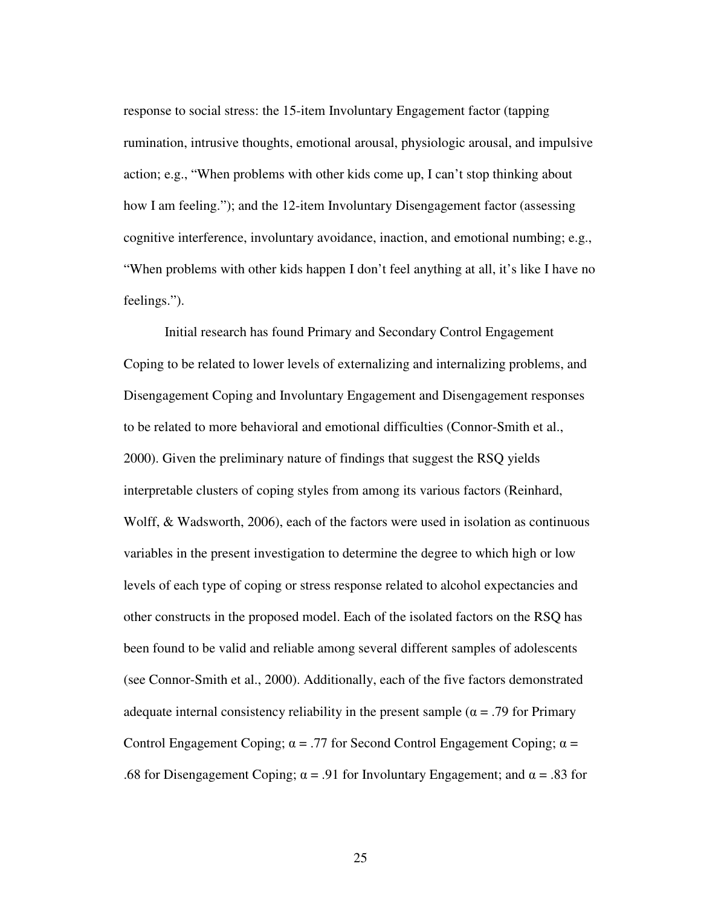response to social stress: the 15-item Involuntary Engagement factor (tapping rumination, intrusive thoughts, emotional arousal, physiologic arousal, and impulsive action; e.g., "When problems with other kids come up, I can't stop thinking about how I am feeling."); and the 12-item Involuntary Disengagement factor (assessing cognitive interference, involuntary avoidance, inaction, and emotional numbing; e.g., "When problems with other kids happen I don't feel anything at all, it's like I have no feelings.").

Initial research has found Primary and Secondary Control Engagement Coping to be related to lower levels of externalizing and internalizing problems, and Disengagement Coping and Involuntary Engagement and Disengagement responses to be related to more behavioral and emotional difficulties (Connor-Smith et al., 2000). Given the preliminary nature of findings that suggest the RSQ yields interpretable clusters of coping styles from among its various factors (Reinhard, Wolff, & Wadsworth, 2006), each of the factors were used in isolation as continuous variables in the present investigation to determine the degree to which high or low levels of each type of coping or stress response related to alcohol expectancies and other constructs in the proposed model. Each of the isolated factors on the RSQ has been found to be valid and reliable among several different samples of adolescents (see Connor-Smith et al., 2000). Additionally, each of the five factors demonstrated adequate internal consistency reliability in the present sample ( $\alpha$  = .79 for Primary Control Engagement Coping;  $\alpha = .77$  for Second Control Engagement Coping;  $\alpha =$ .68 for Disengagement Coping;  $\alpha$  = .91 for Involuntary Engagement; and  $\alpha$  = .83 for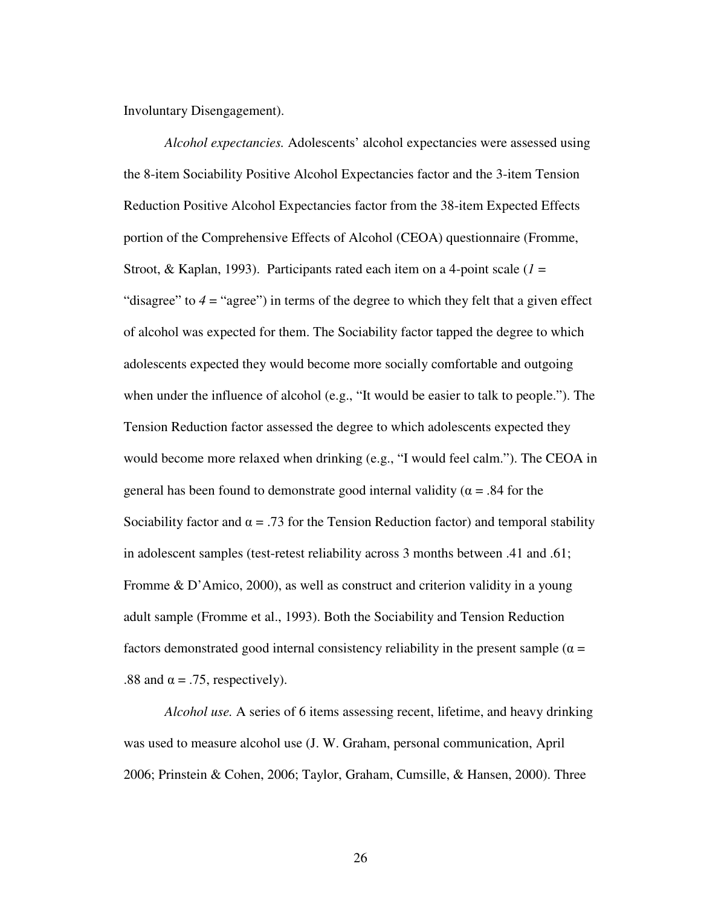Involuntary Disengagement).

*Alcohol expectancies.* Adolescents' alcohol expectancies were assessed using the 8-item Sociability Positive Alcohol Expectancies factor and the 3-item Tension Reduction Positive Alcohol Expectancies factor from the 38-item Expected Effects portion of the Comprehensive Effects of Alcohol (CEOA) questionnaire (Fromme, Stroot, & Kaplan, 1993). Participants rated each item on a 4-point scale (*1* = "disagree" to *4* = "agree") in terms of the degree to which they felt that a given effect of alcohol was expected for them. The Sociability factor tapped the degree to which adolescents expected they would become more socially comfortable and outgoing when under the influence of alcohol (e.g., "It would be easier to talk to people."). The Tension Reduction factor assessed the degree to which adolescents expected they would become more relaxed when drinking (e.g., "I would feel calm."). The CEOA in general has been found to demonstrate good internal validity ( $\alpha$  = .84 for the Sociability factor and  $\alpha = .73$  for the Tension Reduction factor) and temporal stability in adolescent samples (test-retest reliability across 3 months between .41 and .61; Fromme & D'Amico, 2000), as well as construct and criterion validity in a young adult sample (Fromme et al., 1993). Both the Sociability and Tension Reduction factors demonstrated good internal consistency reliability in the present sample ( $\alpha$  = .88 and  $\alpha = .75$ , respectively).

*Alcohol use.* A series of 6 items assessing recent, lifetime, and heavy drinking was used to measure alcohol use (J. W. Graham, personal communication, April 2006; Prinstein & Cohen, 2006; Taylor, Graham, Cumsille, & Hansen, 2000). Three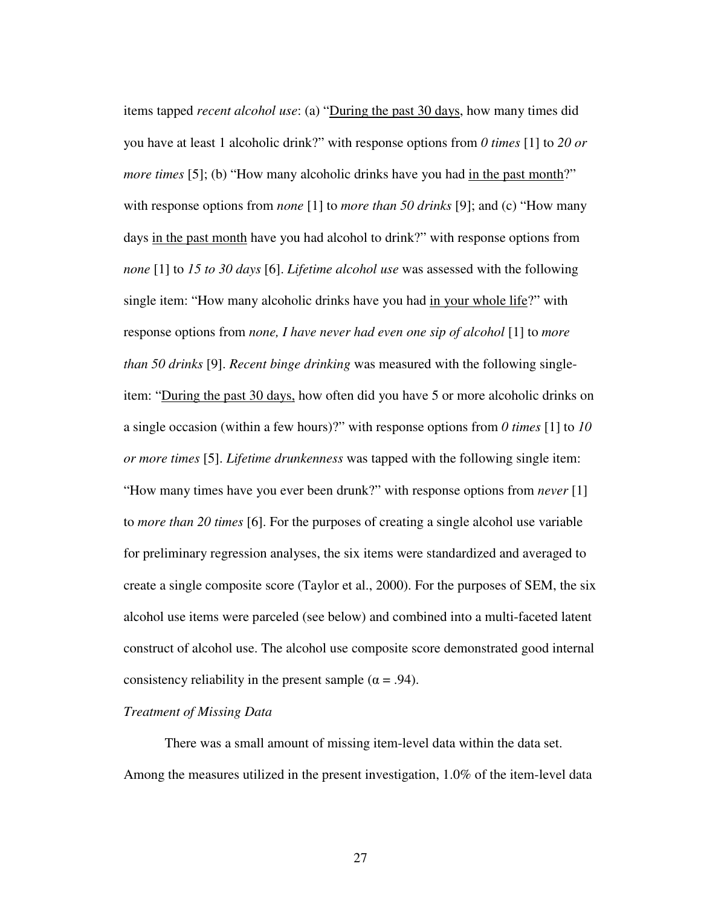items tapped *recent alcohol use*: (a) "During the past 30 days, how many times did you have at least 1 alcoholic drink?" with response options from *0 times* [1] to *20 or more times* [5]; (b) "How many alcoholic drinks have you had <u>in the past month</u>?" with response options from *none* [1] to *more than 50 drinks* [9]; and (c) "How many days in the past month have you had alcohol to drink?" with response options from *none* [1] to *15 to 30 days* [6]. *Lifetime alcohol use* was assessed with the following single item: "How many alcoholic drinks have you had in your whole life?" with response options from *none, I have never had even one sip of alcohol* [1] to *more than 50 drinks* [9]. *Recent binge drinking* was measured with the following singleitem: "During the past 30 days, how often did you have 5 or more alcoholic drinks on a single occasion (within a few hours)?" with response options from *0 times* [1] to *10 or more times* [5]. *Lifetime drunkenness* was tapped with the following single item: "How many times have you ever been drunk?" with response options from *never* [1] to *more than 20 times* [6]. For the purposes of creating a single alcohol use variable for preliminary regression analyses, the six items were standardized and averaged to create a single composite score (Taylor et al., 2000). For the purposes of SEM, the six alcohol use items were parceled (see below) and combined into a multi-faceted latent construct of alcohol use. The alcohol use composite score demonstrated good internal consistency reliability in the present sample ( $\alpha$  = .94).

## *Treatment of Missing Data*

 There was a small amount of missing item-level data within the data set. Among the measures utilized in the present investigation, 1.0% of the item-level data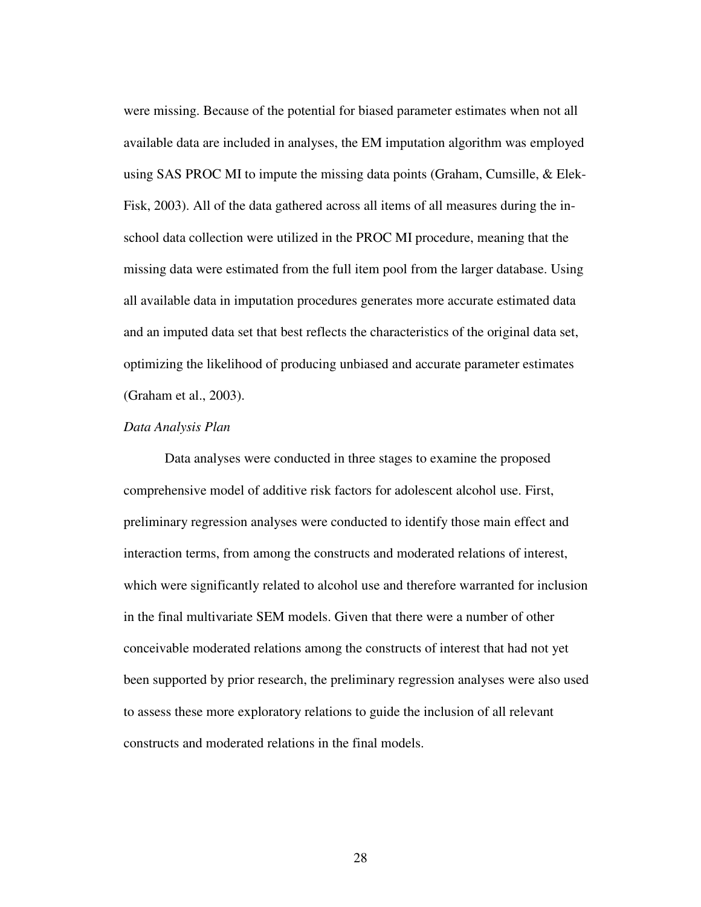were missing. Because of the potential for biased parameter estimates when not all available data are included in analyses, the EM imputation algorithm was employed using SAS PROC MI to impute the missing data points (Graham, Cumsille, & Elek-Fisk, 2003). All of the data gathered across all items of all measures during the inschool data collection were utilized in the PROC MI procedure, meaning that the missing data were estimated from the full item pool from the larger database. Using all available data in imputation procedures generates more accurate estimated data and an imputed data set that best reflects the characteristics of the original data set, optimizing the likelihood of producing unbiased and accurate parameter estimates (Graham et al., 2003).

#### *Data Analysis Plan*

Data analyses were conducted in three stages to examine the proposed comprehensive model of additive risk factors for adolescent alcohol use. First, preliminary regression analyses were conducted to identify those main effect and interaction terms, from among the constructs and moderated relations of interest, which were significantly related to alcohol use and therefore warranted for inclusion in the final multivariate SEM models. Given that there were a number of other conceivable moderated relations among the constructs of interest that had not yet been supported by prior research, the preliminary regression analyses were also used to assess these more exploratory relations to guide the inclusion of all relevant constructs and moderated relations in the final models.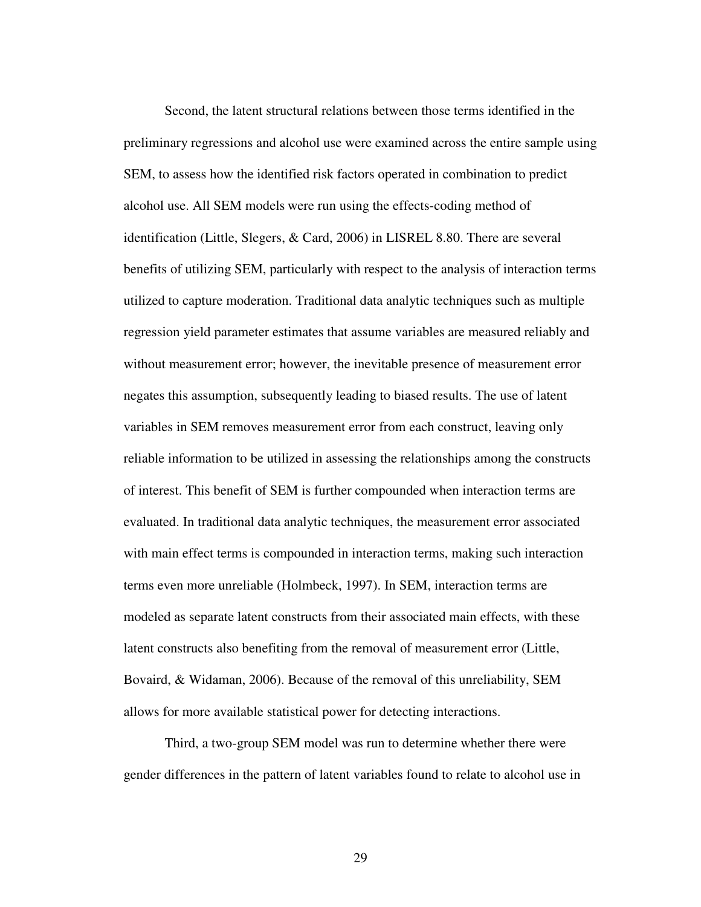Second, the latent structural relations between those terms identified in the preliminary regressions and alcohol use were examined across the entire sample using SEM, to assess how the identified risk factors operated in combination to predict alcohol use. All SEM models were run using the effects-coding method of identification (Little, Slegers, & Card, 2006) in LISREL 8.80. There are several benefits of utilizing SEM, particularly with respect to the analysis of interaction terms utilized to capture moderation. Traditional data analytic techniques such as multiple regression yield parameter estimates that assume variables are measured reliably and without measurement error; however, the inevitable presence of measurement error negates this assumption, subsequently leading to biased results. The use of latent variables in SEM removes measurement error from each construct, leaving only reliable information to be utilized in assessing the relationships among the constructs of interest. This benefit of SEM is further compounded when interaction terms are evaluated. In traditional data analytic techniques, the measurement error associated with main effect terms is compounded in interaction terms, making such interaction terms even more unreliable (Holmbeck, 1997). In SEM, interaction terms are modeled as separate latent constructs from their associated main effects, with these latent constructs also benefiting from the removal of measurement error (Little, Bovaird, & Widaman, 2006). Because of the removal of this unreliability, SEM allows for more available statistical power for detecting interactions.

Third, a two-group SEM model was run to determine whether there were gender differences in the pattern of latent variables found to relate to alcohol use in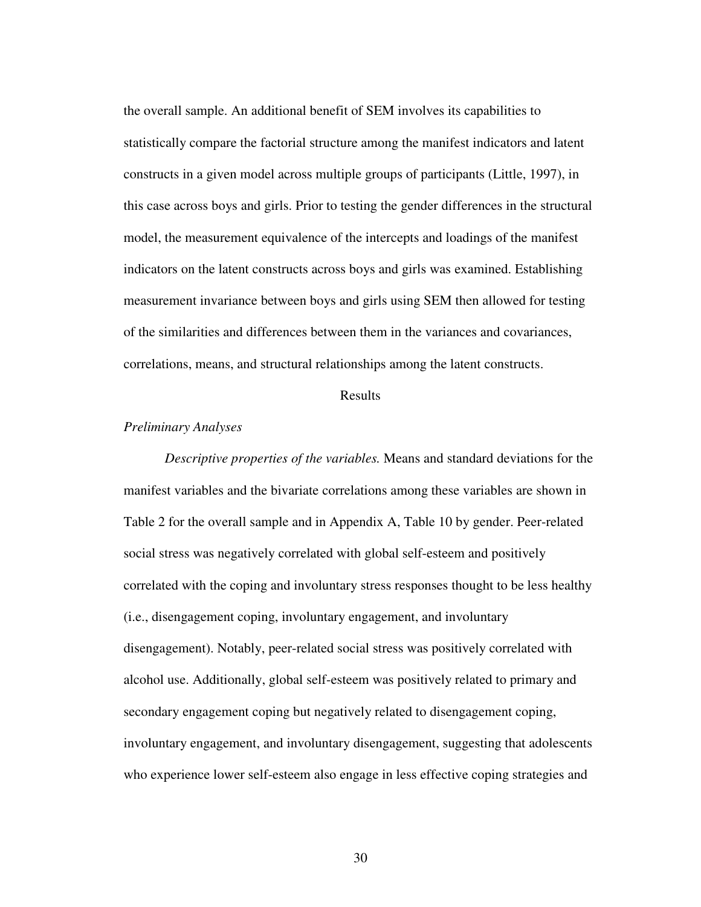the overall sample. An additional benefit of SEM involves its capabilities to statistically compare the factorial structure among the manifest indicators and latent constructs in a given model across multiple groups of participants (Little, 1997), in this case across boys and girls. Prior to testing the gender differences in the structural model, the measurement equivalence of the intercepts and loadings of the manifest indicators on the latent constructs across boys and girls was examined. Establishing measurement invariance between boys and girls using SEM then allowed for testing of the similarities and differences between them in the variances and covariances, correlations, means, and structural relationships among the latent constructs.

### Results

#### *Preliminary Analyses*

*Descriptive properties of the variables.* Means and standard deviations for the manifest variables and the bivariate correlations among these variables are shown in Table 2 for the overall sample and in Appendix A, Table 10 by gender. Peer-related social stress was negatively correlated with global self-esteem and positively correlated with the coping and involuntary stress responses thought to be less healthy (i.e., disengagement coping, involuntary engagement, and involuntary disengagement). Notably, peer-related social stress was positively correlated with alcohol use. Additionally, global self-esteem was positively related to primary and secondary engagement coping but negatively related to disengagement coping, involuntary engagement, and involuntary disengagement, suggesting that adolescents who experience lower self-esteem also engage in less effective coping strategies and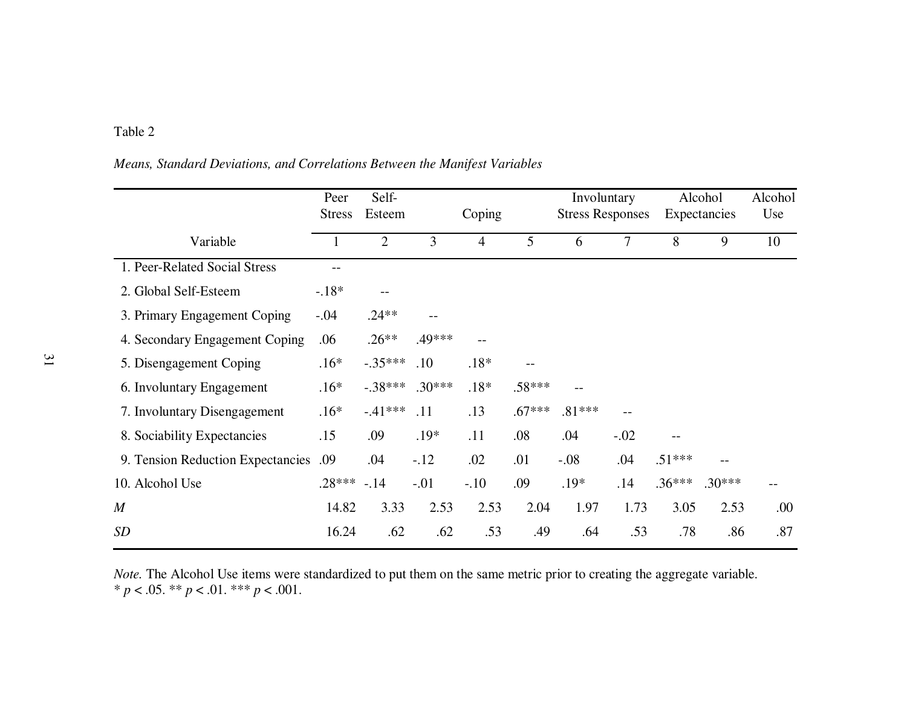## Table 2

## *Means, Standard Deviations, and Correlations Between the Manifest Variables*

|                                   | Peer<br><b>Stress</b> | Self-<br>Esteem |          | Coping         |          | Involuntary<br><b>Stress Responses</b> |        |          | Alcohol<br>Expectancies | Alcohol<br>Use |
|-----------------------------------|-----------------------|-----------------|----------|----------------|----------|----------------------------------------|--------|----------|-------------------------|----------------|
| Variable                          | $\mathbf{I}$          | $\overline{2}$  | 3        | $\overline{4}$ | 5        | 6                                      | 7      | 8        | 9                       | 10             |
| 1. Peer-Related Social Stress     |                       |                 |          |                |          |                                        |        |          |                         |                |
| 2. Global Self-Esteem             | $-18*$                |                 |          |                |          |                                        |        |          |                         |                |
| 3. Primary Engagement Coping      | $-.04$                | $.24**$         |          |                |          |                                        |        |          |                         |                |
| 4. Secondary Engagement Coping    | .06                   | $.26**$         | $.49***$ |                |          |                                        |        |          |                         |                |
| 5. Disengagement Coping           | $.16*$                | $-.35***$       | .10      | $.18*$         |          |                                        |        |          |                         |                |
| 6. Involuntary Engagement         | $.16*$                | $-.38***$       | $.30***$ | $.18*$         | $.58***$ |                                        |        |          |                         |                |
| 7. Involuntary Disengagement      | $.16*$                | $-.41***$       | .11      | .13            | $.67***$ | $.81***$                               |        |          |                         |                |
| 8. Sociability Expectancies       | .15                   | .09             | $.19*$   | .11            | .08      | .04                                    | $-.02$ |          |                         |                |
| 9. Tension Reduction Expectancies | .09                   | .04             | $-.12$   | .02            | .01      | $-.08$                                 | .04    | $.51***$ |                         |                |
| 10. Alcohol Use                   | $.28***$              | $-.14$          | $-.01$   | $-.10$         | .09      | $.19*$                                 | .14    | $.36***$ | $.30***$                |                |
| M                                 | 14.82                 | 3.33            | 2.53     | 2.53           | 2.04     | 1.97                                   | 1.73   | 3.05     | 2.53                    | .00            |
| SD                                | 16.24                 | .62             | .62      | .53            | .49      | .64                                    | .53    | .78      | .86                     | .87            |

*Note*. The Alcohol Use items were standardized to put them on the same metric prior to creating the aggregate variable.  $* p < .05$ .  $** p < .01$ .  $** p < .001$ .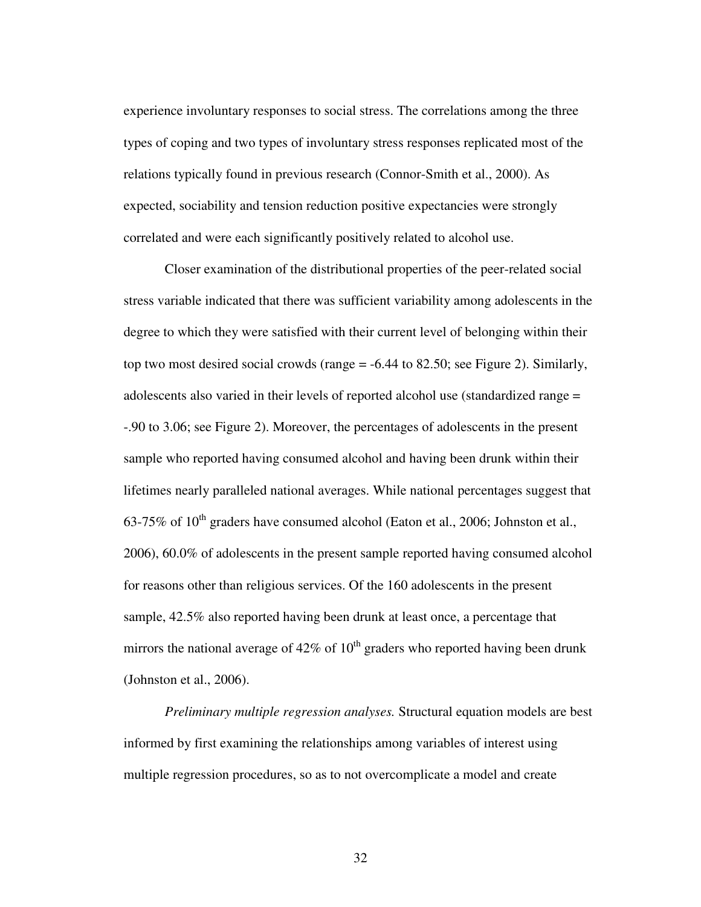experience involuntary responses to social stress. The correlations among the three types of coping and two types of involuntary stress responses replicated most of the relations typically found in previous research (Connor-Smith et al., 2000). As expected, sociability and tension reduction positive expectancies were strongly correlated and were each significantly positively related to alcohol use.

Closer examination of the distributional properties of the peer-related social stress variable indicated that there was sufficient variability among adolescents in the degree to which they were satisfied with their current level of belonging within their top two most desired social crowds (range  $= -6.44$  to 82.50; see Figure 2). Similarly, adolescents also varied in their levels of reported alcohol use (standardized range = -.90 to 3.06; see Figure 2). Moreover, the percentages of adolescents in the present sample who reported having consumed alcohol and having been drunk within their lifetimes nearly paralleled national averages. While national percentages suggest that 63-75% of  $10^{th}$  graders have consumed alcohol (Eaton et al., 2006; Johnston et al., 2006), 60.0% of adolescents in the present sample reported having consumed alcohol for reasons other than religious services. Of the 160 adolescents in the present sample, 42.5% also reported having been drunk at least once, a percentage that mirrors the national average of 42% of  $10<sup>th</sup>$  graders who reported having been drunk (Johnston et al., 2006).

*Preliminary multiple regression analyses.* Structural equation models are best informed by first examining the relationships among variables of interest using multiple regression procedures, so as to not overcomplicate a model and create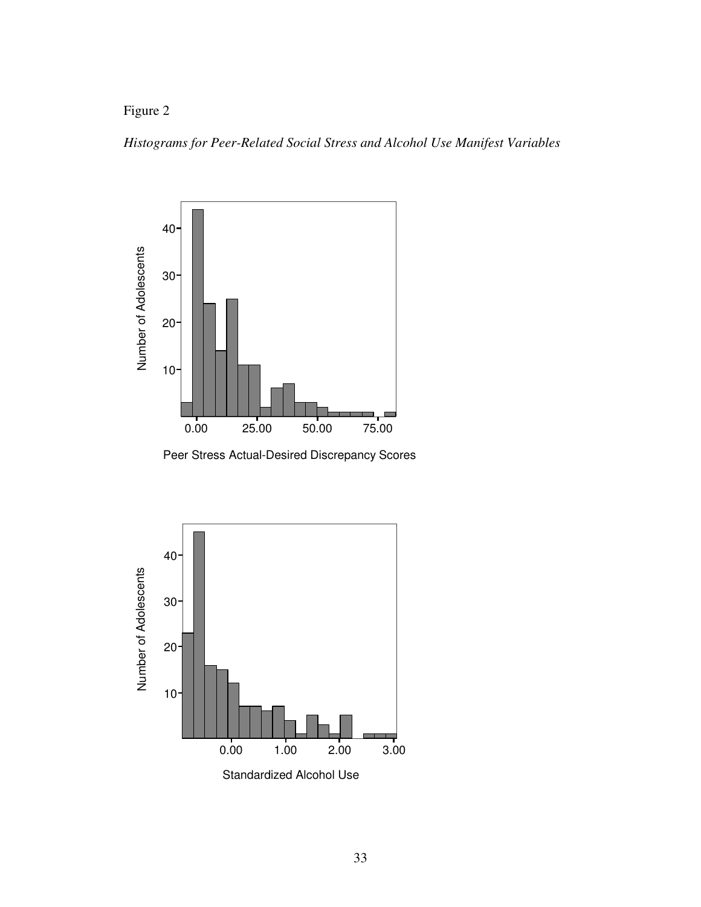# Figure 2

*Histograms for Peer-Related Social Stress and Alcohol Use Manifest Variables* 



Peer Stress Actual-Desired Discrepancy Scores

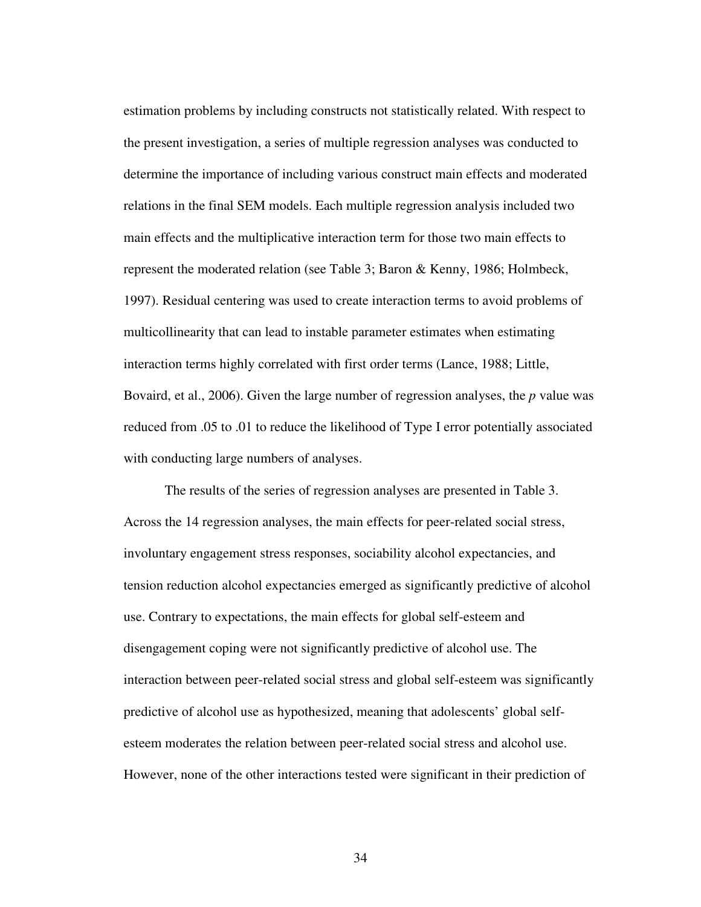estimation problems by including constructs not statistically related. With respect to the present investigation, a series of multiple regression analyses was conducted to determine the importance of including various construct main effects and moderated relations in the final SEM models. Each multiple regression analysis included two main effects and the multiplicative interaction term for those two main effects to represent the moderated relation (see Table 3; Baron & Kenny, 1986; Holmbeck, 1997). Residual centering was used to create interaction terms to avoid problems of multicollinearity that can lead to instable parameter estimates when estimating interaction terms highly correlated with first order terms (Lance, 1988; Little, Bovaird, et al., 2006). Given the large number of regression analyses, the *p* value was reduced from .05 to .01 to reduce the likelihood of Type I error potentially associated with conducting large numbers of analyses.

 The results of the series of regression analyses are presented in Table 3. Across the 14 regression analyses, the main effects for peer-related social stress, involuntary engagement stress responses, sociability alcohol expectancies, and tension reduction alcohol expectancies emerged as significantly predictive of alcohol use. Contrary to expectations, the main effects for global self-esteem and disengagement coping were not significantly predictive of alcohol use. The interaction between peer-related social stress and global self-esteem was significantly predictive of alcohol use as hypothesized, meaning that adolescents' global selfesteem moderates the relation between peer-related social stress and alcohol use. However, none of the other interactions tested were significant in their prediction of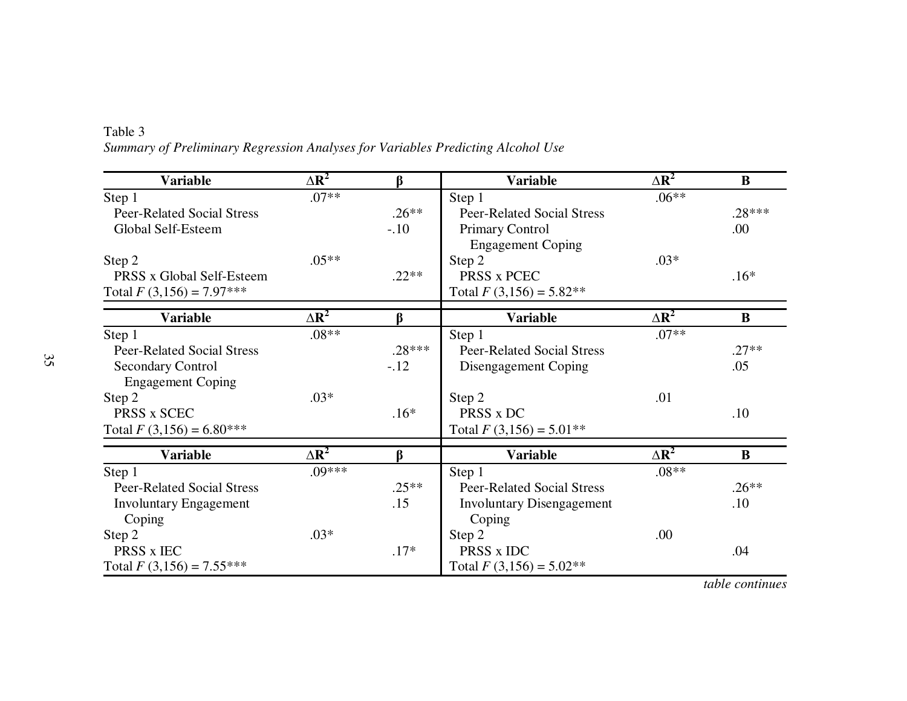| <b>Variable</b>                   | $\Delta R^2$ | ß        | <b>Variable</b>                   | $\Delta R^2$ | $\bf{B}$ |
|-----------------------------------|--------------|----------|-----------------------------------|--------------|----------|
| Step 1                            | $.07**$      |          | Step 1                            | $.06**$      |          |
| <b>Peer-Related Social Stress</b> |              | $.26**$  | <b>Peer-Related Social Stress</b> |              | $.28***$ |
| Global Self-Esteem                |              | $-.10$   | Primary Control                   |              | .00.     |
|                                   |              |          | <b>Engagement Coping</b>          |              |          |
| Step 2                            | $.05**$      |          | Step 2                            | $.03*$       |          |
| PRSS x Global Self-Esteem         |              | $.22**$  | PRSS x PCEC                       |              | $.16*$   |
| Total $F(3,156) = 7.97***$        |              |          | Total $F(3,156) = 5.82**$         |              |          |
| <b>Variable</b>                   | $\Delta R^2$ | β        | <b>Variable</b>                   | $\Delta R^2$ | $\bf{B}$ |
| Step 1                            | $.08**$      |          | Step 1                            | $.07**$      |          |
| <b>Peer-Related Social Stress</b> |              | $.28***$ | <b>Peer-Related Social Stress</b> |              | $.27**$  |
| <b>Secondary Control</b>          |              | $-.12$   | Disengagement Coping              |              | .05      |
| <b>Engagement Coping</b>          |              |          |                                   |              |          |
| Step 2                            | $.03*$       |          | Step 2                            | .01          |          |
| PRSS x SCEC                       |              | $.16*$   | PRSS x DC                         |              | .10      |
| Total $F(3,156) = 6.80***$        |              |          | Total $F(3,156) = 5.01**$         |              |          |
| <b>Variable</b>                   | $\Delta R^2$ | $\beta$  | <b>Variable</b>                   | $\Delta R^2$ | $\bf{B}$ |
| Step 1                            | $.09***$     |          | Step 1                            | $.08**$      |          |
| <b>Peer-Related Social Stress</b> |              | $.25**$  | <b>Peer-Related Social Stress</b> |              | $.26**$  |
| <b>Involuntary Engagement</b>     |              | .15      | <b>Involuntary Disengagement</b>  |              | .10      |
| Coping                            |              |          | Coping                            |              |          |
| Step 2                            | $.03*$       |          | Step 2                            | .00          |          |
| PRSS x IEC                        |              | $.17*$   | PRSS x IDC                        |              | .04      |
| Total $F(3,156) = 7.55***$        |              |          | Total $F(3,156) = 5.02**$         |              |          |

Table 3 *Summary of Preliminary Regression Analyses for Variables Predicting Alcohol Use* 

*table continues*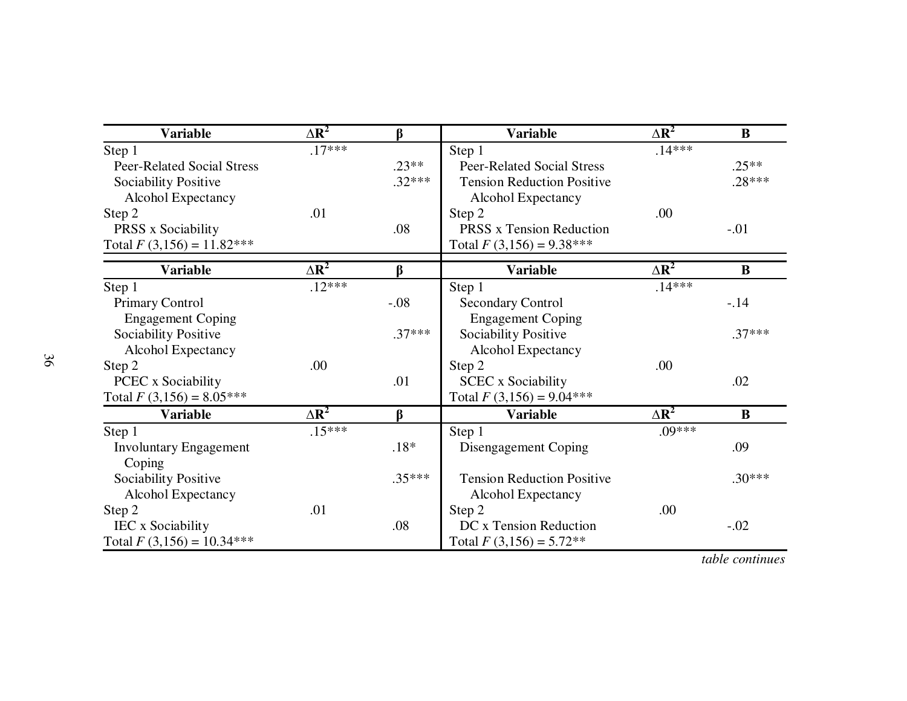| <b>Variable</b>                   | $\Delta \mathbf{R}^2$ | $\beta$  | <b>Variable</b>                   | $\Delta \textbf{R}^2$ | $\bf{B}$ |
|-----------------------------------|-----------------------|----------|-----------------------------------|-----------------------|----------|
| Step 1                            | $.17***$              |          | Step 1                            | $.14***$              |          |
| <b>Peer-Related Social Stress</b> |                       | $.23**$  | Peer-Related Social Stress        |                       | $.25**$  |
| Sociability Positive              |                       | $.32***$ | <b>Tension Reduction Positive</b> |                       | $.28***$ |
| Alcohol Expectancy                |                       |          | Alcohol Expectancy                |                       |          |
| Step 2                            | .01                   |          | Step 2                            | .00                   |          |
| PRSS x Sociability                |                       | .08      | <b>PRSS</b> x Tension Reduction   |                       | $-.01$   |
| Total $F(3,156) = 11.82***$       |                       |          | Total $F(3,156) = 9.38***$        |                       |          |
| <b>Variable</b>                   | $\Delta \mathbf{R}^2$ | $\beta$  | <b>Variable</b>                   | $\Delta R^2$          | $\bf{B}$ |
| Step 1                            | $.12***$              |          | Step 1                            | $.14***$              |          |
| <b>Primary Control</b>            |                       | $-.08$   | <b>Secondary Control</b>          |                       | $-.14$   |
| <b>Engagement Coping</b>          |                       |          | <b>Engagement Coping</b>          |                       |          |
| Sociability Positive              |                       | $.37***$ | Sociability Positive              |                       | $.37***$ |
| <b>Alcohol Expectancy</b>         |                       |          | <b>Alcohol Expectancy</b>         |                       |          |
| Step 2                            | .00                   |          | Step 2                            | .00                   |          |
| <b>PCEC</b> x Sociability         |                       | .01      | <b>SCEC</b> x Sociability         |                       | .02      |
| Total $F(3,156) = 8.05***$        |                       |          | Total $F(3,156) = 9.04***$        |                       |          |
| <b>Variable</b>                   | $\Delta \mathbf{R}^2$ | $\beta$  | <b>Variable</b>                   | $\Delta R^2$          | B        |
| Step 1                            | $.15***$              |          | Step 1                            | $.09***$              |          |
| <b>Involuntary Engagement</b>     |                       | $.18*$   | Disengagement Coping              |                       | .09      |
| Coping                            |                       |          |                                   |                       |          |
| Sociability Positive              |                       | $.35***$ | <b>Tension Reduction Positive</b> |                       | $.30***$ |
| Alcohol Expectancy                |                       |          | <b>Alcohol Expectancy</b>         |                       |          |
| Step 2                            | .01                   |          | Step 2                            | .00                   |          |
| <b>IEC</b> x Sociability          |                       | .08      | DC x Tension Reduction            |                       | $-.02$   |
| Total $F(3,156) = 10.34***$       |                       |          | Total $F(3,156) = 5.72**$         |                       |          |

*table continues*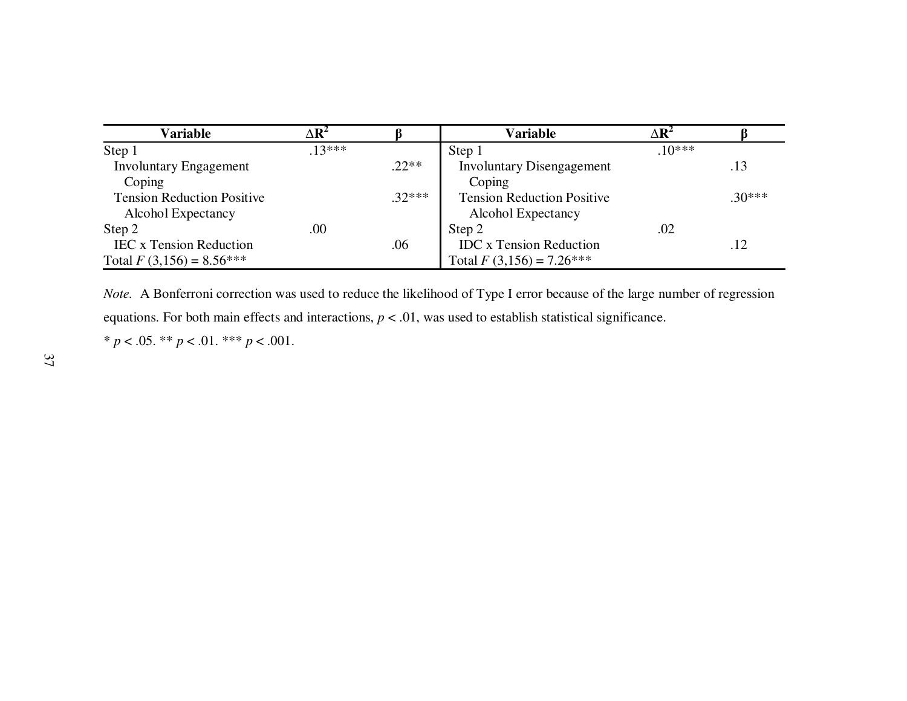| <b>Variable</b>                   | $\Delta$ <b>R</b> <sup>2</sup> |          | Variable                          | $\Delta \mathbf{R}^2$ |          |
|-----------------------------------|--------------------------------|----------|-----------------------------------|-----------------------|----------|
| Step 1                            | $13***$                        |          | Step 1                            | $.10***$              |          |
| <b>Involuntary Engagement</b>     |                                | $.22**$  | <b>Involuntary Disengagement</b>  |                       | .13      |
| Coping                            |                                |          | Coping                            |                       |          |
| <b>Tension Reduction Positive</b> |                                | $.32***$ | <b>Tension Reduction Positive</b> |                       | $.30***$ |
| <b>Alcohol Expectancy</b>         |                                |          | Alcohol Expectancy                |                       |          |
| Step 2                            | .00                            |          | Step 2                            | .02                   |          |
| <b>IEC x Tension Reduction</b>    |                                | .06      | <b>IDC</b> x Tension Reduction    |                       | .12      |
| Total $F(3,156) = 8.56***$        |                                |          | Total $F(3,156) = 7.26***$        |                       |          |

*Note.* A Bonferroni correction was used to reduce the likelihood of Type I error because of the large number of regression equations. For both main effects and interactions,  $p < .01$ , was used to establish statistical significance.

 $*$   $p$  < .05.  $**$   $p$  < .01.  $***$   $p$  < .001.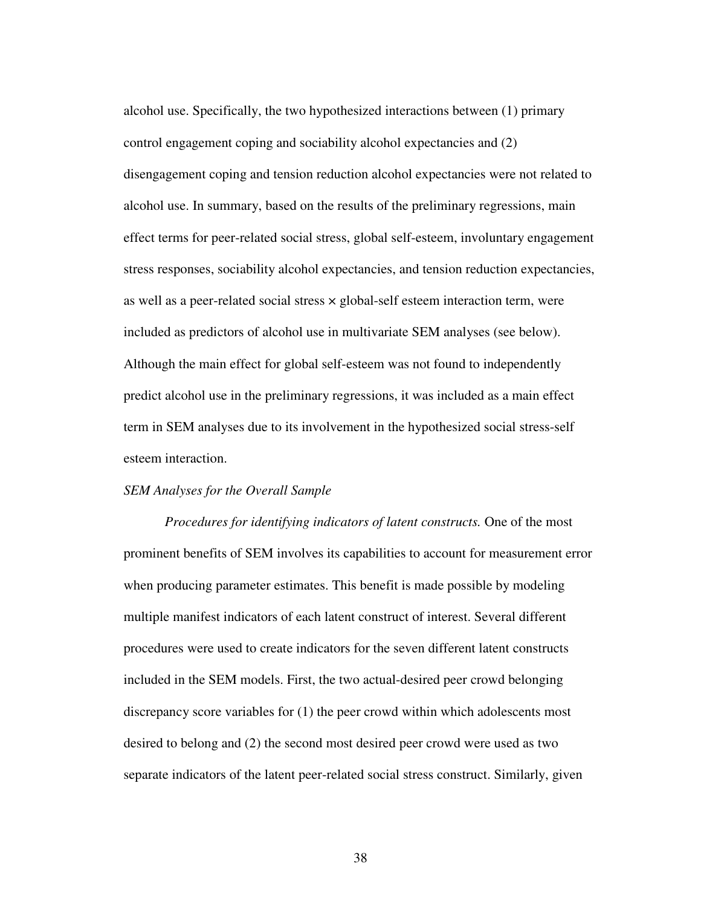alcohol use. Specifically, the two hypothesized interactions between (1) primary control engagement coping and sociability alcohol expectancies and (2) disengagement coping and tension reduction alcohol expectancies were not related to alcohol use. In summary, based on the results of the preliminary regressions, main effect terms for peer-related social stress, global self-esteem, involuntary engagement stress responses, sociability alcohol expectancies, and tension reduction expectancies, as well as a peer-related social stress  $\times$  global-self esteem interaction term, were included as predictors of alcohol use in multivariate SEM analyses (see below). Although the main effect for global self-esteem was not found to independently predict alcohol use in the preliminary regressions, it was included as a main effect term in SEM analyses due to its involvement in the hypothesized social stress-self esteem interaction.

### *SEM Analyses for the Overall Sample*

*Procedures for identifying indicators of latent constructs.* One of the most prominent benefits of SEM involves its capabilities to account for measurement error when producing parameter estimates. This benefit is made possible by modeling multiple manifest indicators of each latent construct of interest. Several different procedures were used to create indicators for the seven different latent constructs included in the SEM models. First, the two actual-desired peer crowd belonging discrepancy score variables for (1) the peer crowd within which adolescents most desired to belong and (2) the second most desired peer crowd were used as two separate indicators of the latent peer-related social stress construct. Similarly, given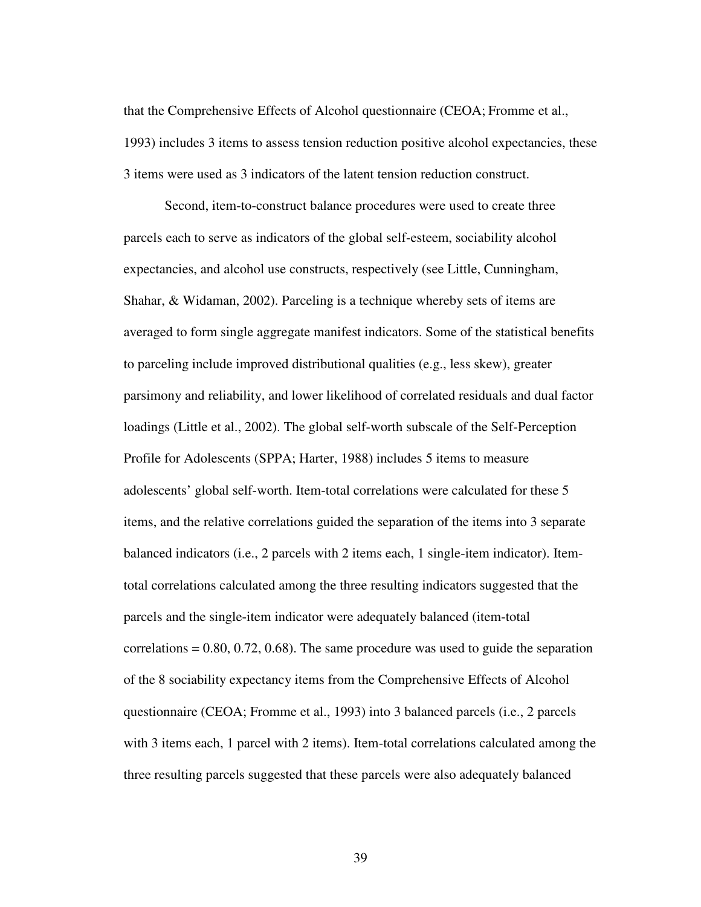that the Comprehensive Effects of Alcohol questionnaire (CEOA; Fromme et al., 1993) includes 3 items to assess tension reduction positive alcohol expectancies, these 3 items were used as 3 indicators of the latent tension reduction construct.

 Second, item-to-construct balance procedures were used to create three parcels each to serve as indicators of the global self-esteem, sociability alcohol expectancies, and alcohol use constructs, respectively (see Little, Cunningham, Shahar, & Widaman, 2002). Parceling is a technique whereby sets of items are averaged to form single aggregate manifest indicators. Some of the statistical benefits to parceling include improved distributional qualities (e.g., less skew), greater parsimony and reliability, and lower likelihood of correlated residuals and dual factor loadings (Little et al., 2002). The global self-worth subscale of the Self-Perception Profile for Adolescents (SPPA; Harter, 1988) includes 5 items to measure adolescents' global self-worth. Item-total correlations were calculated for these 5 items, and the relative correlations guided the separation of the items into 3 separate balanced indicators (i.e., 2 parcels with 2 items each, 1 single-item indicator). Itemtotal correlations calculated among the three resulting indicators suggested that the parcels and the single-item indicator were adequately balanced (item-total correlations  $= 0.80, 0.72, 0.68$ . The same procedure was used to guide the separation of the 8 sociability expectancy items from the Comprehensive Effects of Alcohol questionnaire (CEOA; Fromme et al., 1993) into 3 balanced parcels (i.e., 2 parcels with 3 items each, 1 parcel with 2 items). Item-total correlations calculated among the three resulting parcels suggested that these parcels were also adequately balanced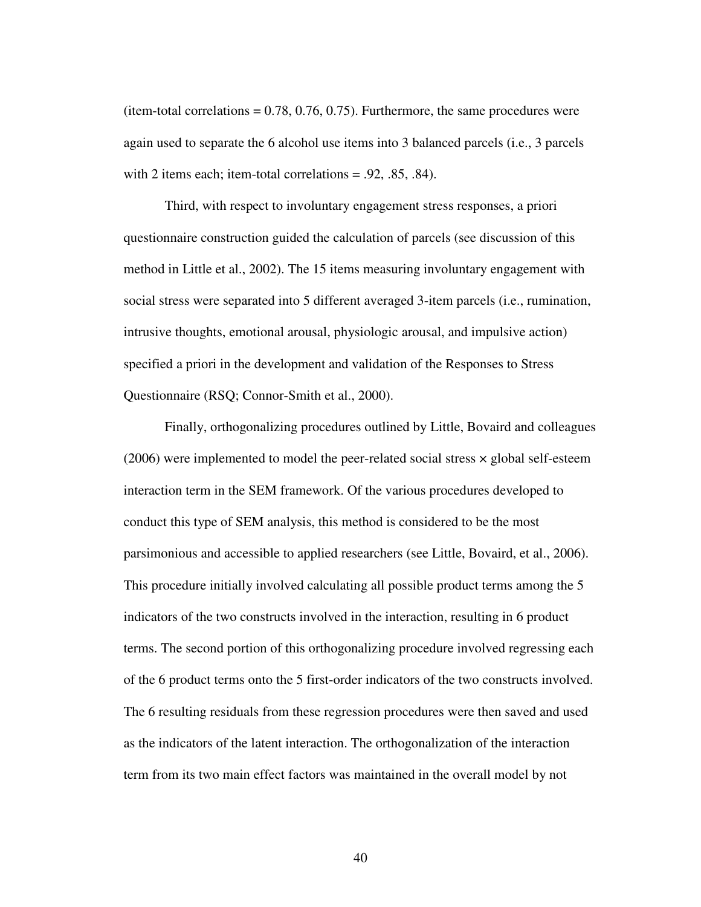(item-total correlations  $= 0.78, 0.76, 0.75$ ). Furthermore, the same procedures were again used to separate the 6 alcohol use items into 3 balanced parcels (i.e., 3 parcels with 2 items each; item-total correlations  $= .92, .85, .84$ ).

 Third, with respect to involuntary engagement stress responses, a priori questionnaire construction guided the calculation of parcels (see discussion of this method in Little et al., 2002). The 15 items measuring involuntary engagement with social stress were separated into 5 different averaged 3-item parcels (i.e., rumination, intrusive thoughts, emotional arousal, physiologic arousal, and impulsive action) specified a priori in the development and validation of the Responses to Stress Questionnaire (RSQ; Connor-Smith et al., 2000).

 Finally, orthogonalizing procedures outlined by Little, Bovaird and colleagues  $(2006)$  were implemented to model the peer-related social stress  $\times$  global self-esteem interaction term in the SEM framework. Of the various procedures developed to conduct this type of SEM analysis, this method is considered to be the most parsimonious and accessible to applied researchers (see Little, Bovaird, et al., 2006). This procedure initially involved calculating all possible product terms among the 5 indicators of the two constructs involved in the interaction, resulting in 6 product terms. The second portion of this orthogonalizing procedure involved regressing each of the 6 product terms onto the 5 first-order indicators of the two constructs involved. The 6 resulting residuals from these regression procedures were then saved and used as the indicators of the latent interaction. The orthogonalization of the interaction term from its two main effect factors was maintained in the overall model by not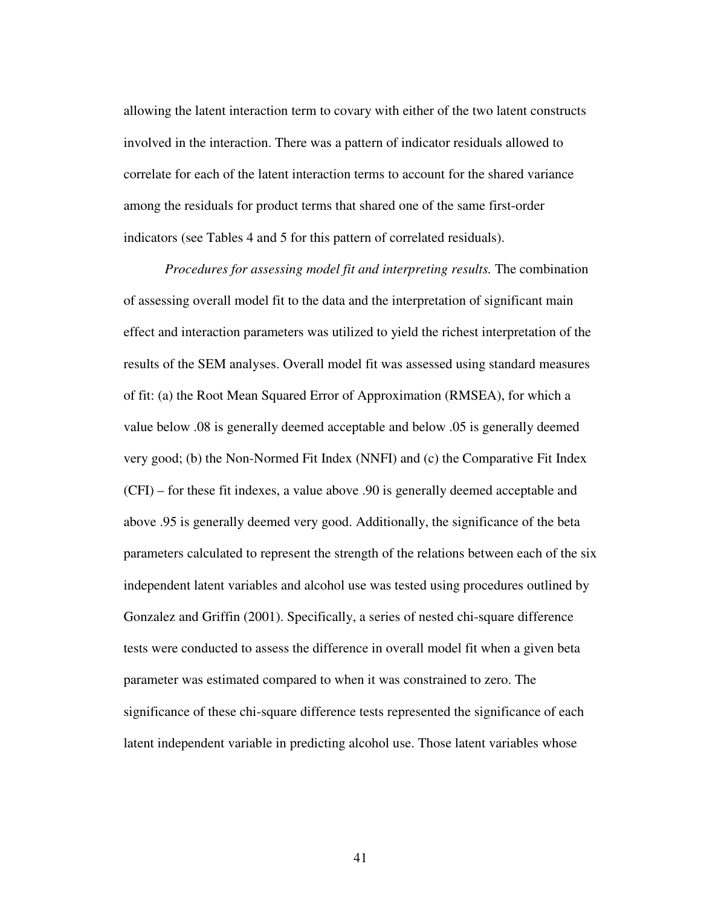allowing the latent interaction term to covary with either of the two latent constructs involved in the interaction. There was a pattern of indicator residuals allowed to correlate for each of the latent interaction terms to account for the shared variance among the residuals for product terms that shared one of the same first-order indicators (see Tables 4 and 5 for this pattern of correlated residuals).

*Procedures for assessing model fit and interpreting results.* The combination of assessing overall model fit to the data and the interpretation of significant main effect and interaction parameters was utilized to yield the richest interpretation of the results of the SEM analyses. Overall model fit was assessed using standard measures of fit: (a) the Root Mean Squared Error of Approximation (RMSEA), for which a value below .08 is generally deemed acceptable and below .05 is generally deemed very good; (b) the Non-Normed Fit Index (NNFI) and (c) the Comparative Fit Index (CFI) – for these fit indexes, a value above .90 is generally deemed acceptable and above .95 is generally deemed very good. Additionally, the significance of the beta parameters calculated to represent the strength of the relations between each of the six independent latent variables and alcohol use was tested using procedures outlined by Gonzalez and Griffin (2001). Specifically, a series of nested chi-square difference tests were conducted to assess the difference in overall model fit when a given beta parameter was estimated compared to when it was constrained to zero. The significance of these chi-square difference tests represented the significance of each latent independent variable in predicting alcohol use. Those latent variables whose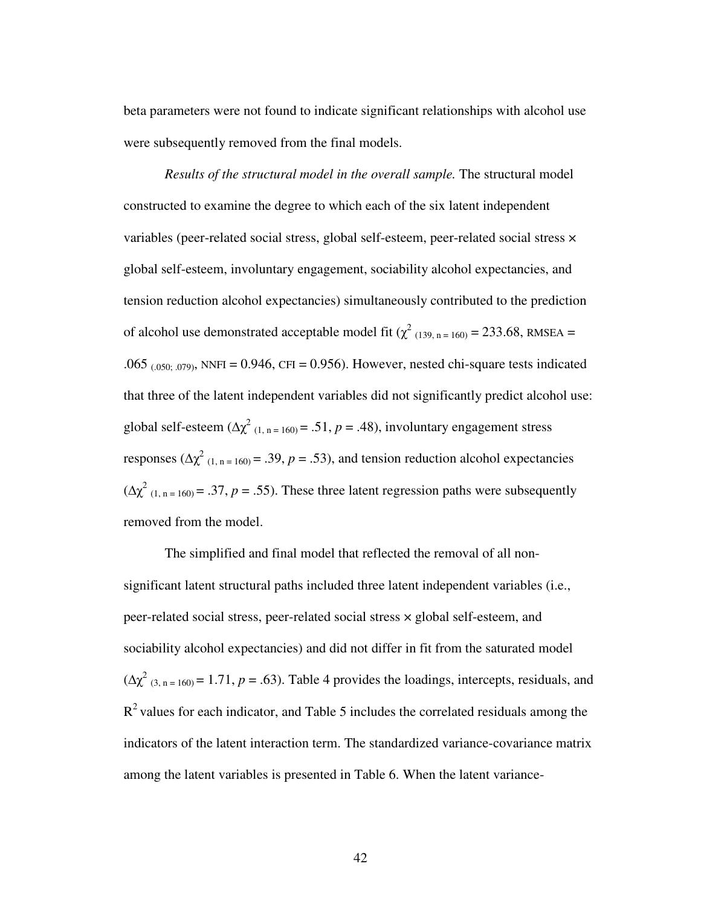beta parameters were not found to indicate significant relationships with alcohol use were subsequently removed from the final models.

*Results of the structural model in the overall sample.* The structural model constructed to examine the degree to which each of the six latent independent variables (peer-related social stress, global self-esteem, peer-related social stress × global self-esteem, involuntary engagement, sociability alcohol expectancies, and tension reduction alcohol expectancies) simultaneously contributed to the prediction of alcohol use demonstrated acceptable model fit ( $\chi^2$  (139, n = 160) = 233.68, RMSEA = .065  $_{(.050:.079)}$ , NNFI = 0.946, CFI = 0.956). However, nested chi-square tests indicated that three of the latent independent variables did not significantly predict alcohol use: global self-esteem  $(\Delta \chi^2)_{(1, n=160)} = .51, p = .48)$ , involuntary engagement stress responses  $(\Delta \chi^2_{(1, n=160)} = .39, p = .53)$ , and tension reduction alcohol expectancies  $(\Delta \chi^2)$ <sub>(1, n = 160)</sub> = .37, *p* = .55). These three latent regression paths were subsequently removed from the model.

The simplified and final model that reflected the removal of all nonsignificant latent structural paths included three latent independent variables (i.e., peer-related social stress, peer-related social stress × global self-esteem, and sociability alcohol expectancies) and did not differ in fit from the saturated model  $(\Delta \chi^2)$ <sub>(3, n = 160)</sub> = 1.71, *p* = .63). Table 4 provides the loadings, intercepts, residuals, and  $R<sup>2</sup>$  values for each indicator, and Table 5 includes the correlated residuals among the indicators of the latent interaction term. The standardized variance-covariance matrix among the latent variables is presented in Table 6. When the latent variance-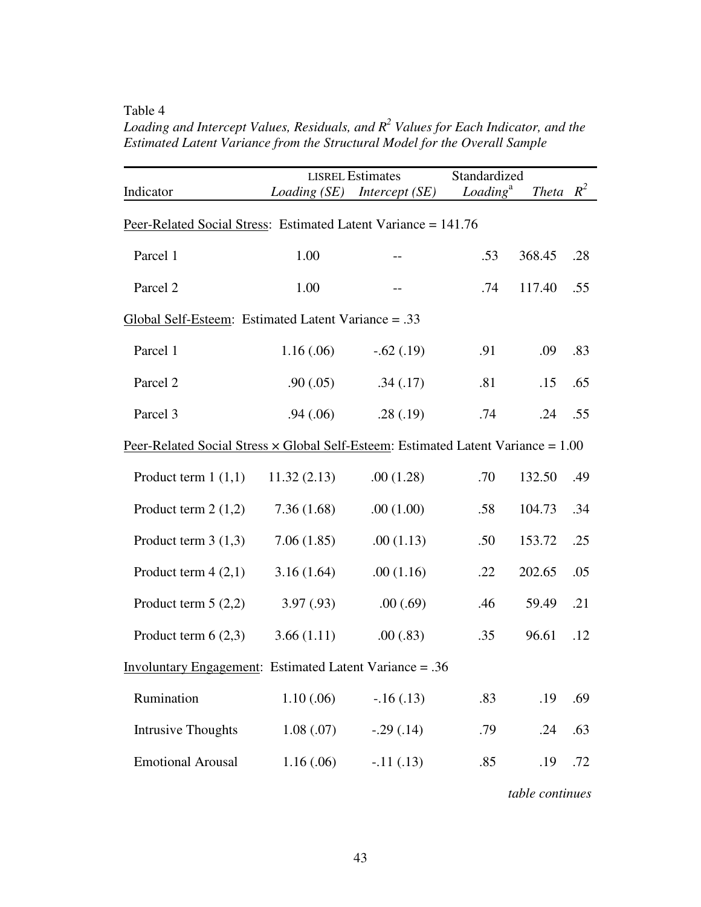Table 4

|                                                                                          |             | <b>LISREL Estimates</b>                              |     | Standardized |     |  |
|------------------------------------------------------------------------------------------|-------------|------------------------------------------------------|-----|--------------|-----|--|
| Indicator                                                                                |             | Loading $(SE)$ Intercept $(SE)$ Loading <sup>a</sup> |     | Theta $R^2$  |     |  |
| Peer-Related Social Stress: Estimated Latent Variance = 141.76                           |             |                                                      |     |              |     |  |
| Parcel 1                                                                                 | 1.00        |                                                      | .53 | 368.45       | .28 |  |
| Parcel 2                                                                                 | 1.00        | $\qquad \qquad -$                                    | .74 | 117.40       | .55 |  |
| Global Self-Esteem: Estimated Latent Variance = .33                                      |             |                                                      |     |              |     |  |
| Parcel 1                                                                                 | 1.16(.06)   | $-.62(.19)$                                          | .91 | .09          | .83 |  |
| Parcel 2                                                                                 | .90(.05)    | .34(.17)                                             | .81 | .15          | .65 |  |
| Parcel 3                                                                                 | .94(0.06)   | .28(.19)                                             | .74 | .24          | .55 |  |
| Peer-Related Social Stress $\times$ Global Self-Esteem: Estimated Latent Variance = 1.00 |             |                                                      |     |              |     |  |
| Product term $1(1,1)$                                                                    | 11.32(2.13) | .00(1.28)                                            | .70 | 132.50       | .49 |  |
| Product term $2(1,2)$                                                                    | 7.36(1.68)  | .00(1.00)                                            | .58 | 104.73       | .34 |  |
| Product term $3(1,3)$                                                                    | 7.06(1.85)  | .00(1.13)                                            | .50 | 153.72       | .25 |  |
| Product term $4(2,1)$                                                                    | 3.16(1.64)  | .00(1.16)                                            | .22 | 202.65       | .05 |  |
| Product term $5(2,2)$                                                                    | 3.97(.93)   | .00(.69)                                             | .46 | 59.49        | .21 |  |
| Product term $6(2,3)$                                                                    | 3.66(1.11)  | .00(.83)                                             | .35 | 96.61        | .12 |  |
| <b>Involuntary Engagement:</b> Estimated Latent Variance = .36                           |             |                                                      |     |              |     |  |
| Rumination                                                                               | 1.10(.06)   | $-.16(.13)$                                          | .83 | .19          | .69 |  |
| <b>Intrusive Thoughts</b>                                                                | 1.08(.07)   | $-.29(.14)$                                          | .79 | .24          | .63 |  |
| <b>Emotional Arousal</b>                                                                 | 1.16(.06)   | $-.11(.13)$                                          | .85 | .19          | .72 |  |

*Loading and Intercept Values, Residuals, and R<sup>2</sup> Values for Each Indicator, and the Estimated Latent Variance from the Structural Model for the Overall Sample* 

*table continues*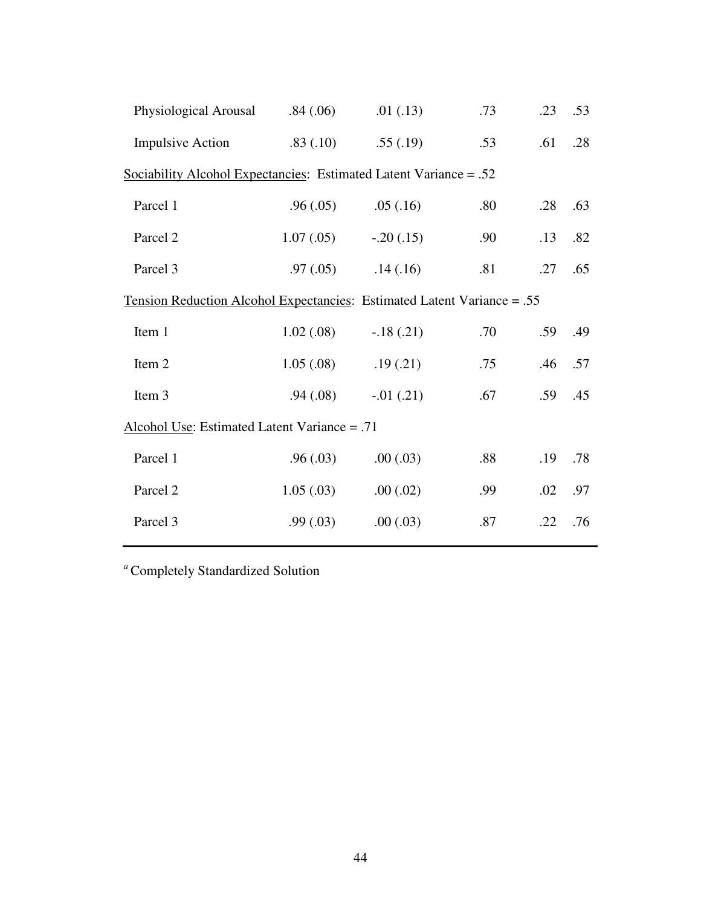| <b>Physiological Arousal</b>                                            | .84(.06)  | .01(0.13)   | .73 | .23 | .53 |  |  |  |  |  |  |  |
|-------------------------------------------------------------------------|-----------|-------------|-----|-----|-----|--|--|--|--|--|--|--|
| <b>Impulsive Action</b>                                                 | .83(.10)  | .55(.19)    | .53 | .61 | .28 |  |  |  |  |  |  |  |
| Sociability Alcohol Expectancies: Estimated Latent Variance = .52       |           |             |     |     |     |  |  |  |  |  |  |  |
| Parcel 1                                                                | .96(.05)  | .05(.16)    | .80 | .28 | .63 |  |  |  |  |  |  |  |
| Parcel 2                                                                | 1.07(.05) | $-.20(.15)$ | .90 | .13 | .82 |  |  |  |  |  |  |  |
| Parcel 3                                                                | .97(.05)  | .14(.16)    | .81 | .27 | .65 |  |  |  |  |  |  |  |
| Tension Reduction Alcohol Expectancies: Estimated Latent Variance = .55 |           |             |     |     |     |  |  |  |  |  |  |  |
| Item 1                                                                  | 1.02(.08) | $-.18(.21)$ | .70 | .59 | .49 |  |  |  |  |  |  |  |
| Item 2                                                                  | 1.05(.08) | .19(.21)    | .75 | .46 | .57 |  |  |  |  |  |  |  |
| Item 3                                                                  | .94(.08)  | $-.01(.21)$ | .67 | .59 | .45 |  |  |  |  |  |  |  |
| Alcohol Use: Estimated Latent Variance = .71                            |           |             |     |     |     |  |  |  |  |  |  |  |
| Parcel 1                                                                | .96(.03)  | .00(0.03)   | .88 | .19 | .78 |  |  |  |  |  |  |  |
| Parcel 2                                                                | 1.05(.03) | .00(.02)    | .99 | .02 | .97 |  |  |  |  |  |  |  |
| Parcel 3                                                                | .99(0.03) | .00(.03)    | .87 | .22 | .76 |  |  |  |  |  |  |  |
|                                                                         |           |             |     |     |     |  |  |  |  |  |  |  |

<sup>a</sup> Completely Standardized Solution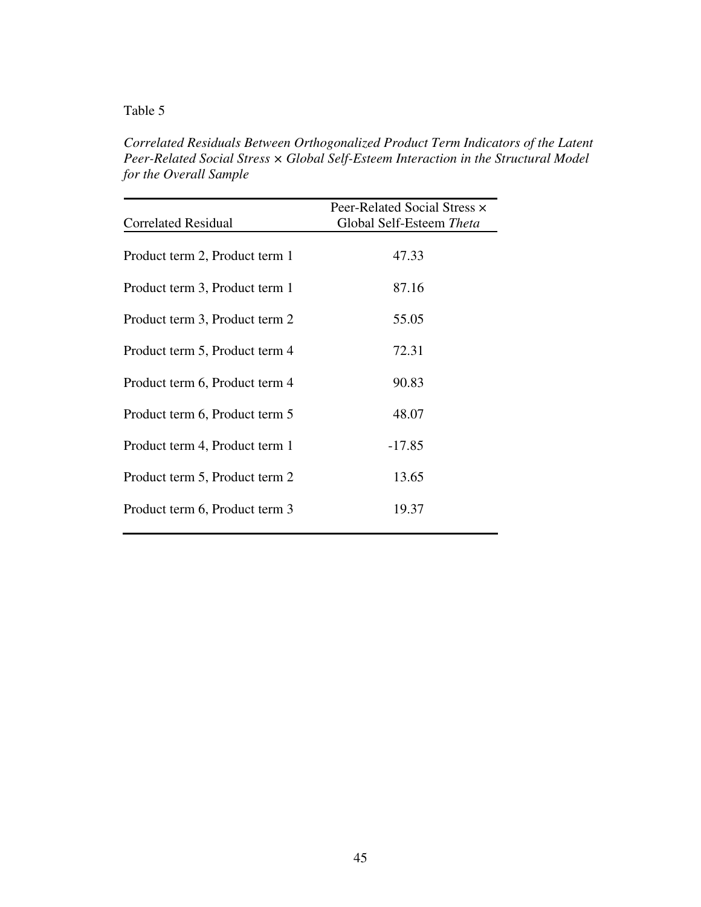# Table 5

*Correlated Residuals Between Orthogonalized Product Term Indicators of the Latent Peer-Related Social Stress × Global Self-Esteem Interaction in the Structural Model for the Overall Sample* 

| <b>Correlated Residual</b>     | Peer-Related Social Stress ×<br>Global Self-Esteem Theta |
|--------------------------------|----------------------------------------------------------|
| Product term 2, Product term 1 | 47.33                                                    |
| Product term 3, Product term 1 | 87.16                                                    |
| Product term 3, Product term 2 | 55.05                                                    |
| Product term 5, Product term 4 | 72.31                                                    |
| Product term 6, Product term 4 | 90.83                                                    |
| Product term 6, Product term 5 | 48.07                                                    |
| Product term 4, Product term 1 | $-17.85$                                                 |
| Product term 5, Product term 2 | 13.65                                                    |
| Product term 6, Product term 3 | 19.37                                                    |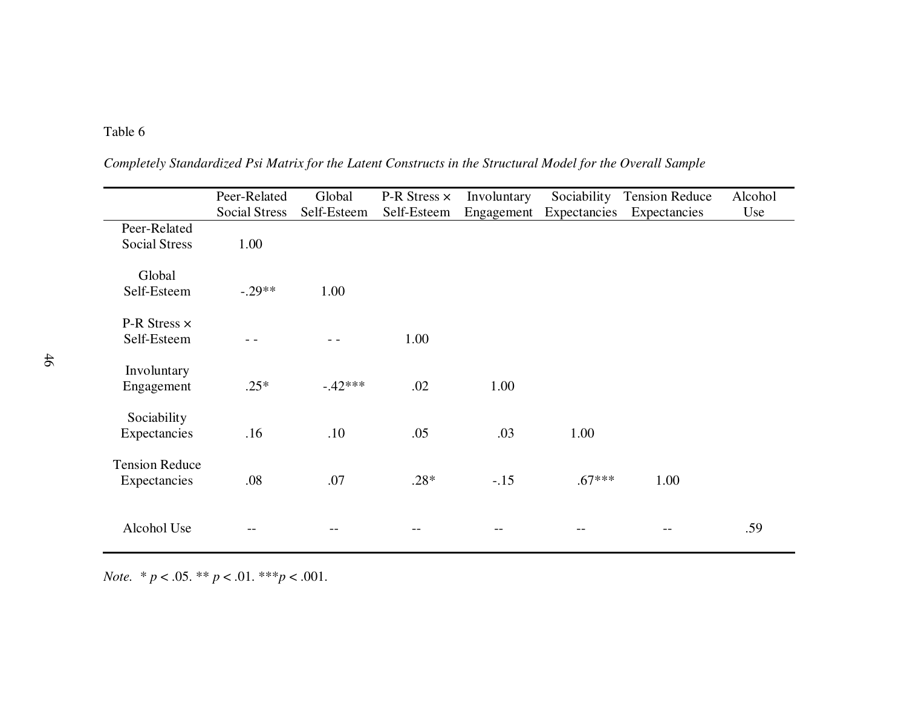### Table 6

|                       | Peer-Related         | Global      | P-R Stress $\times$ | Involuntary | Sociability  | <b>Tension Reduce</b> | Alcohol |
|-----------------------|----------------------|-------------|---------------------|-------------|--------------|-----------------------|---------|
|                       | <b>Social Stress</b> | Self-Esteem | Self-Esteem         | Engagement  | Expectancies | Expectancies          | Use     |
| Peer-Related          |                      |             |                     |             |              |                       |         |
| <b>Social Stress</b>  | 1.00                 |             |                     |             |              |                       |         |
| Global                |                      |             |                     |             |              |                       |         |
| Self-Esteem           | $-.29**$             | 1.00        |                     |             |              |                       |         |
| P-R Stress $\times$   |                      |             |                     |             |              |                       |         |
| Self-Esteem           |                      |             | 1.00                |             |              |                       |         |
| Involuntary           |                      |             |                     |             |              |                       |         |
| Engagement            | $.25*$               | $-.42***$   | .02                 | 1.00        |              |                       |         |
|                       |                      |             |                     |             |              |                       |         |
| Sociability           |                      |             |                     |             |              |                       |         |
| Expectancies          | .16                  | .10         | .05                 | .03         | 1.00         |                       |         |
| <b>Tension Reduce</b> |                      |             |                     |             |              |                       |         |
| Expectancies          | .08                  | .07         | $.28*$              | $-.15$      | $.67***$     | 1.00                  |         |
|                       |                      |             |                     |             |              |                       |         |
|                       |                      |             |                     |             |              |                       |         |
| Alcohol Use           | --                   |             |                     |             |              |                       | .59     |
|                       |                      |             |                     |             |              |                       |         |

*Completely Standardized Psi Matrix for the Latent Constructs in the Structural Model for the Overall Sample* 

*Note.*  $* p < .05. * * p < .01. * * * p < .001.$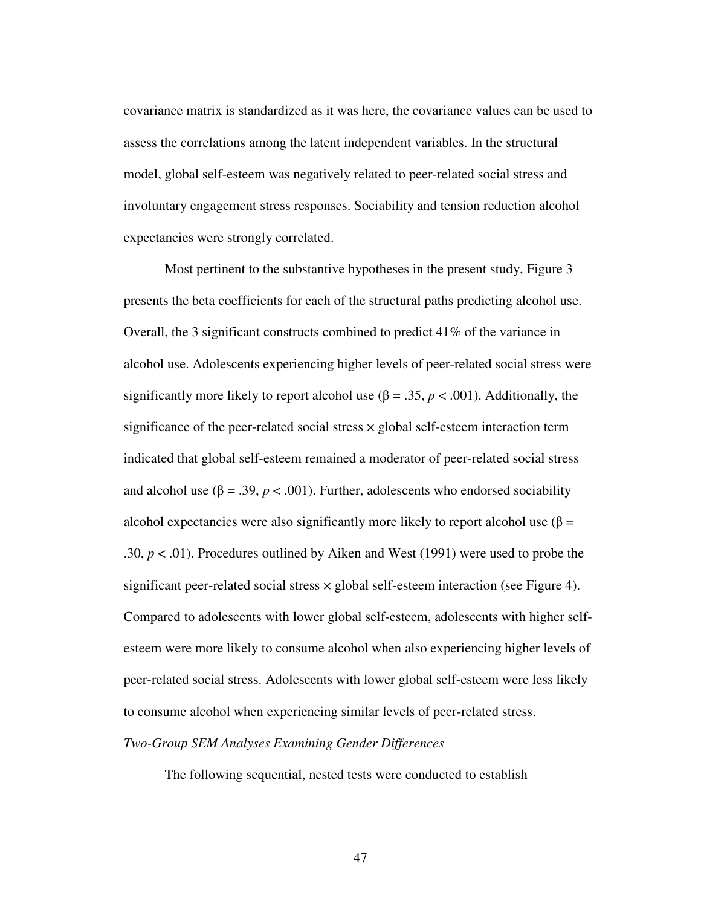covariance matrix is standardized as it was here, the covariance values can be used to assess the correlations among the latent independent variables. In the structural model, global self-esteem was negatively related to peer-related social stress and involuntary engagement stress responses. Sociability and tension reduction alcohol expectancies were strongly correlated.

Most pertinent to the substantive hypotheses in the present study, Figure 3 presents the beta coefficients for each of the structural paths predicting alcohol use. Overall, the 3 significant constructs combined to predict 41% of the variance in alcohol use. Adolescents experiencing higher levels of peer-related social stress were significantly more likely to report alcohol use ( $\beta$  = .35,  $p$  < .001). Additionally, the significance of the peer-related social stress  $\times$  global self-esteem interaction term indicated that global self-esteem remained a moderator of peer-related social stress and alcohol use ( $\beta = .39$ ,  $p < .001$ ). Further, adolescents who endorsed sociability alcohol expectancies were also significantly more likely to report alcohol use  $(\beta =$ .30,  $p < .01$ ). Procedures outlined by Aiken and West (1991) were used to probe the significant peer-related social stress  $\times$  global self-esteem interaction (see Figure 4). Compared to adolescents with lower global self-esteem, adolescents with higher selfesteem were more likely to consume alcohol when also experiencing higher levels of peer-related social stress. Adolescents with lower global self-esteem were less likely to consume alcohol when experiencing similar levels of peer-related stress.

*Two-Group SEM Analyses Examining Gender Differences* 

The following sequential, nested tests were conducted to establish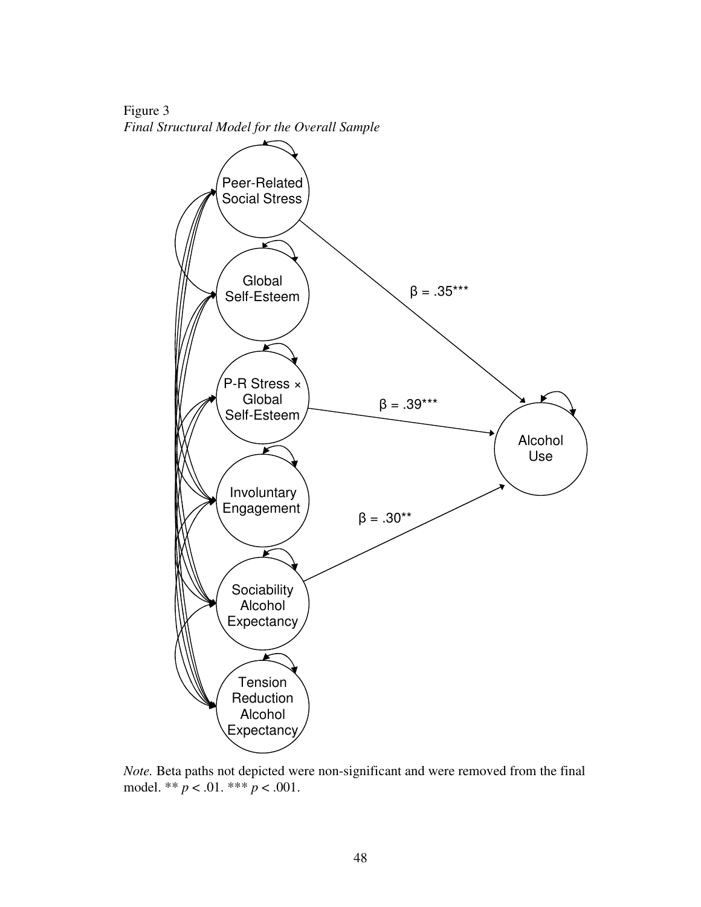Figure 3 *Final Structural Model for the Overall Sample* 



*Note.* Beta paths not depicted were non-significant and were removed from the final model. \*\* *p* < .01. \*\*\* *p* < .001.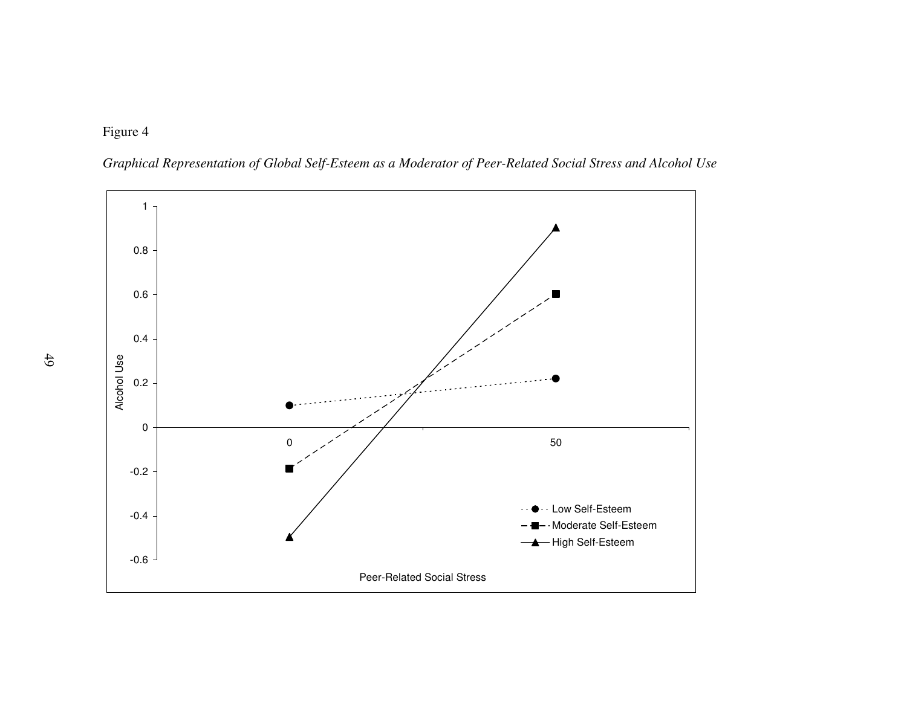



*Graphical Representation of Global Self-Esteem as a Moderator of Peer-Related Social Stress and Alcohol Use*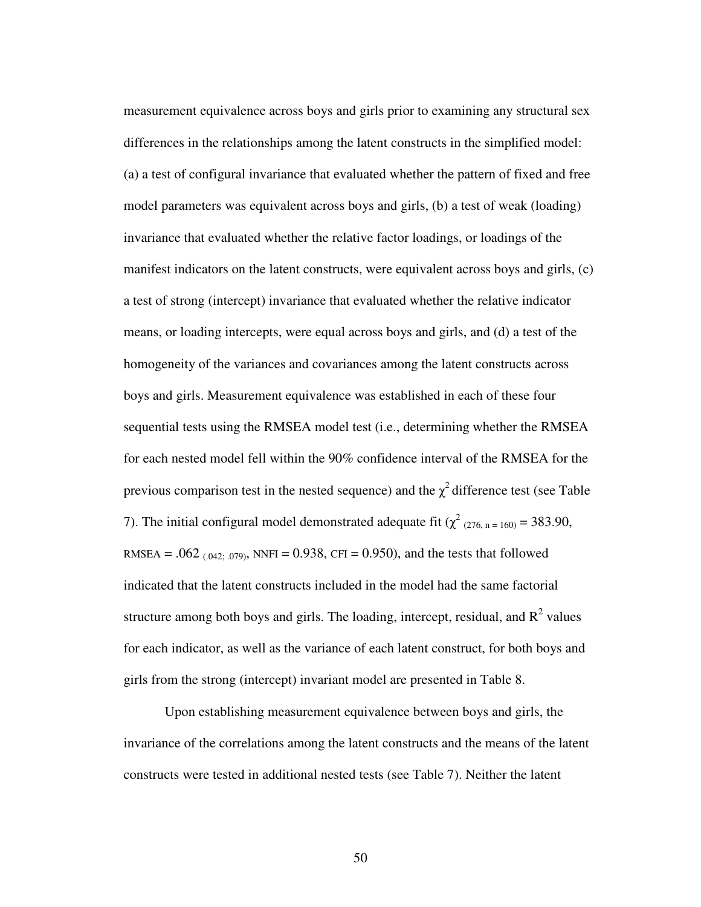measurement equivalence across boys and girls prior to examining any structural sex differences in the relationships among the latent constructs in the simplified model: (a) a test of configural invariance that evaluated whether the pattern of fixed and free model parameters was equivalent across boys and girls, (b) a test of weak (loading) invariance that evaluated whether the relative factor loadings, or loadings of the manifest indicators on the latent constructs, were equivalent across boys and girls, (c) a test of strong (intercept) invariance that evaluated whether the relative indicator means, or loading intercepts, were equal across boys and girls, and (d) a test of the homogeneity of the variances and covariances among the latent constructs across boys and girls. Measurement equivalence was established in each of these four sequential tests using the RMSEA model test (i.e., determining whether the RMSEA for each nested model fell within the 90% confidence interval of the RMSEA for the previous comparison test in the nested sequence) and the  $\chi^2$  difference test (see Table 7). The initial configural model demonstrated adequate fit ( $\chi^2$  (276, n = 160) = 383.90, RMSEA = .062  $_{(042, 079)}$ , NNFI = 0.938, CFI = 0.950), and the tests that followed indicated that the latent constructs included in the model had the same factorial structure among both boys and girls. The loading, intercept, residual, and  $R^2$  values for each indicator, as well as the variance of each latent construct, for both boys and girls from the strong (intercept) invariant model are presented in Table 8.

 Upon establishing measurement equivalence between boys and girls, the invariance of the correlations among the latent constructs and the means of the latent constructs were tested in additional nested tests (see Table 7). Neither the latent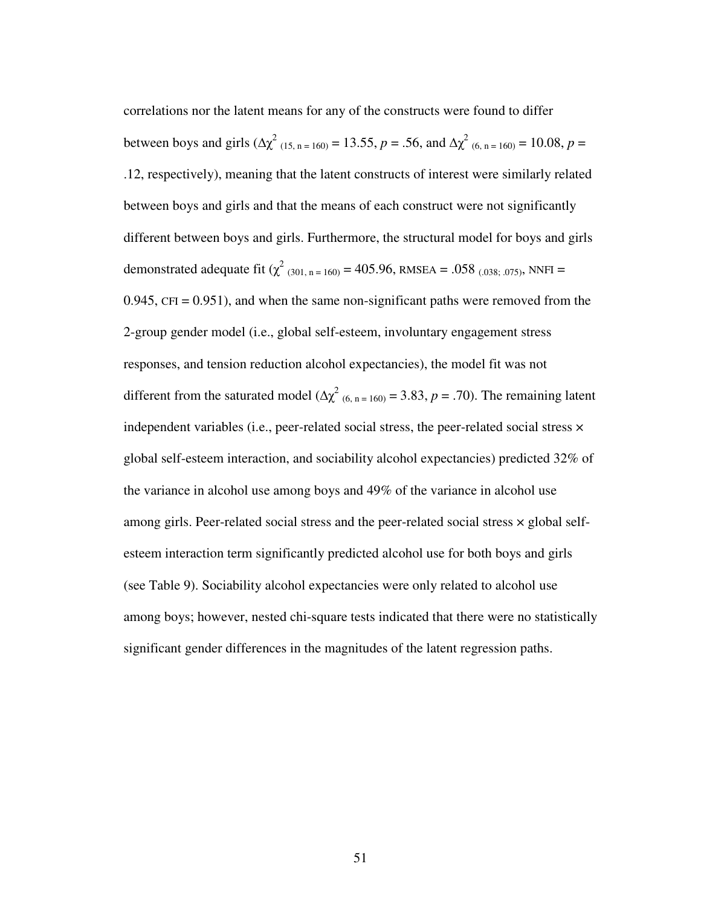correlations nor the latent means for any of the constructs were found to differ between boys and girls ( $Δχ²$ <sub>(15, n = 160)</sub> = 13.55, *p* = .56, and  $Δχ²$ <sub>(6, n = 160)</sub> = 10.08, *p* = .12, respectively), meaning that the latent constructs of interest were similarly related between boys and girls and that the means of each construct were not significantly different between boys and girls. Furthermore, the structural model for boys and girls demonstrated adequate fit ( $\chi^2$  (301, n = 160) = 405.96, RMSEA = .058 (.038; .075), NNFI =  $0.945$ , CFI =  $0.951$ ), and when the same non-significant paths were removed from the 2-group gender model (i.e., global self-esteem, involuntary engagement stress responses, and tension reduction alcohol expectancies), the model fit was not different from the saturated model  $(\Delta \chi^2)_{(6, n = 160)} = 3.83, p = .70$ ). The remaining latent independent variables (i.e., peer-related social stress, the peer-related social stress  $\times$ global self-esteem interaction, and sociability alcohol expectancies) predicted 32% of the variance in alcohol use among boys and 49% of the variance in alcohol use among girls. Peer-related social stress and the peer-related social stress  $\times$  global selfesteem interaction term significantly predicted alcohol use for both boys and girls (see Table 9). Sociability alcohol expectancies were only related to alcohol use among boys; however, nested chi-square tests indicated that there were no statistically significant gender differences in the magnitudes of the latent regression paths.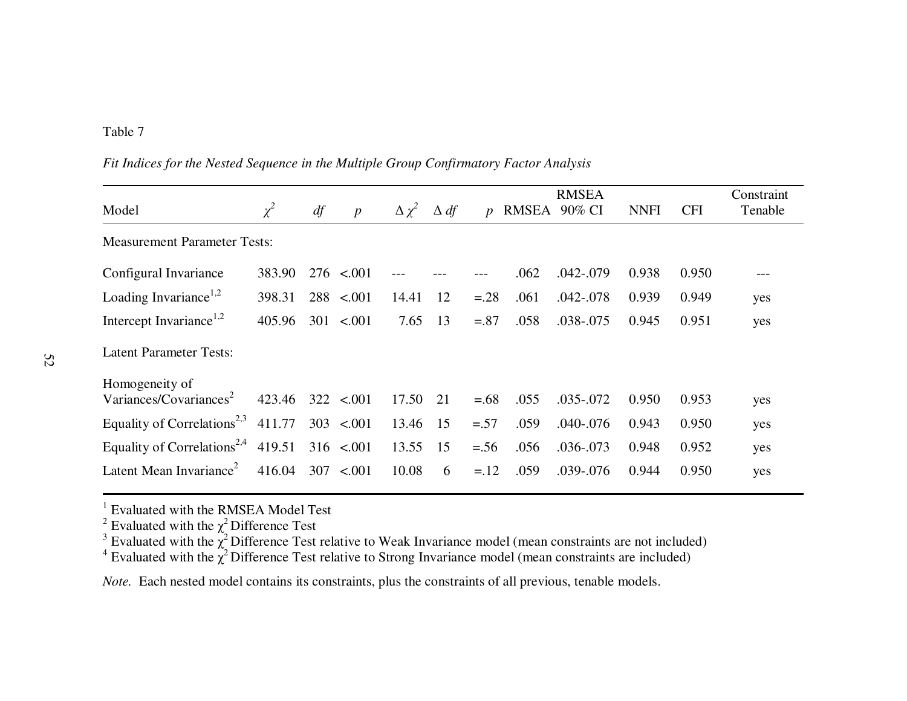# Table 7

|  |  |  |  |  | Fit Indices for the Nested Sequence in the Multiple Group Confirmatory Factor Analysis |
|--|--|--|--|--|----------------------------------------------------------------------------------------|
|  |  |  |  |  |                                                                                        |

|                                                |          |     |                  |                 |             |                  |              | <b>RMSEA</b> |             |            | Constraint |
|------------------------------------------------|----------|-----|------------------|-----------------|-------------|------------------|--------------|--------------|-------------|------------|------------|
| Model                                          | $\chi^2$ | df  | $\boldsymbol{p}$ | $\Delta \chi^2$ | $\Delta df$ | $\boldsymbol{p}$ | RMSEA 90% CI |              | <b>NNFI</b> | <b>CFI</b> | Tenable    |
| <b>Measurement Parameter Tests:</b>            |          |     |                  |                 |             |                  |              |              |             |            |            |
| Configural Invariance                          | 383.90   |     | $276$ < 001      |                 |             |                  | .062         | .042-.079    | 0.938       | 0.950      | ---        |
| Loading Invariance <sup>1,2</sup>              | 398.31   |     | $288$ < 001      | 14.41           | 12          | $=.28$           | .061         | .042-.078    | 0.939       | 0.949      | yes        |
| Intercept Invariance <sup>1,2</sup>            | 405.96   |     | $301 \le 0.001$  | 7.65            | 13          | $=.87$           | .058         | .038-.075    | 0.945       | 0.951      | yes        |
| <b>Latent Parameter Tests:</b>                 |          |     |                  |                 |             |                  |              |              |             |            |            |
| Homogeneity of                                 |          |     |                  |                 |             |                  |              |              |             |            |            |
| Variances/Covariances <sup>2</sup>             | 423.46   |     | $322 \le 0.001$  | 17.50           | 21          | $=.68$           | .055         | .035-.072    | 0.950       | 0.953      | yes        |
| Equality of Correlations <sup>2,3</sup> 411.77 |          |     | $303$ < 001      | 13.46           | 15          | $=.57$           | .059         | .040-.076    | 0.943       | 0.950      | yes        |
| Equality of Correlations <sup>2,4</sup> 419.51 |          |     | $316$ < 001      | 13.55           | 15          | $=.56$           | .056         | .036-.073    | 0.948       | 0.952      | yes        |
| Latent Mean Invariance <sup>2</sup>            | 416.04   | 307 | < .001           | 10.08           | 6           | $=.12$           | .059         | .039-.076    | 0.944       | 0.950      | yes        |

<sup>1</sup> Evaluated with the RMSEA Model Test<br><sup>2</sup> Evaluated with the  $\chi^2$  Difference Test<br><sup>3</sup> Evaluated with the  $\chi^2$  Difference Test relative to Weak Invariance model (mean constraints are not included)<br><sup>4</sup> Evaluated with

*Note.* Each nested model contains its constraints, plus the constraints of all previous, tenable models.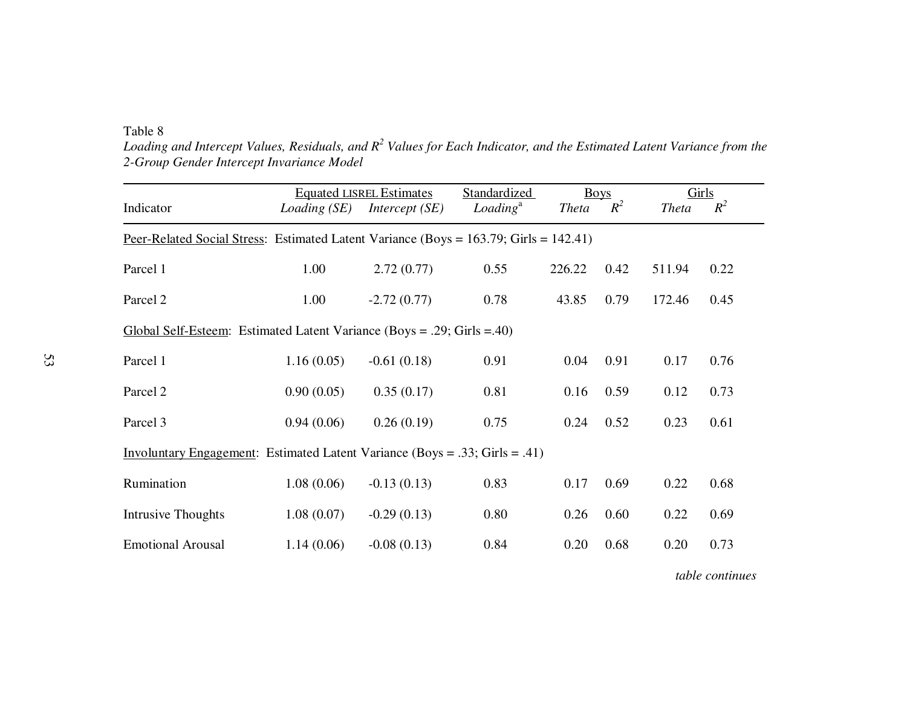Table 8

 *Loading and Intercept Values, Residuals, and R<sup>2</sup> Values for Each Indicator, and the Estimated Latent Variance from the 2-Group Gender Intercept Invariance Model* 

|                                                                         | <b>Equated LISREL Estimates</b> |                  |                                               |                                                                                                                                                                                              | Girls                |              |  |  |  |  |  |
|-------------------------------------------------------------------------|---------------------------------|------------------|-----------------------------------------------|----------------------------------------------------------------------------------------------------------------------------------------------------------------------------------------------|----------------------|--------------|--|--|--|--|--|
|                                                                         |                                 |                  |                                               |                                                                                                                                                                                              |                      | $R^2$        |  |  |  |  |  |
|                                                                         |                                 |                  |                                               |                                                                                                                                                                                              |                      |              |  |  |  |  |  |
| 1.00                                                                    | 2.72(0.77)                      | 0.55             | 226.22                                        | 0.42                                                                                                                                                                                         | 511.94               | 0.22         |  |  |  |  |  |
| 1.00                                                                    | $-2.72(0.77)$                   | 0.78             | 43.85                                         | 0.79                                                                                                                                                                                         | 172.46               | 0.45         |  |  |  |  |  |
| Global Self-Esteem: Estimated Latent Variance (Boys = .29; Girls = .40) |                                 |                  |                                               |                                                                                                                                                                                              |                      |              |  |  |  |  |  |
| 1.16(0.05)                                                              | $-0.61(0.18)$                   | 0.91             | 0.04                                          | 0.91                                                                                                                                                                                         | 0.17                 | 0.76         |  |  |  |  |  |
| 0.90(0.05)                                                              | 0.35(0.17)                      | 0.81             | 0.16                                          | 0.59                                                                                                                                                                                         | 0.12                 | 0.73         |  |  |  |  |  |
| 0.94(0.06)                                                              | 0.26(0.19)                      | 0.75             | 0.24                                          | 0.52                                                                                                                                                                                         | 0.23                 | 0.61         |  |  |  |  |  |
|                                                                         |                                 |                  |                                               |                                                                                                                                                                                              |                      |              |  |  |  |  |  |
| 1.08(0.06)                                                              | $-0.13(0.13)$                   | 0.83             | 0.17                                          | 0.69                                                                                                                                                                                         | 0.22                 | 0.68         |  |  |  |  |  |
| 1.08(0.07)                                                              | $-0.29(0.13)$                   | 0.80             | 0.26                                          | 0.60                                                                                                                                                                                         | 0.22                 | 0.69         |  |  |  |  |  |
| 1.14(0.06)                                                              | $-0.08(0.13)$                   | 0.84             | 0.20                                          | 0.68                                                                                                                                                                                         | 0.20                 | 0.73         |  |  |  |  |  |
|                                                                         | Loading (SE)                    | Intercept $(SE)$ | Standardized<br>$\textit{Loading}^{\text{a}}$ | <b>Theta</b><br>Peer-Related Social Stress: Estimated Latent Variance (Boys = 163.79; Girls = 142.41)<br><u>Involuntary Engagement</u> : Estimated Latent Variance (Boys = .33; Girls = .41) | <b>Boys</b><br>$R^2$ | <b>Theta</b> |  |  |  |  |  |

 *table continues*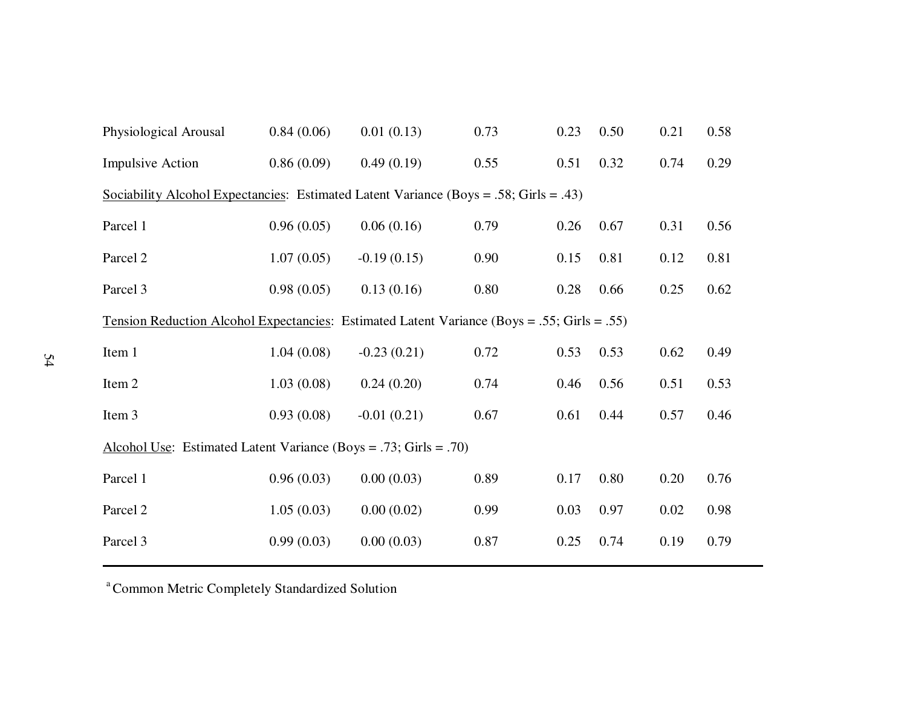| Physiological Arousal                                                                               | 0.84(0.06) | 0.01(0.13)    | 0.73 | 0.23 | 0.50 | 0.21 | 0.58 |  |  |  |  |  |
|-----------------------------------------------------------------------------------------------------|------------|---------------|------|------|------|------|------|--|--|--|--|--|
| <b>Impulsive Action</b>                                                                             | 0.86(0.09) | 0.49(0.19)    | 0.55 | 0.51 | 0.32 | 0.74 | 0.29 |  |  |  |  |  |
| Sociability Alcohol Expectancies: Estimated Latent Variance (Boys = .58; Girls = .43)               |            |               |      |      |      |      |      |  |  |  |  |  |
| Parcel 1                                                                                            | 0.96(0.05) | 0.06(0.16)    | 0.79 | 0.26 | 0.67 | 0.31 | 0.56 |  |  |  |  |  |
| Parcel 2                                                                                            | 1.07(0.05) | $-0.19(0.15)$ | 0.90 | 0.15 | 0.81 | 0.12 | 0.81 |  |  |  |  |  |
| Parcel 3                                                                                            | 0.98(0.05) | 0.13(0.16)    | 0.80 | 0.28 | 0.66 | 0.25 | 0.62 |  |  |  |  |  |
| <u>Tension Reduction Alcohol Expectancies</u> : Estimated Latent Variance (Boys = .55; Girls = .55) |            |               |      |      |      |      |      |  |  |  |  |  |
| Item 1                                                                                              | 1.04(0.08) | $-0.23(0.21)$ | 0.72 | 0.53 | 0.53 | 0.62 | 0.49 |  |  |  |  |  |
| Item 2                                                                                              | 1.03(0.08) | 0.24(0.20)    | 0.74 | 0.46 | 0.56 | 0.51 | 0.53 |  |  |  |  |  |
| Item 3                                                                                              | 0.93(0.08) | $-0.01(0.21)$ | 0.67 | 0.61 | 0.44 | 0.57 | 0.46 |  |  |  |  |  |
| Alcohol Use: Estimated Latent Variance (Boys = .73; Girls = .70)                                    |            |               |      |      |      |      |      |  |  |  |  |  |
| Parcel 1                                                                                            | 0.96(0.03) | 0.00(0.03)    | 0.89 | 0.17 | 0.80 | 0.20 | 0.76 |  |  |  |  |  |
| Parcel 2                                                                                            | 1.05(0.03) | 0.00(0.02)    | 0.99 | 0.03 | 0.97 | 0.02 | 0.98 |  |  |  |  |  |
| Parcel 3                                                                                            | 0.99(0.03) | 0.00(0.03)    | 0.87 | 0.25 | 0.74 | 0.19 | 0.79 |  |  |  |  |  |

a Common Metric Completely Standardized Solution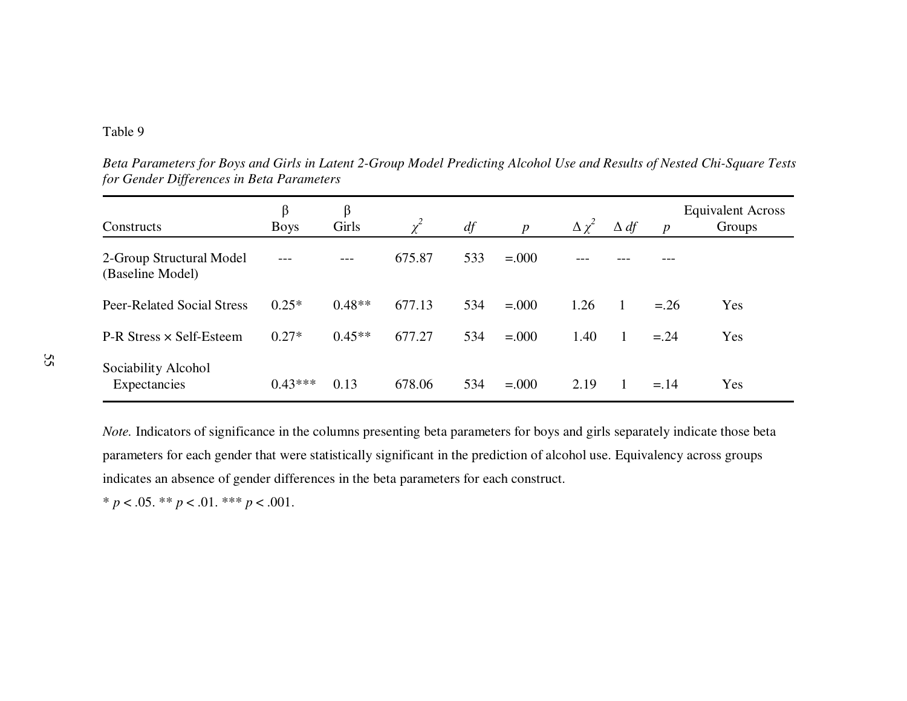### Table 9

*Beta Parameters for Boys and Girls in Latent 2-Group Model Predicting Alcohol Use and Results of Nested Chi-Square Tests for Gender Differences in Beta Parameters* 

| Constructs                                   | β<br><b>Boys</b> | β<br>Girls | $\chi^2$ | df  | $\boldsymbol{p}$ | $\Delta \chi^2$ | $\Delta df$ | $\boldsymbol{p}$ | <b>Equivalent Across</b><br>Groups |
|----------------------------------------------|------------------|------------|----------|-----|------------------|-----------------|-------------|------------------|------------------------------------|
| 2-Group Structural Model<br>(Baseline Model) |                  | ---        | 675.87   | 533 | $=.000$          | ---             |             |                  |                                    |
| <b>Peer-Related Social Stress</b>            | $0.25*$          | $0.48**$   | 677.13   | 534 | $=.000$          | 1.26            | 1           | $=.26$           | Yes                                |
| $P-R$ Stress $\times$ Self-Esteem            | $0.27*$          | $0.45**$   | 677.27   | 534 | $=.000$          | 1.40            |             | $=.24$           | Yes                                |
| Sociability Alcohol<br>Expectancies          | $0.43***$        | 0.13       | 678.06   | 534 | $=.000$          | 2.19            |             | $=.14$           | Yes                                |

*Note.* Indicators of significance in the columns presenting beta parameters for boys and girls separately indicate those beta parameters for each gender that were statistically significant in the prediction of alcohol use. Equivalency across groups indicates an absence of gender differences in the beta parameters for each construct.

\* *p* < .05. \*\* *p* < .01. \*\*\* *p* < .001.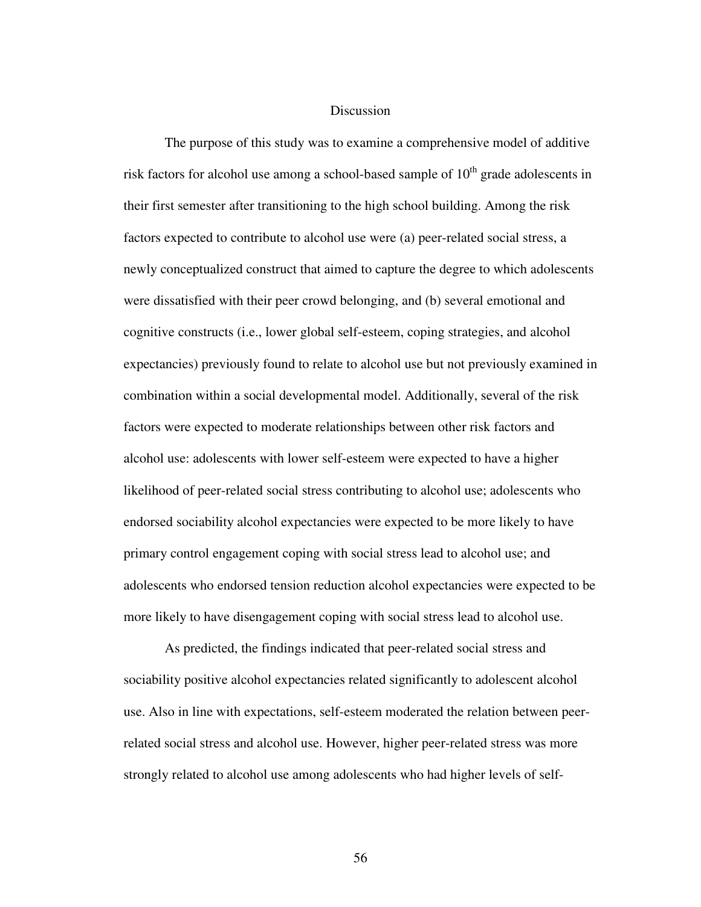#### **Discussion**

 The purpose of this study was to examine a comprehensive model of additive risk factors for alcohol use among a school-based sample of  $10<sup>th</sup>$  grade adolescents in their first semester after transitioning to the high school building. Among the risk factors expected to contribute to alcohol use were (a) peer-related social stress, a newly conceptualized construct that aimed to capture the degree to which adolescents were dissatisfied with their peer crowd belonging, and (b) several emotional and cognitive constructs (i.e., lower global self-esteem, coping strategies, and alcohol expectancies) previously found to relate to alcohol use but not previously examined in combination within a social developmental model. Additionally, several of the risk factors were expected to moderate relationships between other risk factors and alcohol use: adolescents with lower self-esteem were expected to have a higher likelihood of peer-related social stress contributing to alcohol use; adolescents who endorsed sociability alcohol expectancies were expected to be more likely to have primary control engagement coping with social stress lead to alcohol use; and adolescents who endorsed tension reduction alcohol expectancies were expected to be more likely to have disengagement coping with social stress lead to alcohol use.

As predicted, the findings indicated that peer-related social stress and sociability positive alcohol expectancies related significantly to adolescent alcohol use. Also in line with expectations, self-esteem moderated the relation between peerrelated social stress and alcohol use. However, higher peer-related stress was more strongly related to alcohol use among adolescents who had higher levels of self-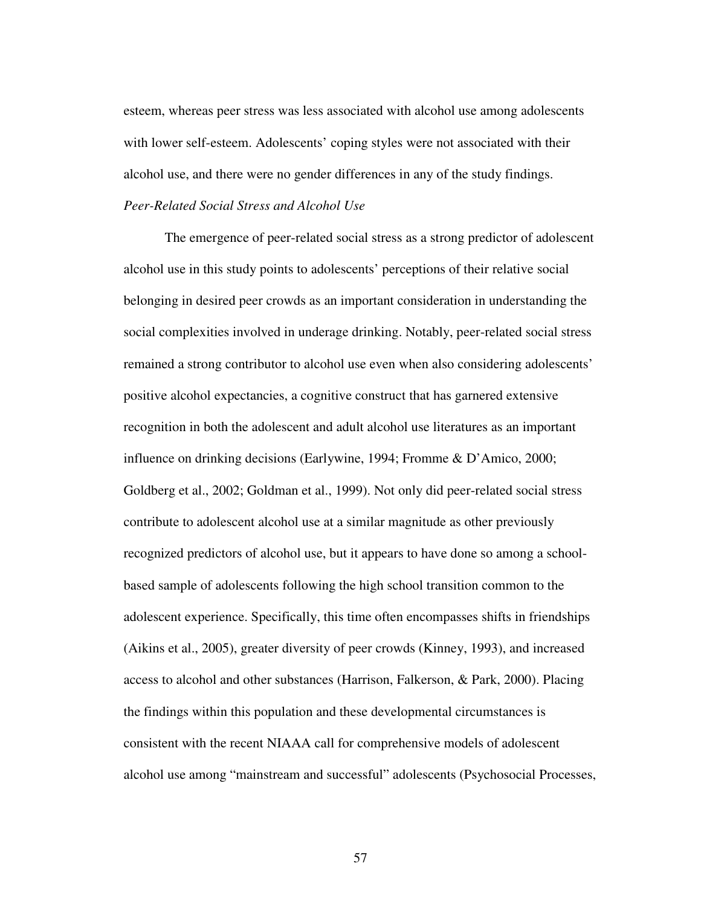esteem, whereas peer stress was less associated with alcohol use among adolescents with lower self-esteem. Adolescents' coping styles were not associated with their alcohol use, and there were no gender differences in any of the study findings.

#### *Peer-Related Social Stress and Alcohol Use*

The emergence of peer-related social stress as a strong predictor of adolescent alcohol use in this study points to adolescents' perceptions of their relative social belonging in desired peer crowds as an important consideration in understanding the social complexities involved in underage drinking. Notably, peer-related social stress remained a strong contributor to alcohol use even when also considering adolescents' positive alcohol expectancies, a cognitive construct that has garnered extensive recognition in both the adolescent and adult alcohol use literatures as an important influence on drinking decisions (Earlywine, 1994; Fromme & D'Amico, 2000; Goldberg et al., 2002; Goldman et al., 1999). Not only did peer-related social stress contribute to adolescent alcohol use at a similar magnitude as other previously recognized predictors of alcohol use, but it appears to have done so among a schoolbased sample of adolescents following the high school transition common to the adolescent experience. Specifically, this time often encompasses shifts in friendships (Aikins et al., 2005), greater diversity of peer crowds (Kinney, 1993), and increased access to alcohol and other substances (Harrison, Falkerson, & Park, 2000). Placing the findings within this population and these developmental circumstances is consistent with the recent NIAAA call for comprehensive models of adolescent alcohol use among "mainstream and successful" adolescents (Psychosocial Processes,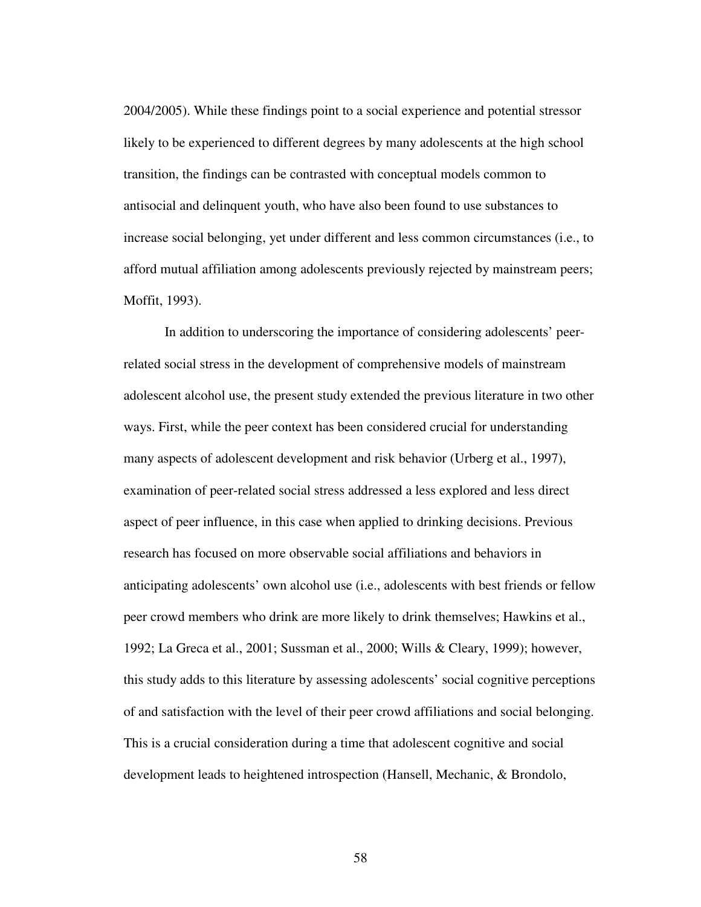2004/2005). While these findings point to a social experience and potential stressor likely to be experienced to different degrees by many adolescents at the high school transition, the findings can be contrasted with conceptual models common to antisocial and delinquent youth, who have also been found to use substances to increase social belonging, yet under different and less common circumstances (i.e., to afford mutual affiliation among adolescents previously rejected by mainstream peers; Moffit, 1993).

 In addition to underscoring the importance of considering adolescents' peerrelated social stress in the development of comprehensive models of mainstream adolescent alcohol use, the present study extended the previous literature in two other ways. First, while the peer context has been considered crucial for understanding many aspects of adolescent development and risk behavior (Urberg et al., 1997), examination of peer-related social stress addressed a less explored and less direct aspect of peer influence, in this case when applied to drinking decisions. Previous research has focused on more observable social affiliations and behaviors in anticipating adolescents' own alcohol use (i.e., adolescents with best friends or fellow peer crowd members who drink are more likely to drink themselves; Hawkins et al., 1992; La Greca et al., 2001; Sussman et al., 2000; Wills & Cleary, 1999); however, this study adds to this literature by assessing adolescents' social cognitive perceptions of and satisfaction with the level of their peer crowd affiliations and social belonging. This is a crucial consideration during a time that adolescent cognitive and social development leads to heightened introspection (Hansell, Mechanic, & Brondolo,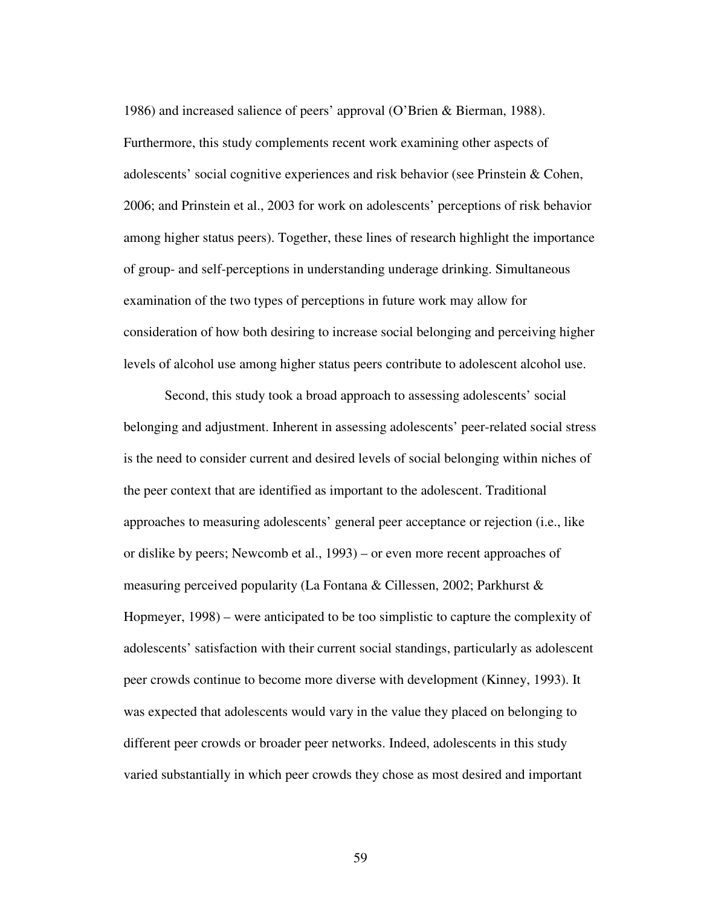1986) and increased salience of peers' approval (O'Brien & Bierman, 1988). Furthermore, this study complements recent work examining other aspects of adolescents' social cognitive experiences and risk behavior (see Prinstein & Cohen, 2006; and Prinstein et al., 2003 for work on adolescents' perceptions of risk behavior among higher status peers). Together, these lines of research highlight the importance of group- and self-perceptions in understanding underage drinking. Simultaneous examination of the two types of perceptions in future work may allow for consideration of how both desiring to increase social belonging and perceiving higher levels of alcohol use among higher status peers contribute to adolescent alcohol use.

 Second, this study took a broad approach to assessing adolescents' social belonging and adjustment. Inherent in assessing adolescents' peer-related social stress is the need to consider current and desired levels of social belonging within niches of the peer context that are identified as important to the adolescent. Traditional approaches to measuring adolescents' general peer acceptance or rejection (i.e., like or dislike by peers; Newcomb et al., 1993) – or even more recent approaches of measuring perceived popularity (La Fontana & Cillessen, 2002; Parkhurst & Hopmeyer, 1998) – were anticipated to be too simplistic to capture the complexity of adolescents' satisfaction with their current social standings, particularly as adolescent peer crowds continue to become more diverse with development (Kinney, 1993). It was expected that adolescents would vary in the value they placed on belonging to different peer crowds or broader peer networks. Indeed, adolescents in this study varied substantially in which peer crowds they chose as most desired and important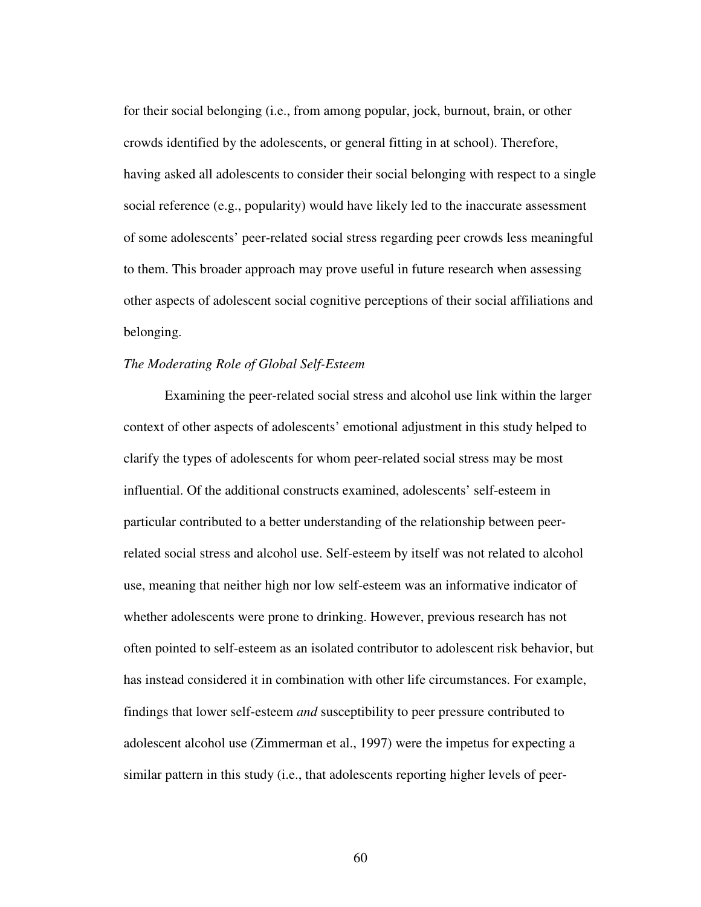for their social belonging (i.e., from among popular, jock, burnout, brain, or other crowds identified by the adolescents, or general fitting in at school). Therefore, having asked all adolescents to consider their social belonging with respect to a single social reference (e.g., popularity) would have likely led to the inaccurate assessment of some adolescents' peer-related social stress regarding peer crowds less meaningful to them. This broader approach may prove useful in future research when assessing other aspects of adolescent social cognitive perceptions of their social affiliations and belonging.

#### *The Moderating Role of Global Self-Esteem*

 Examining the peer-related social stress and alcohol use link within the larger context of other aspects of adolescents' emotional adjustment in this study helped to clarify the types of adolescents for whom peer-related social stress may be most influential. Of the additional constructs examined, adolescents' self-esteem in particular contributed to a better understanding of the relationship between peerrelated social stress and alcohol use. Self-esteem by itself was not related to alcohol use, meaning that neither high nor low self-esteem was an informative indicator of whether adolescents were prone to drinking. However, previous research has not often pointed to self-esteem as an isolated contributor to adolescent risk behavior, but has instead considered it in combination with other life circumstances. For example, findings that lower self-esteem *and* susceptibility to peer pressure contributed to adolescent alcohol use (Zimmerman et al., 1997) were the impetus for expecting a similar pattern in this study (i.e., that adolescents reporting higher levels of peer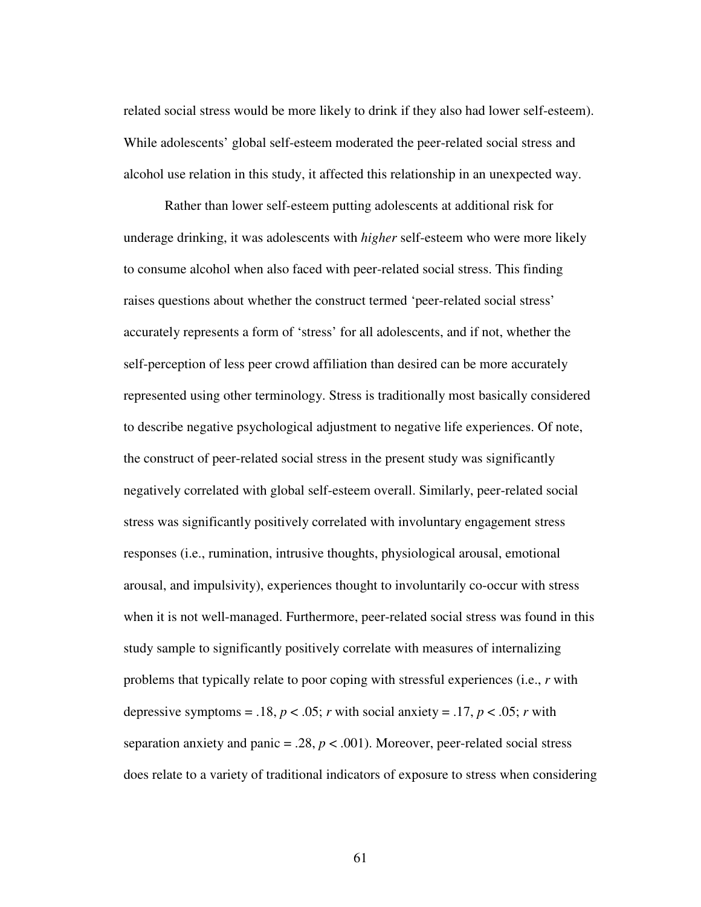related social stress would be more likely to drink if they also had lower self-esteem). While adolescents' global self-esteem moderated the peer-related social stress and alcohol use relation in this study, it affected this relationship in an unexpected way.

 Rather than lower self-esteem putting adolescents at additional risk for underage drinking, it was adolescents with *higher* self-esteem who were more likely to consume alcohol when also faced with peer-related social stress. This finding raises questions about whether the construct termed 'peer-related social stress' accurately represents a form of 'stress' for all adolescents, and if not, whether the self-perception of less peer crowd affiliation than desired can be more accurately represented using other terminology. Stress is traditionally most basically considered to describe negative psychological adjustment to negative life experiences. Of note, the construct of peer-related social stress in the present study was significantly negatively correlated with global self-esteem overall. Similarly, peer-related social stress was significantly positively correlated with involuntary engagement stress responses (i.e., rumination, intrusive thoughts, physiological arousal, emotional arousal, and impulsivity), experiences thought to involuntarily co-occur with stress when it is not well-managed. Furthermore, peer-related social stress was found in this study sample to significantly positively correlate with measures of internalizing problems that typically relate to poor coping with stressful experiences (i.e., *r* with depressive symptoms = .18,  $p < .05$ ; *r* with social anxiety = .17,  $p < .05$ ; *r* with separation anxiety and panic =  $.28, p < .001$ ). Moreover, peer-related social stress does relate to a variety of traditional indicators of exposure to stress when considering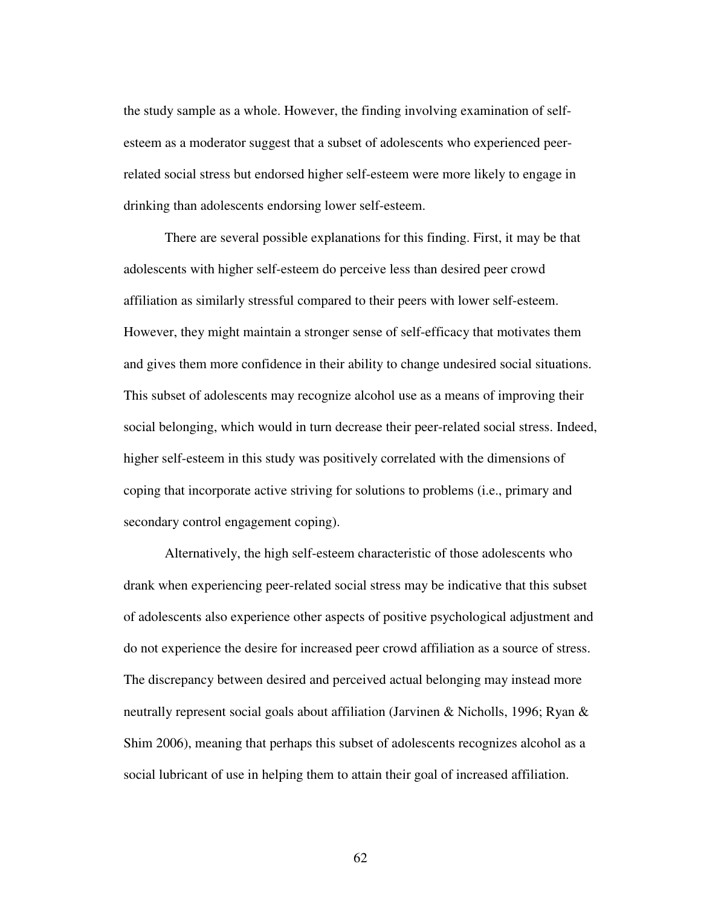the study sample as a whole. However, the finding involving examination of selfesteem as a moderator suggest that a subset of adolescents who experienced peerrelated social stress but endorsed higher self-esteem were more likely to engage in drinking than adolescents endorsing lower self-esteem.

There are several possible explanations for this finding. First, it may be that adolescents with higher self-esteem do perceive less than desired peer crowd affiliation as similarly stressful compared to their peers with lower self-esteem. However, they might maintain a stronger sense of self-efficacy that motivates them and gives them more confidence in their ability to change undesired social situations. This subset of adolescents may recognize alcohol use as a means of improving their social belonging, which would in turn decrease their peer-related social stress. Indeed, higher self-esteem in this study was positively correlated with the dimensions of coping that incorporate active striving for solutions to problems (i.e., primary and secondary control engagement coping).

Alternatively, the high self-esteem characteristic of those adolescents who drank when experiencing peer-related social stress may be indicative that this subset of adolescents also experience other aspects of positive psychological adjustment and do not experience the desire for increased peer crowd affiliation as a source of stress. The discrepancy between desired and perceived actual belonging may instead more neutrally represent social goals about affiliation (Jarvinen & Nicholls, 1996; Ryan & Shim 2006), meaning that perhaps this subset of adolescents recognizes alcohol as a social lubricant of use in helping them to attain their goal of increased affiliation.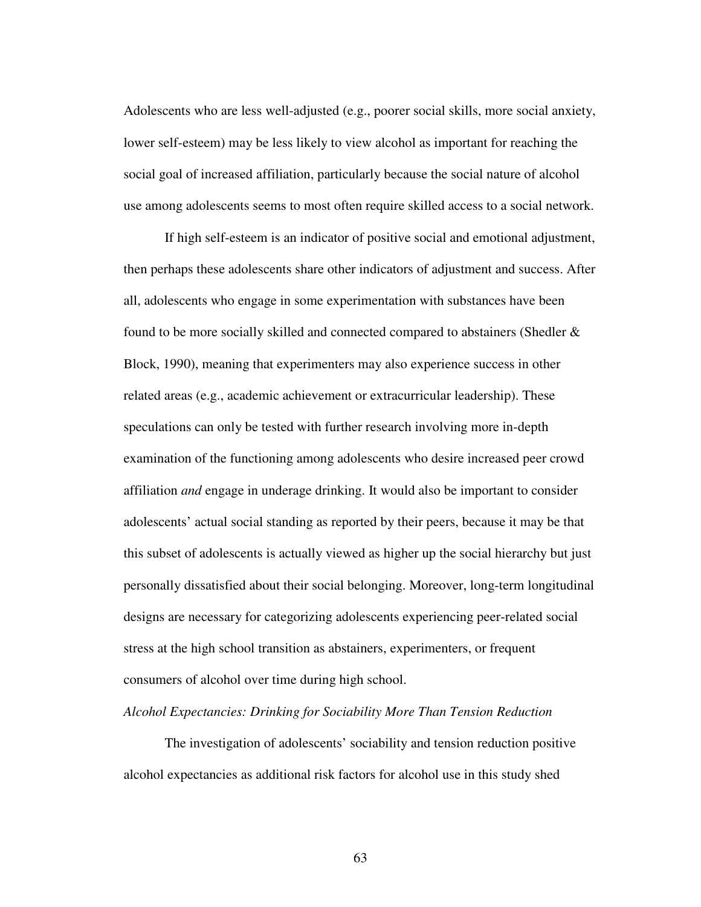Adolescents who are less well-adjusted (e.g., poorer social skills, more social anxiety, lower self-esteem) may be less likely to view alcohol as important for reaching the social goal of increased affiliation, particularly because the social nature of alcohol use among adolescents seems to most often require skilled access to a social network.

If high self-esteem is an indicator of positive social and emotional adjustment, then perhaps these adolescents share other indicators of adjustment and success. After all, adolescents who engage in some experimentation with substances have been found to be more socially skilled and connected compared to abstainers (Shedler  $\&$ Block, 1990), meaning that experimenters may also experience success in other related areas (e.g., academic achievement or extracurricular leadership). These speculations can only be tested with further research involving more in-depth examination of the functioning among adolescents who desire increased peer crowd affiliation *and* engage in underage drinking. It would also be important to consider adolescents' actual social standing as reported by their peers, because it may be that this subset of adolescents is actually viewed as higher up the social hierarchy but just personally dissatisfied about their social belonging. Moreover, long-term longitudinal designs are necessary for categorizing adolescents experiencing peer-related social stress at the high school transition as abstainers, experimenters, or frequent consumers of alcohol over time during high school.

### *Alcohol Expectancies: Drinking for Sociability More Than Tension Reduction*

 The investigation of adolescents' sociability and tension reduction positive alcohol expectancies as additional risk factors for alcohol use in this study shed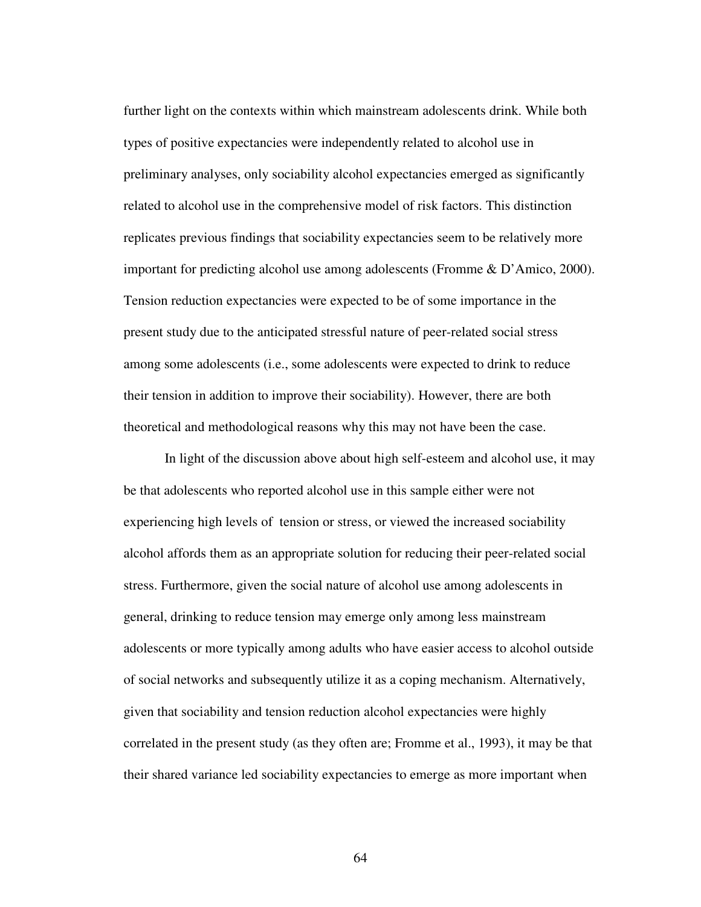further light on the contexts within which mainstream adolescents drink. While both types of positive expectancies were independently related to alcohol use in preliminary analyses, only sociability alcohol expectancies emerged as significantly related to alcohol use in the comprehensive model of risk factors. This distinction replicates previous findings that sociability expectancies seem to be relatively more important for predicting alcohol use among adolescents (Fromme & D'Amico, 2000). Tension reduction expectancies were expected to be of some importance in the present study due to the anticipated stressful nature of peer-related social stress among some adolescents (i.e., some adolescents were expected to drink to reduce their tension in addition to improve their sociability). However, there are both theoretical and methodological reasons why this may not have been the case.

In light of the discussion above about high self-esteem and alcohol use, it may be that adolescents who reported alcohol use in this sample either were not experiencing high levels of tension or stress, or viewed the increased sociability alcohol affords them as an appropriate solution for reducing their peer-related social stress. Furthermore, given the social nature of alcohol use among adolescents in general, drinking to reduce tension may emerge only among less mainstream adolescents or more typically among adults who have easier access to alcohol outside of social networks and subsequently utilize it as a coping mechanism. Alternatively, given that sociability and tension reduction alcohol expectancies were highly correlated in the present study (as they often are; Fromme et al., 1993), it may be that their shared variance led sociability expectancies to emerge as more important when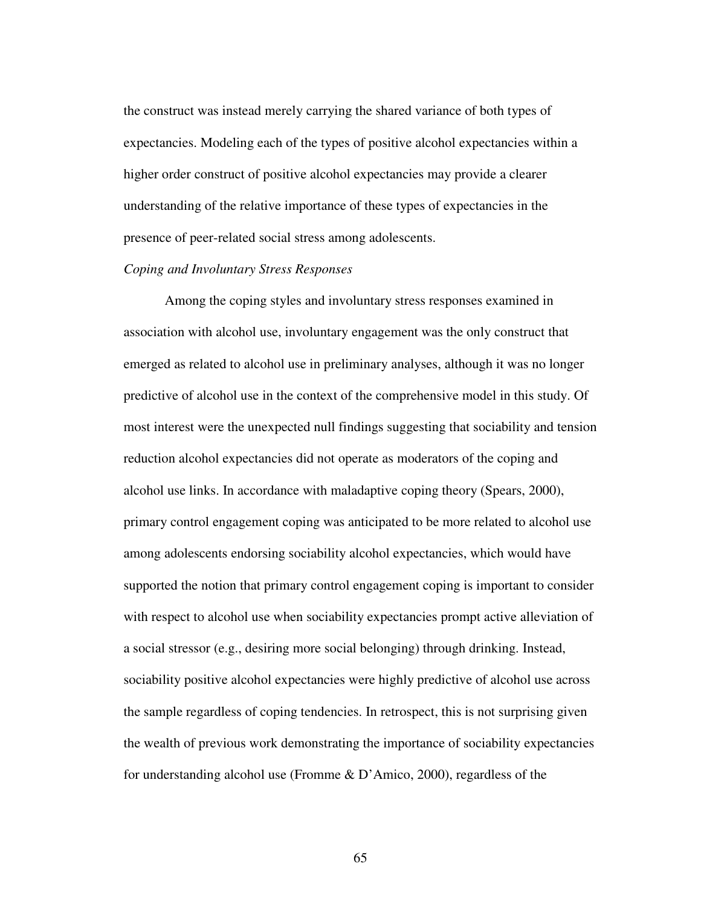the construct was instead merely carrying the shared variance of both types of expectancies. Modeling each of the types of positive alcohol expectancies within a higher order construct of positive alcohol expectancies may provide a clearer understanding of the relative importance of these types of expectancies in the presence of peer-related social stress among adolescents.

### *Coping and Involuntary Stress Responses*

Among the coping styles and involuntary stress responses examined in association with alcohol use, involuntary engagement was the only construct that emerged as related to alcohol use in preliminary analyses, although it was no longer predictive of alcohol use in the context of the comprehensive model in this study. Of most interest were the unexpected null findings suggesting that sociability and tension reduction alcohol expectancies did not operate as moderators of the coping and alcohol use links. In accordance with maladaptive coping theory (Spears, 2000), primary control engagement coping was anticipated to be more related to alcohol use among adolescents endorsing sociability alcohol expectancies, which would have supported the notion that primary control engagement coping is important to consider with respect to alcohol use when sociability expectancies prompt active alleviation of a social stressor (e.g., desiring more social belonging) through drinking. Instead, sociability positive alcohol expectancies were highly predictive of alcohol use across the sample regardless of coping tendencies. In retrospect, this is not surprising given the wealth of previous work demonstrating the importance of sociability expectancies for understanding alcohol use (Fromme & D'Amico, 2000), regardless of the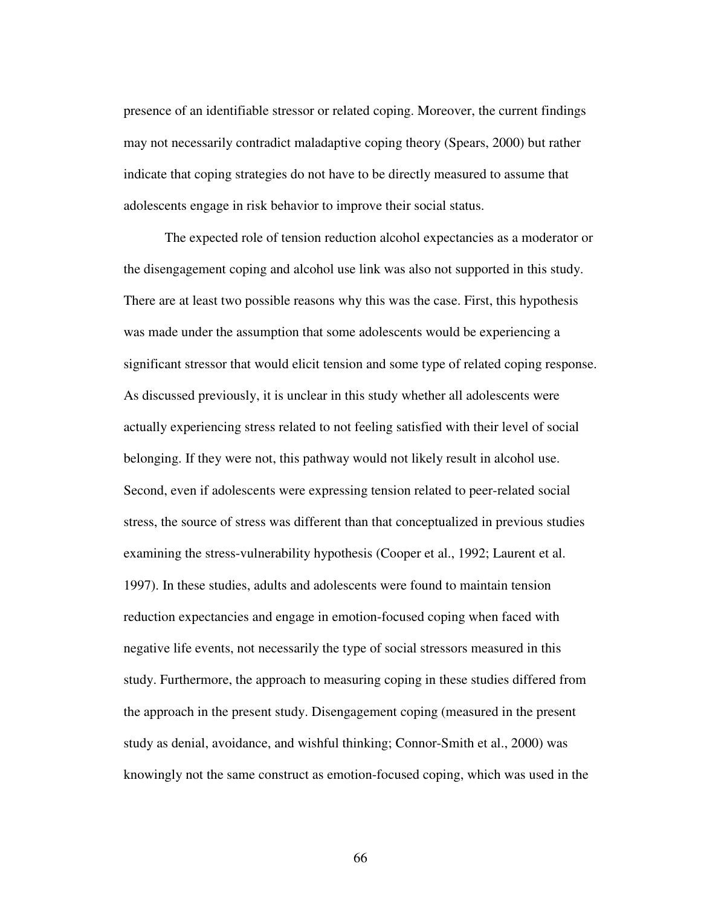presence of an identifiable stressor or related coping. Moreover, the current findings may not necessarily contradict maladaptive coping theory (Spears, 2000) but rather indicate that coping strategies do not have to be directly measured to assume that adolescents engage in risk behavior to improve their social status.

 The expected role of tension reduction alcohol expectancies as a moderator or the disengagement coping and alcohol use link was also not supported in this study. There are at least two possible reasons why this was the case. First, this hypothesis was made under the assumption that some adolescents would be experiencing a significant stressor that would elicit tension and some type of related coping response. As discussed previously, it is unclear in this study whether all adolescents were actually experiencing stress related to not feeling satisfied with their level of social belonging. If they were not, this pathway would not likely result in alcohol use. Second, even if adolescents were expressing tension related to peer-related social stress, the source of stress was different than that conceptualized in previous studies examining the stress-vulnerability hypothesis (Cooper et al., 1992; Laurent et al. 1997). In these studies, adults and adolescents were found to maintain tension reduction expectancies and engage in emotion-focused coping when faced with negative life events, not necessarily the type of social stressors measured in this study. Furthermore, the approach to measuring coping in these studies differed from the approach in the present study. Disengagement coping (measured in the present study as denial, avoidance, and wishful thinking; Connor-Smith et al., 2000) was knowingly not the same construct as emotion-focused coping, which was used in the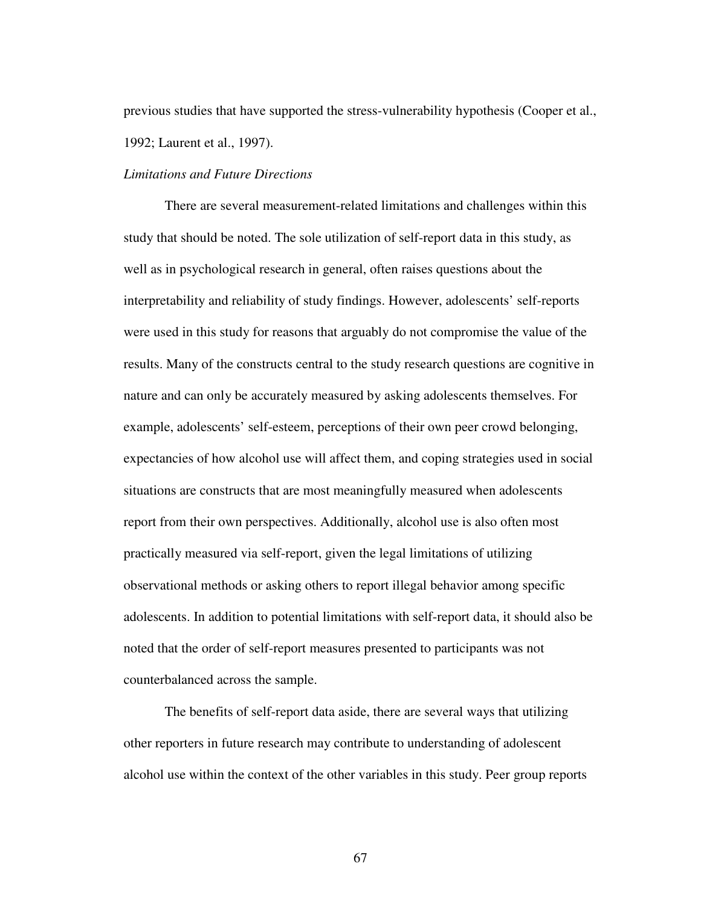previous studies that have supported the stress-vulnerability hypothesis (Cooper et al., 1992; Laurent et al., 1997).

## *Limitations and Future Directions*

There are several measurement-related limitations and challenges within this study that should be noted. The sole utilization of self-report data in this study, as well as in psychological research in general, often raises questions about the interpretability and reliability of study findings. However, adolescents' self-reports were used in this study for reasons that arguably do not compromise the value of the results. Many of the constructs central to the study research questions are cognitive in nature and can only be accurately measured by asking adolescents themselves. For example, adolescents' self-esteem, perceptions of their own peer crowd belonging, expectancies of how alcohol use will affect them, and coping strategies used in social situations are constructs that are most meaningfully measured when adolescents report from their own perspectives. Additionally, alcohol use is also often most practically measured via self-report, given the legal limitations of utilizing observational methods or asking others to report illegal behavior among specific adolescents. In addition to potential limitations with self-report data, it should also be noted that the order of self-report measures presented to participants was not counterbalanced across the sample.

The benefits of self-report data aside, there are several ways that utilizing other reporters in future research may contribute to understanding of adolescent alcohol use within the context of the other variables in this study. Peer group reports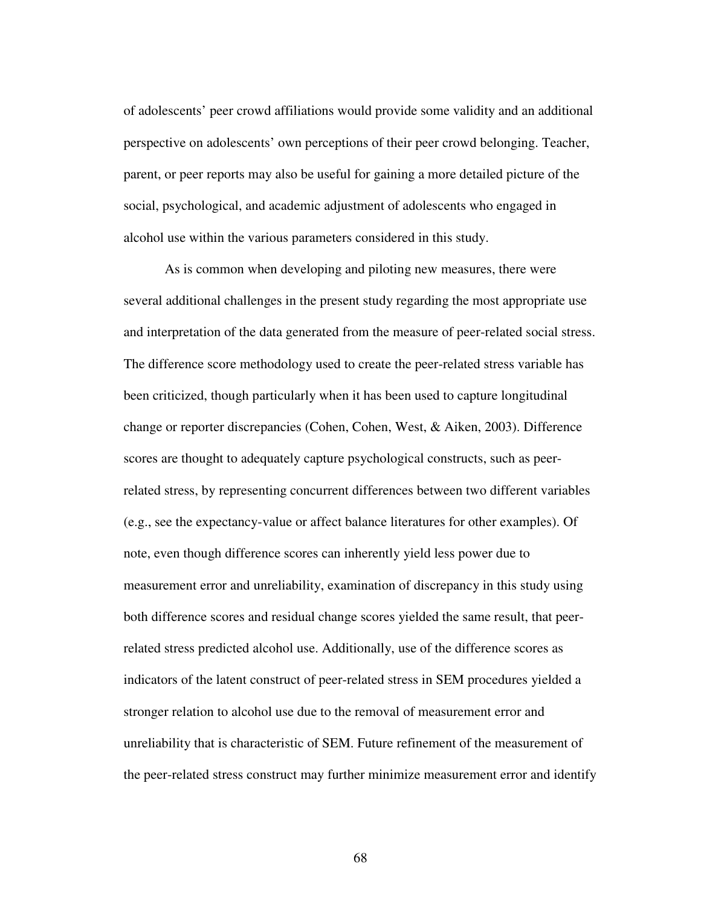of adolescents' peer crowd affiliations would provide some validity and an additional perspective on adolescents' own perceptions of their peer crowd belonging. Teacher, parent, or peer reports may also be useful for gaining a more detailed picture of the social, psychological, and academic adjustment of adolescents who engaged in alcohol use within the various parameters considered in this study.

As is common when developing and piloting new measures, there were several additional challenges in the present study regarding the most appropriate use and interpretation of the data generated from the measure of peer-related social stress. The difference score methodology used to create the peer-related stress variable has been criticized, though particularly when it has been used to capture longitudinal change or reporter discrepancies (Cohen, Cohen, West, & Aiken, 2003). Difference scores are thought to adequately capture psychological constructs, such as peerrelated stress, by representing concurrent differences between two different variables (e.g., see the expectancy-value or affect balance literatures for other examples). Of note, even though difference scores can inherently yield less power due to measurement error and unreliability, examination of discrepancy in this study using both difference scores and residual change scores yielded the same result, that peerrelated stress predicted alcohol use. Additionally, use of the difference scores as indicators of the latent construct of peer-related stress in SEM procedures yielded a stronger relation to alcohol use due to the removal of measurement error and unreliability that is characteristic of SEM. Future refinement of the measurement of the peer-related stress construct may further minimize measurement error and identify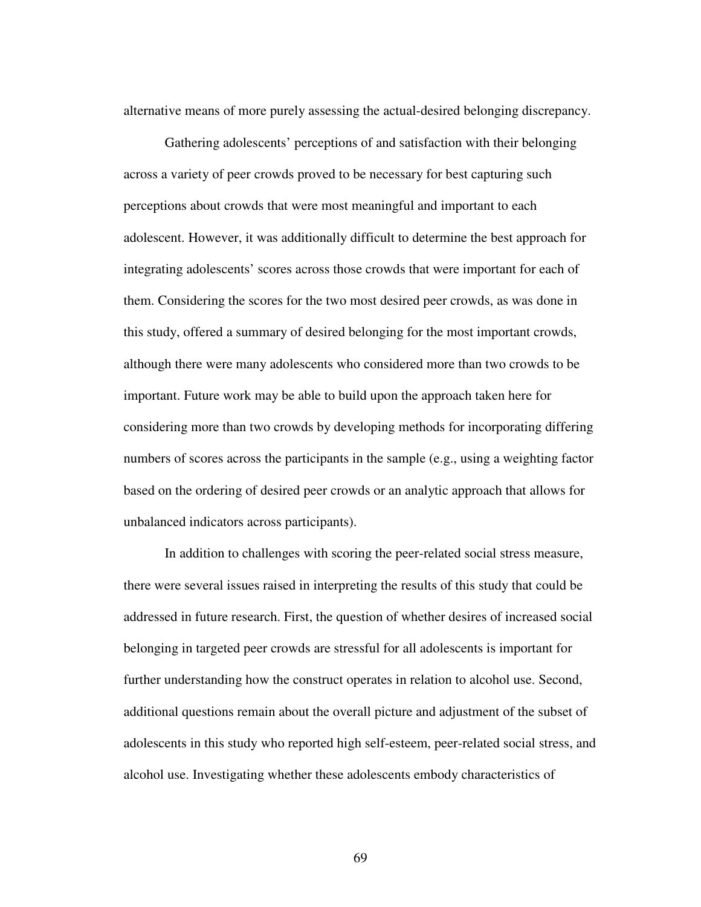alternative means of more purely assessing the actual-desired belonging discrepancy.

Gathering adolescents' perceptions of and satisfaction with their belonging across a variety of peer crowds proved to be necessary for best capturing such perceptions about crowds that were most meaningful and important to each adolescent. However, it was additionally difficult to determine the best approach for integrating adolescents' scores across those crowds that were important for each of them. Considering the scores for the two most desired peer crowds, as was done in this study, offered a summary of desired belonging for the most important crowds, although there were many adolescents who considered more than two crowds to be important. Future work may be able to build upon the approach taken here for considering more than two crowds by developing methods for incorporating differing numbers of scores across the participants in the sample (e.g., using a weighting factor based on the ordering of desired peer crowds or an analytic approach that allows for unbalanced indicators across participants).

 In addition to challenges with scoring the peer-related social stress measure, there were several issues raised in interpreting the results of this study that could be addressed in future research. First, the question of whether desires of increased social belonging in targeted peer crowds are stressful for all adolescents is important for further understanding how the construct operates in relation to alcohol use. Second, additional questions remain about the overall picture and adjustment of the subset of adolescents in this study who reported high self-esteem, peer-related social stress, and alcohol use. Investigating whether these adolescents embody characteristics of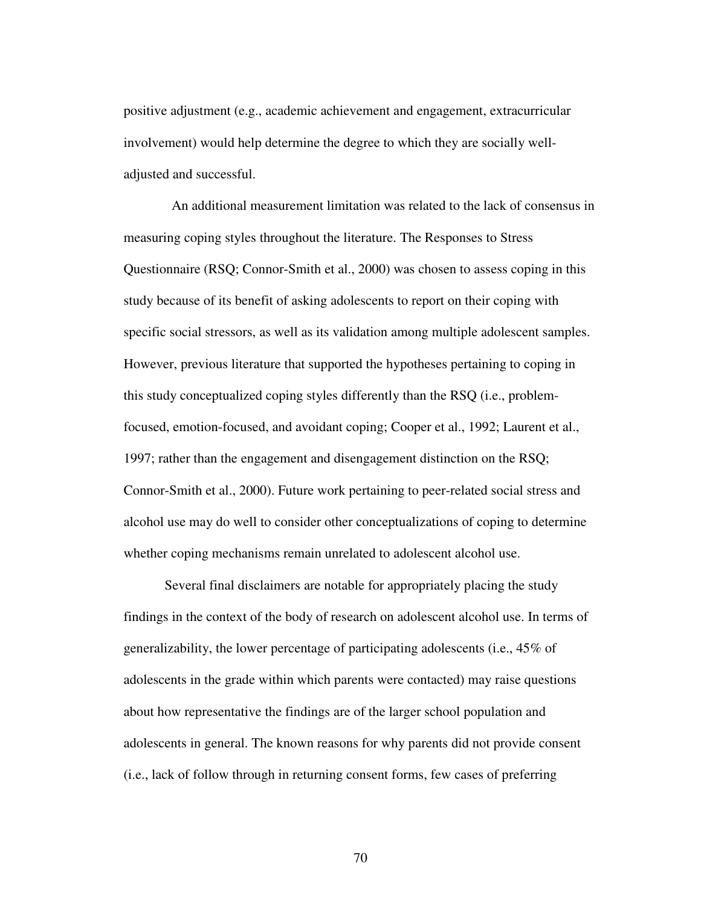positive adjustment (e.g., academic achievement and engagement, extracurricular involvement) would help determine the degree to which they are socially welladjusted and successful.

 An additional measurement limitation was related to the lack of consensus in measuring coping styles throughout the literature. The Responses to Stress Questionnaire (RSQ; Connor-Smith et al., 2000) was chosen to assess coping in this study because of its benefit of asking adolescents to report on their coping with specific social stressors, as well as its validation among multiple adolescent samples. However, previous literature that supported the hypotheses pertaining to coping in this study conceptualized coping styles differently than the RSQ (i.e., problemfocused, emotion-focused, and avoidant coping; Cooper et al., 1992; Laurent et al., 1997; rather than the engagement and disengagement distinction on the RSQ; Connor-Smith et al., 2000). Future work pertaining to peer-related social stress and alcohol use may do well to consider other conceptualizations of coping to determine whether coping mechanisms remain unrelated to adolescent alcohol use.

 Several final disclaimers are notable for appropriately placing the study findings in the context of the body of research on adolescent alcohol use. In terms of generalizability, the lower percentage of participating adolescents (i.e., 45% of adolescents in the grade within which parents were contacted) may raise questions about how representative the findings are of the larger school population and adolescents in general. The known reasons for why parents did not provide consent (i.e., lack of follow through in returning consent forms, few cases of preferring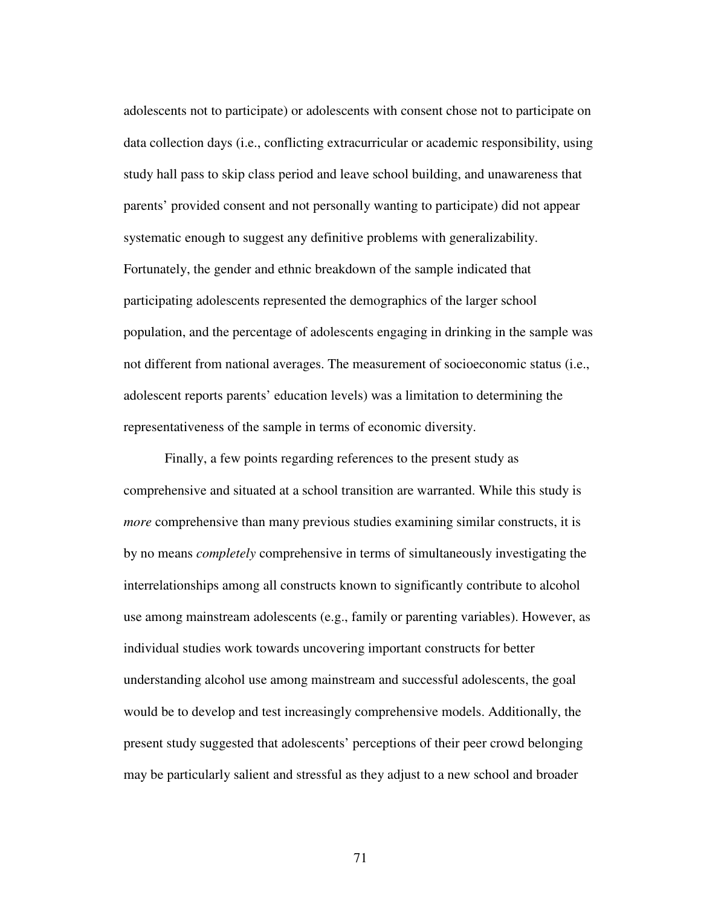adolescents not to participate) or adolescents with consent chose not to participate on data collection days (i.e., conflicting extracurricular or academic responsibility, using study hall pass to skip class period and leave school building, and unawareness that parents' provided consent and not personally wanting to participate) did not appear systematic enough to suggest any definitive problems with generalizability. Fortunately, the gender and ethnic breakdown of the sample indicated that participating adolescents represented the demographics of the larger school population, and the percentage of adolescents engaging in drinking in the sample was not different from national averages. The measurement of socioeconomic status (i.e., adolescent reports parents' education levels) was a limitation to determining the representativeness of the sample in terms of economic diversity.

Finally, a few points regarding references to the present study as comprehensive and situated at a school transition are warranted. While this study is *more* comprehensive than many previous studies examining similar constructs, it is by no means *completely* comprehensive in terms of simultaneously investigating the interrelationships among all constructs known to significantly contribute to alcohol use among mainstream adolescents (e.g., family or parenting variables). However, as individual studies work towards uncovering important constructs for better understanding alcohol use among mainstream and successful adolescents, the goal would be to develop and test increasingly comprehensive models. Additionally, the present study suggested that adolescents' perceptions of their peer crowd belonging may be particularly salient and stressful as they adjust to a new school and broader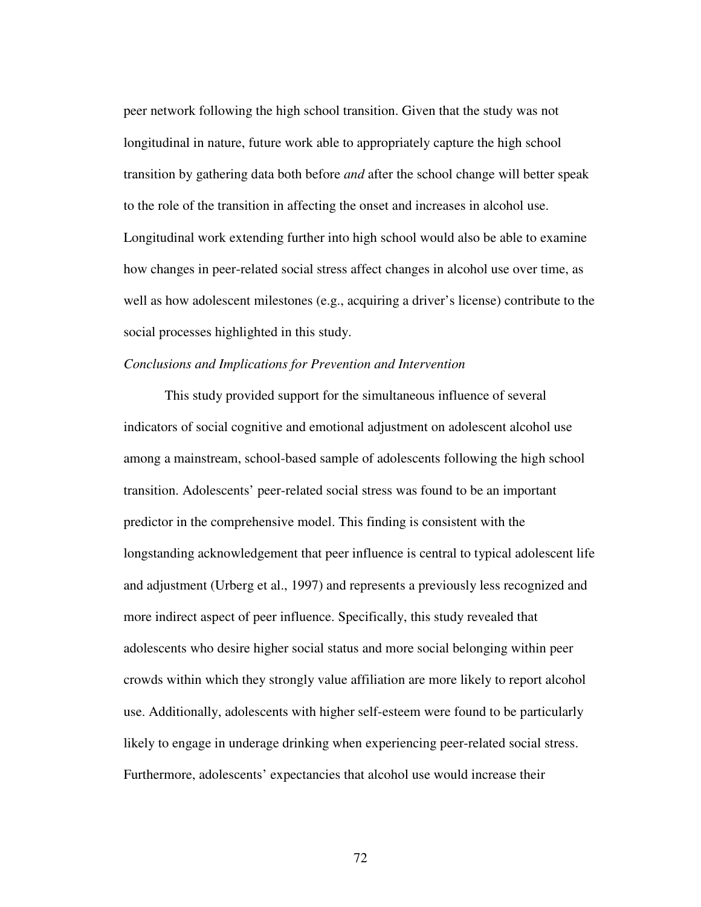peer network following the high school transition. Given that the study was not longitudinal in nature, future work able to appropriately capture the high school transition by gathering data both before *and* after the school change will better speak to the role of the transition in affecting the onset and increases in alcohol use. Longitudinal work extending further into high school would also be able to examine how changes in peer-related social stress affect changes in alcohol use over time, as well as how adolescent milestones (e.g., acquiring a driver's license) contribute to the social processes highlighted in this study.

### *Conclusions and Implications for Prevention and Intervention*

This study provided support for the simultaneous influence of several indicators of social cognitive and emotional adjustment on adolescent alcohol use among a mainstream, school-based sample of adolescents following the high school transition. Adolescents' peer-related social stress was found to be an important predictor in the comprehensive model. This finding is consistent with the longstanding acknowledgement that peer influence is central to typical adolescent life and adjustment (Urberg et al., 1997) and represents a previously less recognized and more indirect aspect of peer influence. Specifically, this study revealed that adolescents who desire higher social status and more social belonging within peer crowds within which they strongly value affiliation are more likely to report alcohol use. Additionally, adolescents with higher self-esteem were found to be particularly likely to engage in underage drinking when experiencing peer-related social stress. Furthermore, adolescents' expectancies that alcohol use would increase their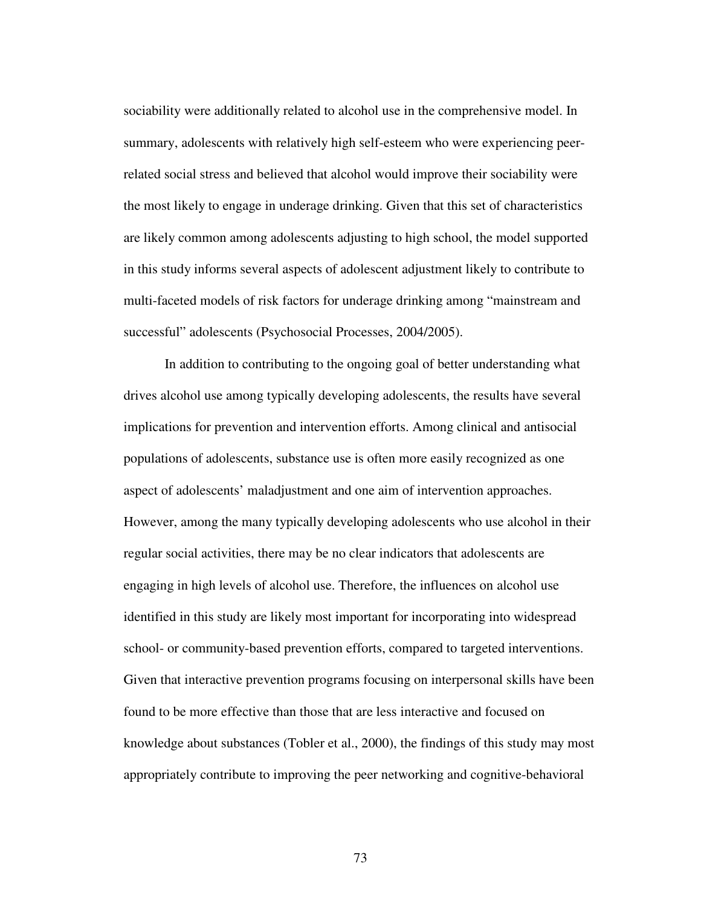sociability were additionally related to alcohol use in the comprehensive model. In summary, adolescents with relatively high self-esteem who were experiencing peerrelated social stress and believed that alcohol would improve their sociability were the most likely to engage in underage drinking. Given that this set of characteristics are likely common among adolescents adjusting to high school, the model supported in this study informs several aspects of adolescent adjustment likely to contribute to multi-faceted models of risk factors for underage drinking among "mainstream and successful" adolescents (Psychosocial Processes, 2004/2005).

 In addition to contributing to the ongoing goal of better understanding what drives alcohol use among typically developing adolescents, the results have several implications for prevention and intervention efforts. Among clinical and antisocial populations of adolescents, substance use is often more easily recognized as one aspect of adolescents' maladjustment and one aim of intervention approaches. However, among the many typically developing adolescents who use alcohol in their regular social activities, there may be no clear indicators that adolescents are engaging in high levels of alcohol use. Therefore, the influences on alcohol use identified in this study are likely most important for incorporating into widespread school- or community-based prevention efforts, compared to targeted interventions. Given that interactive prevention programs focusing on interpersonal skills have been found to be more effective than those that are less interactive and focused on knowledge about substances (Tobler et al., 2000), the findings of this study may most appropriately contribute to improving the peer networking and cognitive-behavioral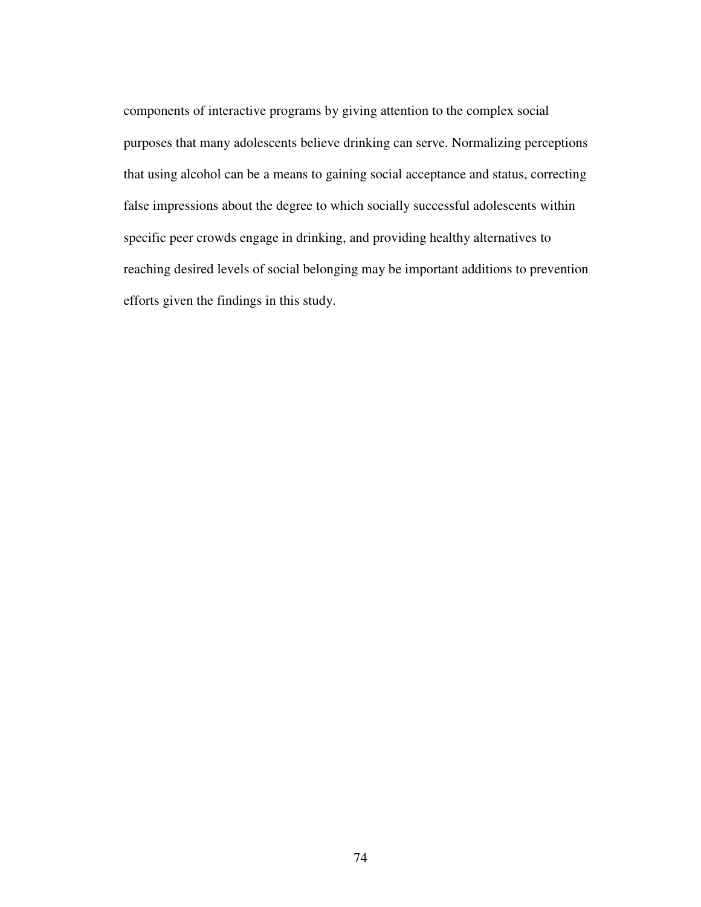components of interactive programs by giving attention to the complex social purposes that many adolescents believe drinking can serve. Normalizing perceptions that using alcohol can be a means to gaining social acceptance and status, correcting false impressions about the degree to which socially successful adolescents within specific peer crowds engage in drinking, and providing healthy alternatives to reaching desired levels of social belonging may be important additions to prevention efforts given the findings in this study.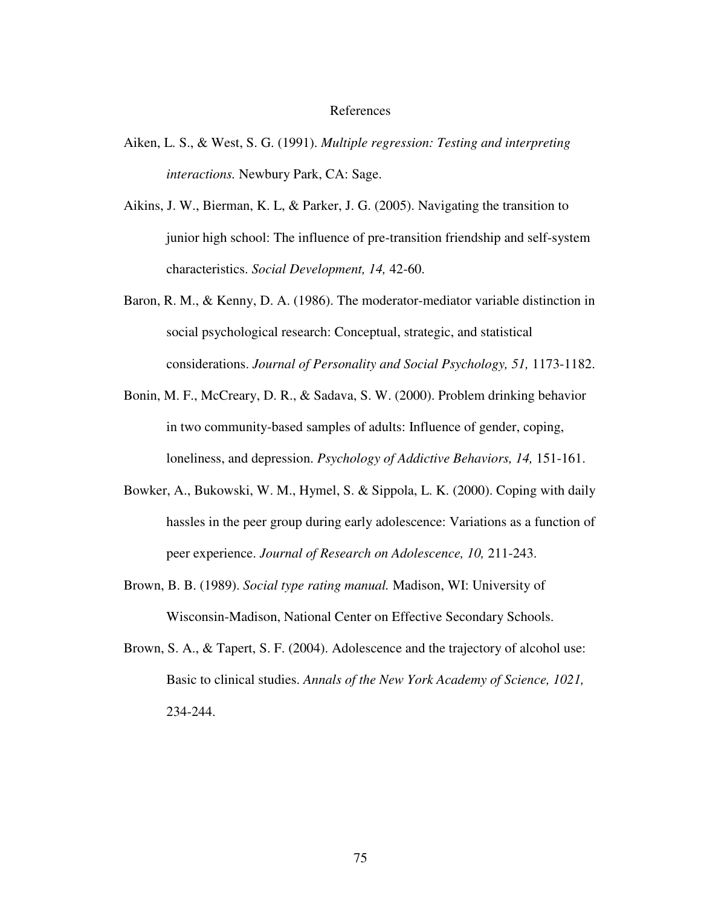## References

- Aiken, L. S., & West, S. G. (1991). *Multiple regression: Testing and interpreting interactions.* Newbury Park, CA: Sage.
- Aikins, J. W., Bierman, K. L, & Parker, J. G. (2005). Navigating the transition to junior high school: The influence of pre-transition friendship and self-system characteristics. *Social Development, 14,* 42-60.
- Baron, R. M., & Kenny, D. A. (1986). The moderator-mediator variable distinction in social psychological research: Conceptual, strategic, and statistical considerations. *Journal of Personality and Social Psychology, 51,* 1173-1182.
- Bonin, M. F., McCreary, D. R., & Sadava, S. W. (2000). Problem drinking behavior in two community-based samples of adults: Influence of gender, coping, loneliness, and depression. *Psychology of Addictive Behaviors, 14,* 151-161.
- Bowker, A., Bukowski, W. M., Hymel, S. & Sippola, L. K. (2000). Coping with daily hassles in the peer group during early adolescence: Variations as a function of peer experience. *Journal of Research on Adolescence, 10,* 211-243.
- Brown, B. B. (1989). *Social type rating manual.* Madison, WI: University of Wisconsin-Madison, National Center on Effective Secondary Schools.
- Brown, S. A., & Tapert, S. F. (2004). Adolescence and the trajectory of alcohol use: Basic to clinical studies. *Annals of the New York Academy of Science, 1021,*  234-244.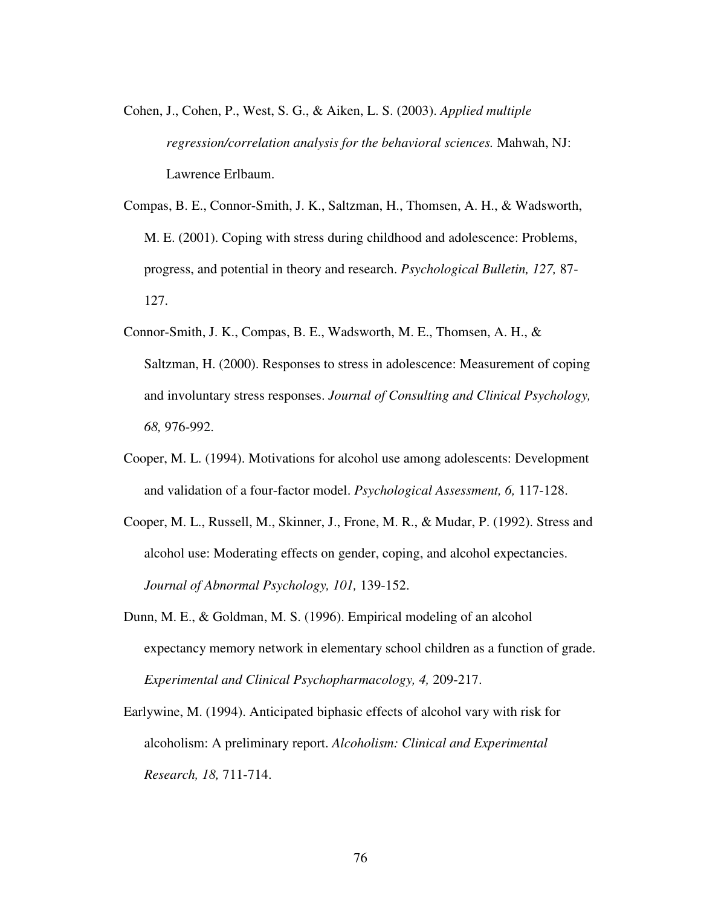- Cohen, J., Cohen, P., West, S. G., & Aiken, L. S. (2003). *Applied multiple regression/correlation analysis for the behavioral sciences.* Mahwah, NJ: Lawrence Erlbaum.
- Compas, B. E., Connor-Smith, J. K., Saltzman, H., Thomsen, A. H., & Wadsworth, M. E. (2001). Coping with stress during childhood and adolescence: Problems, progress, and potential in theory and research. *Psychological Bulletin, 127,* 87- 127.
- Connor-Smith, J. K., Compas, B. E., Wadsworth, M. E., Thomsen, A. H., & Saltzman, H. (2000). Responses to stress in adolescence: Measurement of coping and involuntary stress responses. *Journal of Consulting and Clinical Psychology, 68,* 976-992.
- Cooper, M. L. (1994). Motivations for alcohol use among adolescents: Development and validation of a four-factor model. *Psychological Assessment, 6,* 117-128.
- Cooper, M. L., Russell, M., Skinner, J., Frone, M. R., & Mudar, P. (1992). Stress and alcohol use: Moderating effects on gender, coping, and alcohol expectancies. *Journal of Abnormal Psychology, 101,* 139-152.
- Dunn, M. E., & Goldman, M. S. (1996). Empirical modeling of an alcohol expectancy memory network in elementary school children as a function of grade. *Experimental and Clinical Psychopharmacology, 4,* 209-217.
- Earlywine, M. (1994). Anticipated biphasic effects of alcohol vary with risk for alcoholism: A preliminary report. *Alcoholism: Clinical and Experimental Research, 18,* 711-714.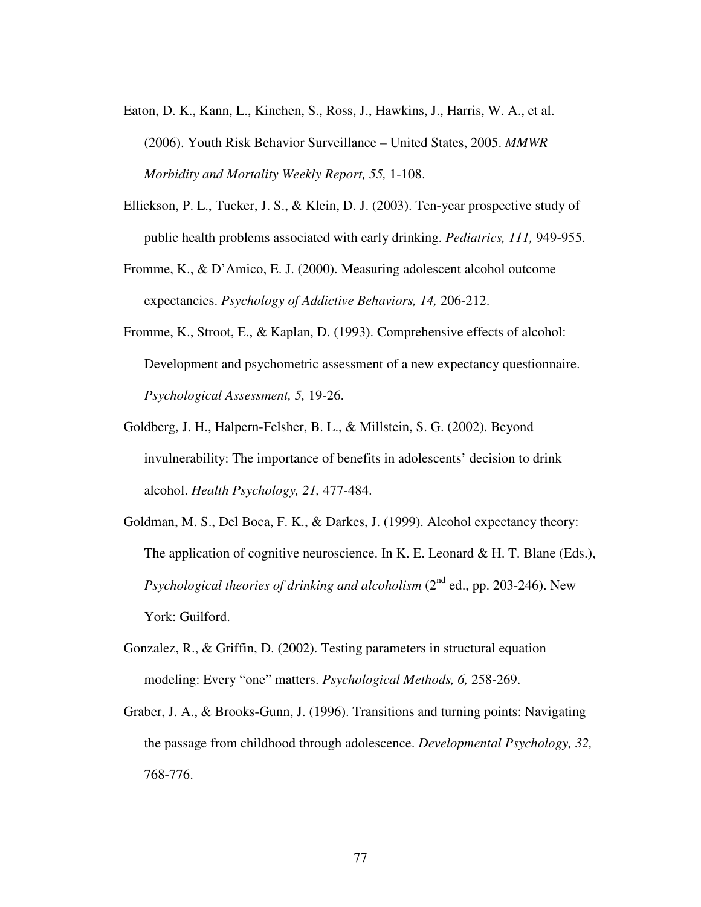- Eaton, D. K., Kann, L., Kinchen, S., Ross, J., Hawkins, J., Harris, W. A., et al. (2006). Youth Risk Behavior Surveillance – United States, 2005. *MMWR Morbidity and Mortality Weekly Report, 55,* 1-108.
- Ellickson, P. L., Tucker, J. S., & Klein, D. J. (2003). Ten-year prospective study of public health problems associated with early drinking. *Pediatrics, 111,* 949-955.
- Fromme, K., & D'Amico, E. J. (2000). Measuring adolescent alcohol outcome expectancies. *Psychology of Addictive Behaviors, 14,* 206-212.
- Fromme, K., Stroot, E., & Kaplan, D. (1993). Comprehensive effects of alcohol: Development and psychometric assessment of a new expectancy questionnaire. *Psychological Assessment, 5,* 19-26.
- Goldberg, J. H., Halpern-Felsher, B. L., & Millstein, S. G. (2002). Beyond invulnerability: The importance of benefits in adolescents' decision to drink alcohol. *Health Psychology, 21,* 477-484.
- Goldman, M. S., Del Boca, F. K., & Darkes, J. (1999). Alcohol expectancy theory: The application of cognitive neuroscience. In K. E. Leonard & H. T. Blane (Eds.), *Psychological theories of drinking and alcoholism* ( $2<sup>nd</sup>$  ed., pp. 203-246). New York: Guilford.
- Gonzalez, R., & Griffin, D. (2002). Testing parameters in structural equation modeling: Every "one" matters. *Psychological Methods, 6,* 258-269.
- Graber, J. A., & Brooks-Gunn, J. (1996). Transitions and turning points: Navigating the passage from childhood through adolescence. *Developmental Psychology, 32,*  768-776.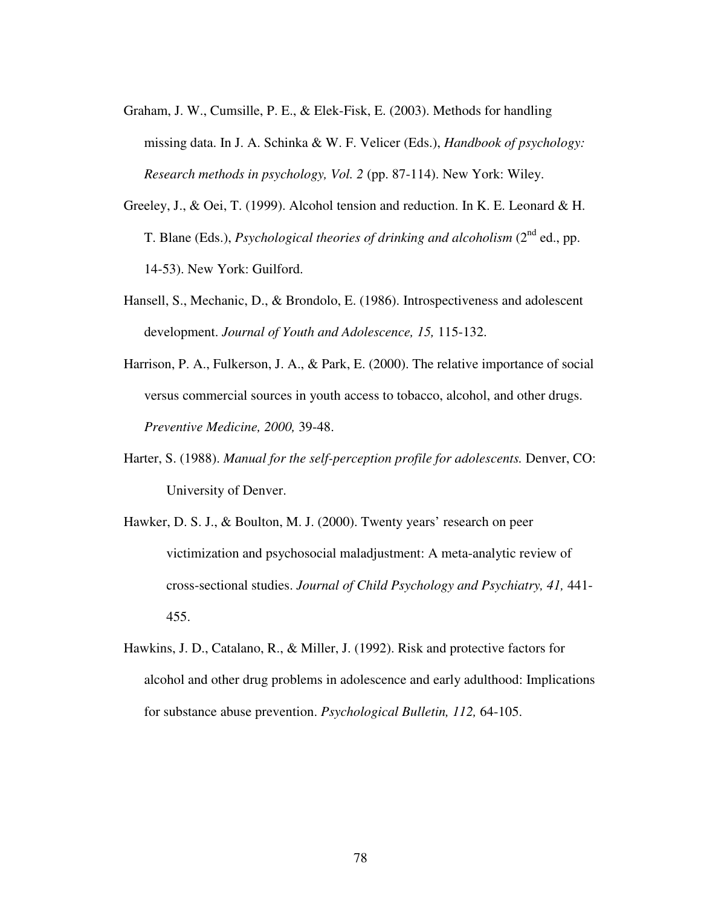- Graham, J. W., Cumsille, P. E., & Elek-Fisk, E. (2003). Methods for handling missing data. In J. A. Schinka & W. F. Velicer (Eds.), *Handbook of psychology: Research methods in psychology, Vol. 2* (pp. 87-114). New York: Wiley.
- Greeley, J., & Oei, T. (1999). Alcohol tension and reduction. In K. E. Leonard & H. T. Blane (Eds.), *Psychological theories of drinking and alcoholism* (2<sup>nd</sup> ed., pp. 14-53). New York: Guilford.
- Hansell, S., Mechanic, D., & Brondolo, E. (1986). Introspectiveness and adolescent development. *Journal of Youth and Adolescence, 15,* 115-132.
- Harrison, P. A., Fulkerson, J. A., & Park, E. (2000). The relative importance of social versus commercial sources in youth access to tobacco, alcohol, and other drugs. *Preventive Medicine, 2000,* 39-48.
- Harter, S. (1988). *Manual for the self-perception profile for adolescents.* Denver, CO: University of Denver.
- Hawker, D. S. J., & Boulton, M. J. (2000). Twenty years' research on peer victimization and psychosocial maladjustment: A meta-analytic review of cross-sectional studies. *Journal of Child Psychology and Psychiatry, 41,* 441- 455.
- Hawkins, J. D., Catalano, R., & Miller, J. (1992). Risk and protective factors for alcohol and other drug problems in adolescence and early adulthood: Implications for substance abuse prevention. *Psychological Bulletin, 112,* 64-105.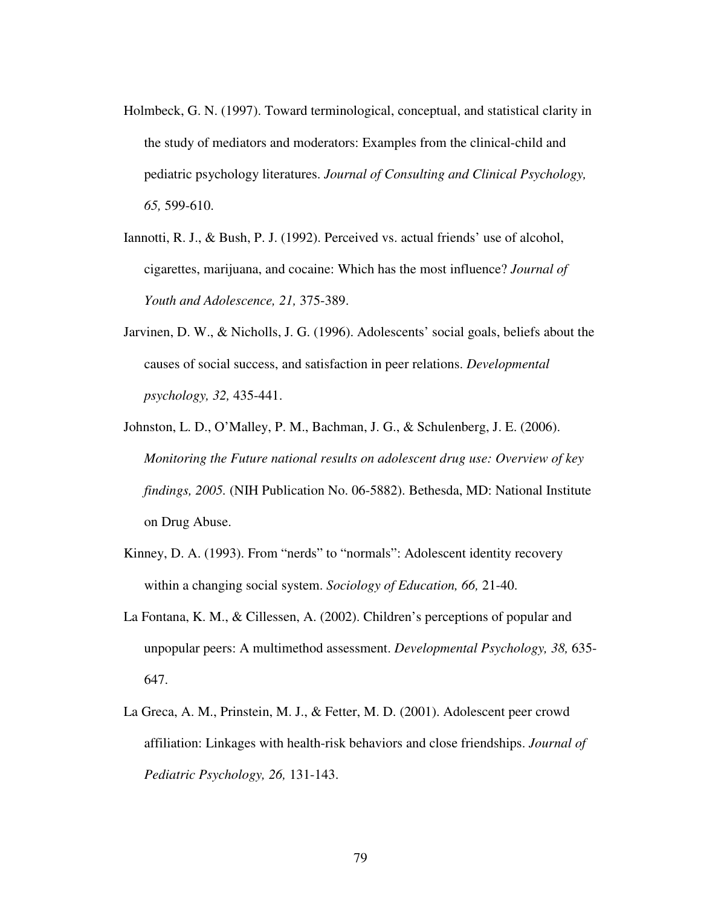- Holmbeck, G. N. (1997). Toward terminological, conceptual, and statistical clarity in the study of mediators and moderators: Examples from the clinical-child and pediatric psychology literatures. *Journal of Consulting and Clinical Psychology, 65,* 599-610.
- Iannotti, R. J., & Bush, P. J. (1992). Perceived vs. actual friends' use of alcohol, cigarettes, marijuana, and cocaine: Which has the most influence? *Journal of Youth and Adolescence, 21,* 375-389.
- Jarvinen, D. W., & Nicholls, J. G. (1996). Adolescents' social goals, beliefs about the causes of social success, and satisfaction in peer relations. *Developmental psychology, 32,* 435-441.
- Johnston, L. D., O'Malley, P. M., Bachman, J. G., & Schulenberg, J. E. (2006). *Monitoring the Future national results on adolescent drug use: Overview of key findings, 2005.* (NIH Publication No. 06-5882). Bethesda, MD: National Institute on Drug Abuse.
- Kinney, D. A. (1993). From "nerds" to "normals": Adolescent identity recovery within a changing social system. *Sociology of Education, 66,* 21-40.
- La Fontana, K. M., & Cillessen, A. (2002). Children's perceptions of popular and unpopular peers: A multimethod assessment. *Developmental Psychology, 38,* 635- 647.
- La Greca, A. M., Prinstein, M. J., & Fetter, M. D. (2001). Adolescent peer crowd affiliation: Linkages with health-risk behaviors and close friendships. *Journal of Pediatric Psychology, 26,* 131-143.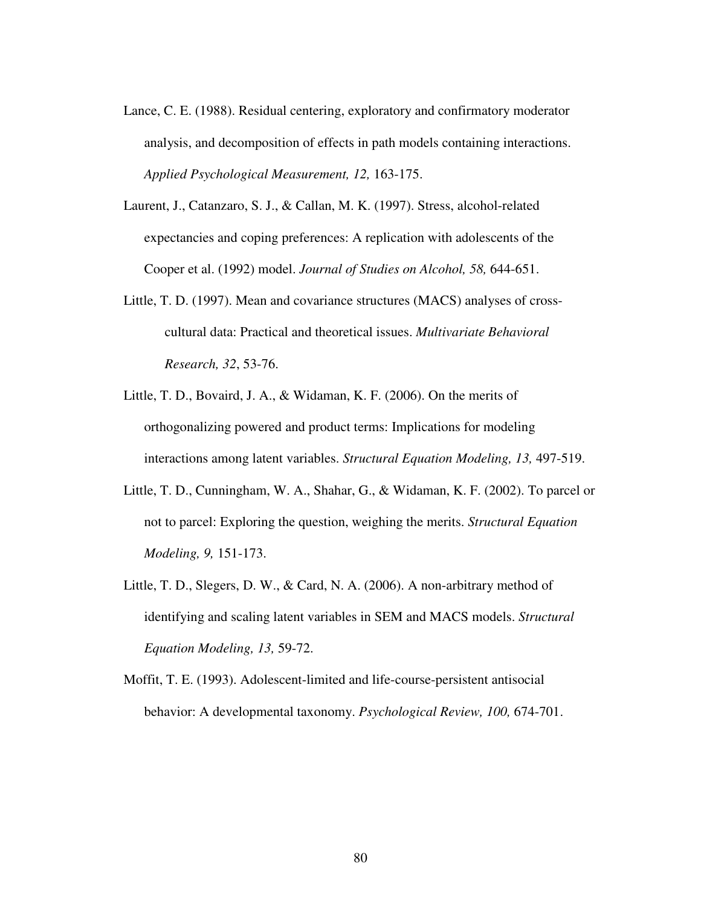- Lance, C. E. (1988). Residual centering, exploratory and confirmatory moderator analysis, and decomposition of effects in path models containing interactions. *Applied Psychological Measurement, 12,* 163-175.
- Laurent, J., Catanzaro, S. J., & Callan, M. K. (1997). Stress, alcohol-related expectancies and coping preferences: A replication with adolescents of the Cooper et al. (1992) model. *Journal of Studies on Alcohol, 58,* 644-651.
- Little, T. D. (1997). Mean and covariance structures (MACS) analyses of crosscultural data: Practical and theoretical issues. *Multivariate Behavioral Research, 32*, 53-76.
- Little, T. D., Bovaird, J. A., & Widaman, K. F. (2006). On the merits of orthogonalizing powered and product terms: Implications for modeling interactions among latent variables. *Structural Equation Modeling, 13,* 497-519.
- Little, T. D., Cunningham, W. A., Shahar, G., & Widaman, K. F. (2002). To parcel or not to parcel: Exploring the question, weighing the merits. *Structural Equation Modeling, 9,* 151-173.
- Little, T. D., Slegers, D. W., & Card, N. A. (2006). A non-arbitrary method of identifying and scaling latent variables in SEM and MACS models. *Structural Equation Modeling, 13,* 59-72.
- Moffit, T. E. (1993). Adolescent-limited and life-course-persistent antisocial behavior: A developmental taxonomy. *Psychological Review, 100,* 674-701.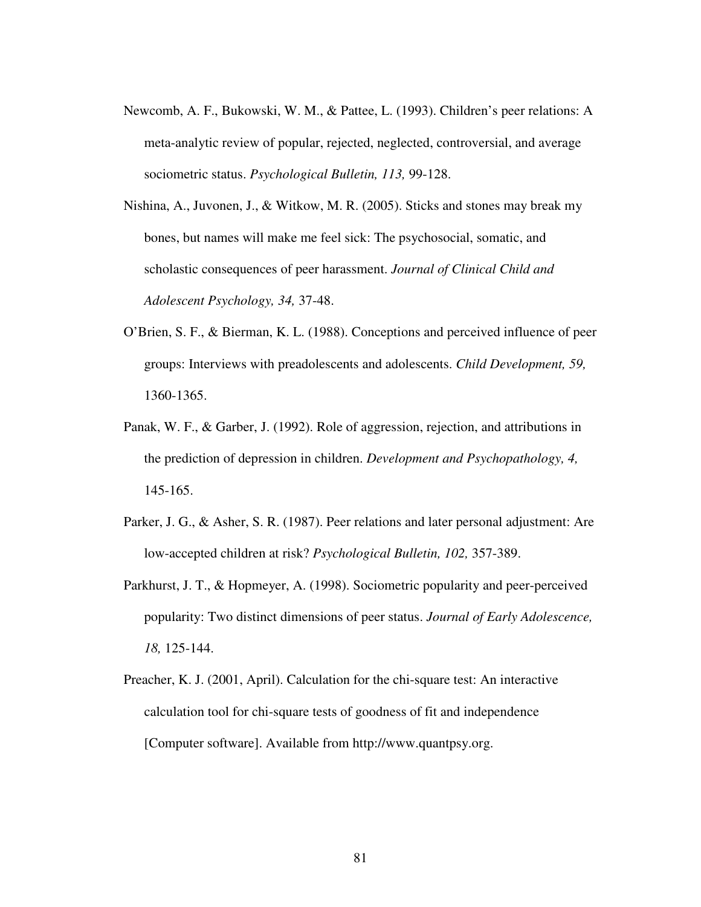- Newcomb, A. F., Bukowski, W. M., & Pattee, L. (1993). Children's peer relations: A meta-analytic review of popular, rejected, neglected, controversial, and average sociometric status. *Psychological Bulletin, 113,* 99-128.
- Nishina, A., Juvonen, J., & Witkow, M. R. (2005). Sticks and stones may break my bones, but names will make me feel sick: The psychosocial, somatic, and scholastic consequences of peer harassment. *Journal of Clinical Child and Adolescent Psychology, 34,* 37-48.
- O'Brien, S. F., & Bierman, K. L. (1988). Conceptions and perceived influence of peer groups: Interviews with preadolescents and adolescents. *Child Development, 59,*  1360-1365.
- Panak, W. F., & Garber, J. (1992). Role of aggression, rejection, and attributions in the prediction of depression in children. *Development and Psychopathology, 4,*  145-165.
- Parker, J. G., & Asher, S. R. (1987). Peer relations and later personal adjustment: Are low-accepted children at risk? *Psychological Bulletin, 102,* 357-389.
- Parkhurst, J. T., & Hopmeyer, A. (1998). Sociometric popularity and peer-perceived popularity: Two distinct dimensions of peer status. *Journal of Early Adolescence, 18,* 125-144.
- Preacher, K. J. (2001, April). Calculation for the chi-square test: An interactive calculation tool for chi-square tests of goodness of fit and independence [Computer software]. Available from http://www.quantpsy.org.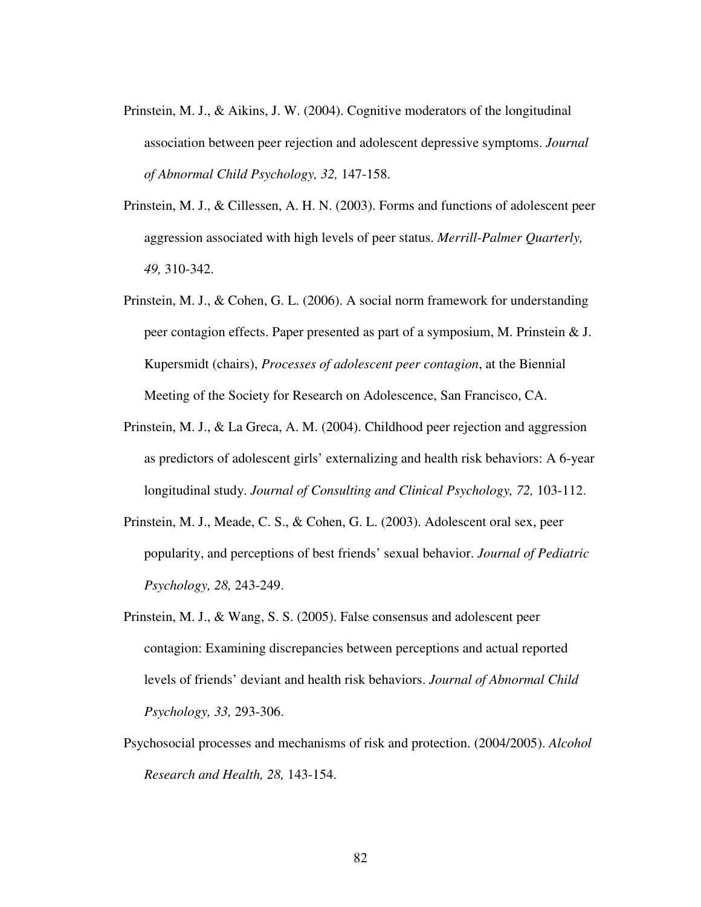- Prinstein, M. J., & Aikins, J. W. (2004). Cognitive moderators of the longitudinal association between peer rejection and adolescent depressive symptoms. *Journal of Abnormal Child Psychology, 32,* 147-158.
- Prinstein, M. J., & Cillessen, A. H. N. (2003). Forms and functions of adolescent peer aggression associated with high levels of peer status. *Merrill-Palmer Quarterly, 49,* 310-342.
- Prinstein, M. J., & Cohen, G. L. (2006). A social norm framework for understanding peer contagion effects. Paper presented as part of a symposium, M. Prinstein & J. Kupersmidt (chairs), *Processes of adolescent peer contagion*, at the Biennial Meeting of the Society for Research on Adolescence, San Francisco, CA.
- Prinstein, M. J., & La Greca, A. M. (2004). Childhood peer rejection and aggression as predictors of adolescent girls' externalizing and health risk behaviors: A 6-year longitudinal study. *Journal of Consulting and Clinical Psychology, 72,* 103-112.
- Prinstein, M. J., Meade, C. S., & Cohen, G. L. (2003). Adolescent oral sex, peer popularity, and perceptions of best friends' sexual behavior. *Journal of Pediatric Psychology, 28,* 243-249.
- Prinstein, M. J., & Wang, S. S. (2005). False consensus and adolescent peer contagion: Examining discrepancies between perceptions and actual reported levels of friends' deviant and health risk behaviors. *Journal of Abnormal Child Psychology, 33,* 293-306.
- Psychosocial processes and mechanisms of risk and protection. (2004/2005). *Alcohol Research and Health, 28,* 143-154.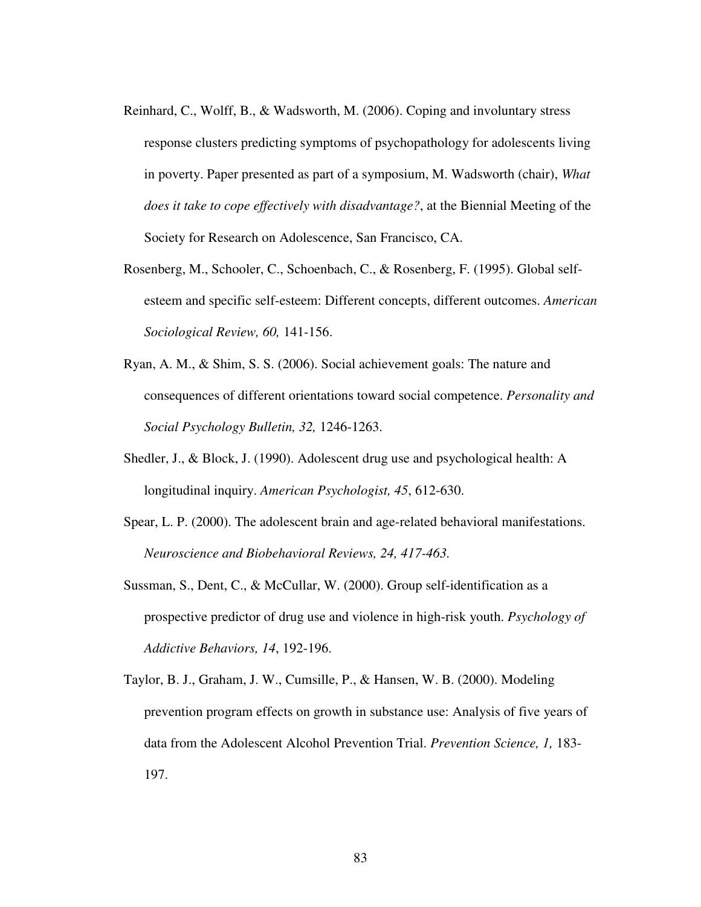- Reinhard, C., Wolff, B., & Wadsworth, M. (2006). Coping and involuntary stress response clusters predicting symptoms of psychopathology for adolescents living in poverty. Paper presented as part of a symposium, M. Wadsworth (chair), *What does it take to cope effectively with disadvantage?*, at the Biennial Meeting of the Society for Research on Adolescence, San Francisco, CA.
- Rosenberg, M., Schooler, C., Schoenbach, C., & Rosenberg, F. (1995). Global selfesteem and specific self-esteem: Different concepts, different outcomes. *American Sociological Review, 60,* 141-156.
- Ryan, A. M., & Shim, S. S. (2006). Social achievement goals: The nature and consequences of different orientations toward social competence. *Personality and Social Psychology Bulletin, 32,* 1246-1263.
- Shedler, J., & Block, J. (1990). Adolescent drug use and psychological health: A longitudinal inquiry. *American Psychologist, 45*, 612-630.
- Spear, L. P. (2000). The adolescent brain and age-related behavioral manifestations. *Neuroscience and Biobehavioral Reviews, 24, 417-463.*
- Sussman, S., Dent, C., & McCullar, W. (2000). Group self-identification as a prospective predictor of drug use and violence in high-risk youth. *Psychology of Addictive Behaviors, 14*, 192-196.
- Taylor, B. J., Graham, J. W., Cumsille, P., & Hansen, W. B. (2000). Modeling prevention program effects on growth in substance use: Analysis of five years of data from the Adolescent Alcohol Prevention Trial. *Prevention Science, 1,* 183- 197.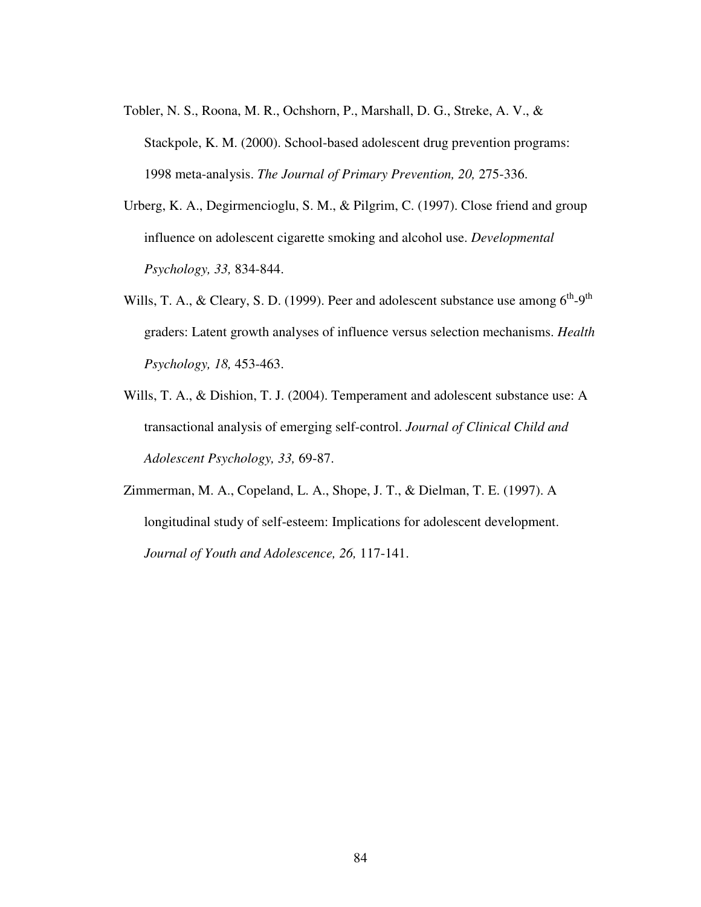- Tobler, N. S., Roona, M. R., Ochshorn, P., Marshall, D. G., Streke, A. V., & Stackpole, K. M. (2000). School-based adolescent drug prevention programs: 1998 meta-analysis. *The Journal of Primary Prevention, 20,* 275-336.
- Urberg, K. A., Degirmencioglu, S. M., & Pilgrim, C. (1997). Close friend and group influence on adolescent cigarette smoking and alcohol use. *Developmental Psychology, 33,* 834-844.
- Wills, T. A., & Cleary, S. D. (1999). Peer and adolescent substance use among  $6^{th}$ -9<sup>th</sup> graders: Latent growth analyses of influence versus selection mechanisms. *Health Psychology, 18,* 453-463.
- Wills, T. A., & Dishion, T. J. (2004). Temperament and adolescent substance use: A transactional analysis of emerging self-control. *Journal of Clinical Child and Adolescent Psychology, 33,* 69-87.
- Zimmerman, M. A., Copeland, L. A., Shope, J. T., & Dielman, T. E. (1997). A longitudinal study of self-esteem: Implications for adolescent development. *Journal of Youth and Adolescence, 26,* 117-141.